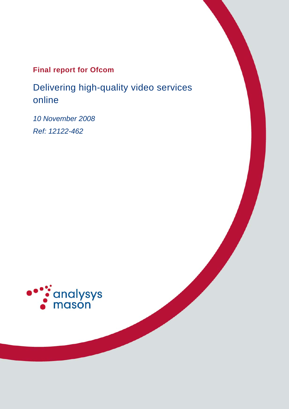## **Final report for Ofcom**

Delivering high-quality video services online

*10 November 2008 Ref: 12122-462* 

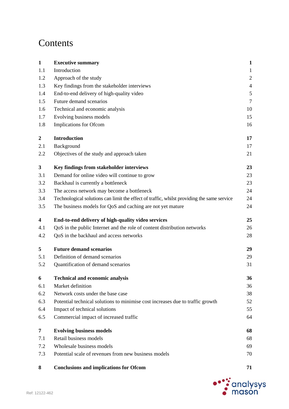# Contents

| $\mathbf{1}$            | <b>Executive summary</b>                                                                   | $\mathbf{1}$   |
|-------------------------|--------------------------------------------------------------------------------------------|----------------|
| 1.1                     | Introduction                                                                               | $\mathbf{1}$   |
| 1.2                     | Approach of the study                                                                      | $\overline{2}$ |
| 1.3                     | Key findings from the stakeholder interviews                                               | $\overline{4}$ |
| 1.4                     | End-to-end delivery of high-quality video                                                  | $\mathfrak s$  |
| 1.5                     | Future demand scenarios                                                                    | $\tau$         |
| 1.6                     | Technical and economic analysis                                                            | 10             |
| 1.7                     | Evolving business models                                                                   | 15             |
| 1.8                     | Implications for Ofcom                                                                     | 16             |
| $\boldsymbol{2}$        | <b>Introduction</b>                                                                        | 17             |
| 2.1                     | Background                                                                                 | 17             |
| 2.2                     | Objectives of the study and approach taken                                                 | 21             |
| 3                       | Key findings from stakeholder interviews                                                   | 23             |
| 3.1                     | Demand for online video will continue to grow                                              | 23             |
| 3.2                     | Backhaul is currently a bottleneck                                                         | 23             |
| 3.3                     | The access network may become a bottleneck                                                 | 24             |
| 3.4                     | Technological solutions can limit the effect of traffic, whilst providing the same service | 24             |
| 3.5                     | The business models for QoS and caching are not yet mature                                 | 24             |
| $\overline{\mathbf{4}}$ | End-to-end delivery of high-quality video services                                         | 25             |
| 4.1                     | QoS in the public Internet and the role of content distribution networks                   | 26             |
| 4.2                     | QoS in the backhaul and access networks                                                    | 28             |
| 5                       | <b>Future demand scenarios</b>                                                             | 29             |
| 5.1                     | Definition of demand scenarios                                                             | 29             |
| 5.2                     | Quantification of demand scenarios                                                         | 31             |
| 6                       | <b>Technical and economic analysis</b>                                                     | 36             |
| 6.1                     | Market definition                                                                          | 36             |
| 6.2                     | Network costs under the base case                                                          | 38             |
| 6.3                     | Potential technical solutions to minimise cost increases due to traffic growth             | 52             |
| 6.4                     | Impact of technical solutions                                                              | 55             |
| 6.5                     | Commercial impact of increased traffic                                                     | 64             |
| 7                       | <b>Evolving business models</b>                                                            | 68             |
| 7.1                     | Retail business models                                                                     | 68             |
|                         |                                                                                            |                |
| 7.2                     | Wholesale business models                                                                  | 69             |

**8 Conclusions and implications for Ofcom 71**

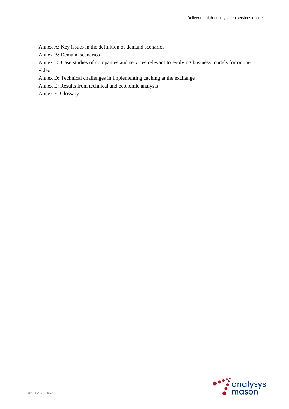Annex A: Key issues in the definition of demand scenarios

Annex B: Demand scenarios

Annex C: Case studies of companies and services relevant to evolving business models for online video

Annex D: Technical challenges in implementing caching at the exchange

Annex E: Results from technical and economic analysis

Annex F: Glossary

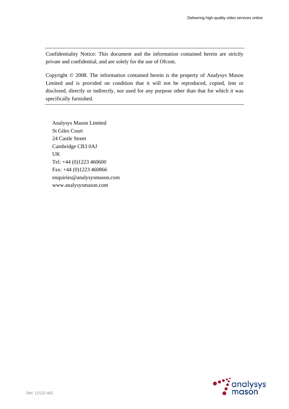Confidentiality Notice: This document and the information contained herein are strictly private and confidential, and are solely for the use of Ofcom.

Copyright © 2008. The information contained herein is the property of Analysys Mason Limited and is provided on condition that it will not be reproduced, copied, lent or disclosed, directly or indirectly, nor used for any purpose other than that for which it was specifically furnished.

Analysys Mason Limited St Giles Court 24 Castle Street Cambridge CB3 0AJ UK Tel: +44 (0)1223 460600 Fax: +44 (0)1223 460866 enquiries@analysysmason.com www.analysysmason.com

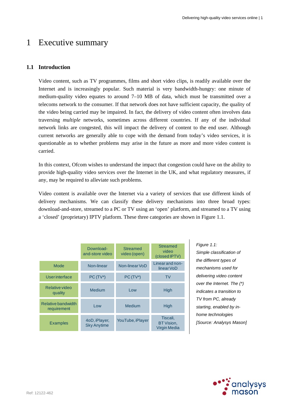## 1 Executive summary

## **1.1 Introduction**

Video content, such as TV programmes, films and short video clips, is readily available over the Internet and is increasingly popular. Such material is very bandwidth-hungry: one minute of medium-quality video equates to around 7–10 MB of data, which must be transmitted over a telecoms network to the consumer. If that network does not have sufficient capacity, the quality of the video being carried may be impaired. In fact, the delivery of video content often involves data traversing *multiple* networks, sometimes across different countries. If any of the individual network links are congested, this will impact the delivery of content to the end user. Although current networks are generally able to cope with the demand from today's video services, it is questionable as to whether problems may arise in the future as more and more video content is carried.

In this context, Ofcom wishes to understand the impact that congestion could have on the ability to provide high-quality video services over the Internet in the UK, and what regulatory measures, if any, may be required to alleviate such problems.

Video content is available over the Internet via a variety of services that use different kinds of delivery mechanisms. We can classify these delivery mechanisms into three broad types: download-and-store, streamed to a PC or TV using an 'open' platform, and streamed to a TV using a 'closed' (proprietary) IPTV platform. These three categories are shown in Figure 1.1.

|                                   | Download-<br>and-store video        | Streamed<br>video (open) | <b>Streamed</b><br>video<br>(closed IPTV)     |
|-----------------------------------|-------------------------------------|--------------------------|-----------------------------------------------|
| Mode                              | Non-linear                          | Non-linear VoD           | Linear and non-<br>linear VoD                 |
| <b>User</b> interface             | $PC(TV*)$                           | $PC(TV*)$                | <b>TV</b>                                     |
| Relative video<br>quality         | Medium                              | Low                      | <b>High</b>                                   |
| Relative bandwidth<br>requirement | Low                                 | <b>Medium</b>            | High                                          |
| <b>Examples</b>                   | 4oD, iPlayer,<br><b>Sky Anytime</b> | YouTube, iPlayer         | Tiscali,<br>BT Vision,<br><b>Virgin Media</b> |

*Figure 1.1: Simple classification of the different types of mechanisms used for delivering video content over the Internet. The (\*) indicates a transition to TV from PC, already starting, enabled by inhome technologies [Source: Analysys Mason]* 

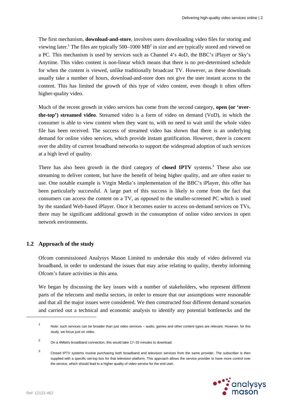The first mechanism, **download-and-store**, involves users downloading video files for storing and viewing later.<sup>1</sup> The files are typically 500–1000 MB<sup>2</sup> in size and are typically stored and viewed on a PC. This mechanism is used by services such as Channel 4's 4oD, the BBC's iPlayer or Sky's Anytime. This video content is non-linear which means that there is no pre-determined schedule for when the content is viewed, unlike traditionally broadcast TV. However, as these downloads usually take a number of hours, download-and-store does not give the user instant access to the content. This has limited the growth of this type of video content, even though it often offers higher-quality video.

Much of the recent growth in video services has come from the second category, **open (or 'overthe-top') streamed video**. Streamed video is a form of video on demand (VoD), in which the consumer is able to view content when they want to, with no need to wait until the whole video file has been received. The success of streamed video has shown that there is an underlying demand for online video services, which provide instant gratification. However, there is concern over the ability of current broadband networks to support the widespread adoption of such services at a high level of quality.

There has also been growth in the third category of **closed IPTV** systems.<sup>3</sup> These also use streaming to deliver content, but have the benefit of being higher quality, and are often easier to use. One notable example is Virgin Media's implementation of the BBC's iPlayer, this offer has been particularly successful. A large part of this success is likely to come from the fact that consumers can access the content on a TV, as opposed to the smaller-screened PC which is used by the standard Web-based iPlayer. Once it becomes easier to access on-demand services on TVs, there may be significant additional growth in the consumption of online video services in open network environments.

## **1.2 Approach of the study**

Ofcom commissioned Analysys Mason Limited to undertake this study of video delivered via broadband, in order to understand the issues that may arise relating to quality, thereby informing Ofcom's future activities in this area.

We began by discussing the key issues with a number of stakeholders, who represent different parts of the telecoms and media sectors, in order to ensure that our assumptions were reasonable and that all the major issues were considered. We then constructed four different demand scenarios and carried out a technical and economic analysis to identify any potential bottlenecks and the

<sup>3</sup> Closed IPTV systems involve purchasing both broadband and television services from the same provider. The subscriber is then supplied with a specific set-top box for that television platform. This approach allows the service provider to have more control over the service, which should lead to a higher quality of video service for the end user.



<sup>1</sup> Note: such services can be broader than just video services – audio, games and other content types are relevant. However, for this study, we focus just on video.

<sup>2</sup> On a 4Mbit/s broadband connection, this would take 17–33 minutes to download.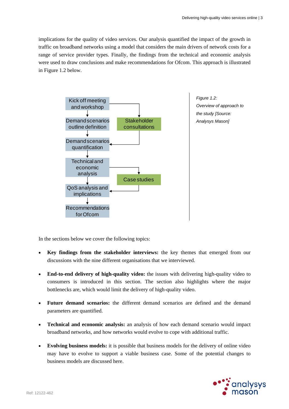implications for the quality of video services. Our analysis quantified the impact of the growth in traffic on broadband networks using a model that considers the main drivers of network costs for a range of service provider types. Finally, the findings from the technical and economic analysis were used to draw conclusions and make recommendations for Ofcom. This approach is illustrated in Figure 1.2 below.



In the sections below we cover the following topics:

- **Key findings from the stakeholder interviews:** the key themes that emerged from our discussions with the nine different organisations that we interviewed.
- **End-to-end delivery of high-quality video:** the issues with delivering high-quality video to consumers is introduced in this section. The section also highlights where the major bottlenecks are, which would limit the delivery of high-quality video.
- **Future demand scenarios:** the different demand scenarios are defined and the demand parameters are quantified.
- **Technical and economic analysis:** an analysis of how each demand scenario would impact broadband networks, and how networks would evolve to cope with additional traffic.
- **Evolving business models:** it is possible that business models for the delivery of online video may have to evolve to support a viable business case. Some of the potential changes to business models are discussed here.

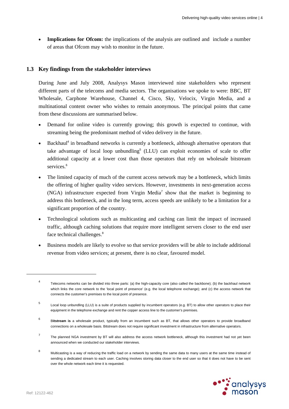**Implications for Ofcom:** the implications of the analysis are outlined and include a number of areas that Ofcom may wish to monitor in the future.

## **1.3 Key findings from the stakeholder interviews**

During June and July 2008, Analysys Mason interviewed nine stakeholders who represent different parts of the telecoms and media sectors. The organisations we spoke to were: BBC, BT Wholesale, Carphone Warehouse, Channel 4, Cisco, Sky, Velocix, Virgin Media, and a multinational content owner who wishes to remain anonymous. The principal points that came from these discussions are summarised below.

- Demand for online video is currently growing; this growth is expected to continue, with streaming being the predominant method of video delivery in the future.
- Backhaul<sup>4</sup> in broadband networks is currently a bottleneck, although alternative operators that take advantage of local loop unbundling<sup>5</sup> (LLU) can exploit economies of scale to offer additional capacity at a lower cost than those operators that rely on wholesale bitstream services.<sup>6</sup>
- The limited capacity of much of the current access network may be a bottleneck, which limits the offering of higher quality video services. However, investments in next-generation access  $(NGA)$  infrastructure expected from Virgin Media<sup>7</sup> show that the market is beginning to address this bottleneck, and in the long term, access speeds are unlikely to be a limitation for a significant proportion of the country.
- Technological solutions such as multicasting and caching can limit the impact of increased traffic, although caching solutions that require more intelligent servers closer to the end user face technical challenges.<sup>8</sup>
- Business models are likely to evolve so that service providers will be able to include additional revenue from video services; at present, there is no clear, favoured model.

<sup>8</sup> Multicasting is a way of reducing the traffic load on a network by sending the same data to many users at the same time instead of sending a dedicated stream to each user. Caching involves storing data closer to the end user so that it does not have to be sent over the whole network each time it is requested.



<sup>4</sup> Telecoms networks can be divided into three parts: (a) the high-capacity core (also called the backbone); (b) the backhaul network which links the core network to the 'local point of presence' (e.g. the local telephone exchange); and (c) the access network that connects the customer's premises to the local point of presence.

<sup>5</sup> Local loop unbundling (LLU) is a suite of products supplied by incumbent operators (e.g. BT) to allow other operators to place their equipment in the telephone exchange and rent the copper access line to the customer's premises.

<sup>6</sup> B**itstream is** a wholesale product, typically from an incumbent such as BT, that allows other operators to provide broadband connections on a wholesale basis. Bitstream does not require significant investment in infrastructure from alternative operators.

<sup>7</sup> The planned NGA investment by BT will also address the access network bottleneck, although this investment had not yet been announced when we conducted our stakeholder interviews.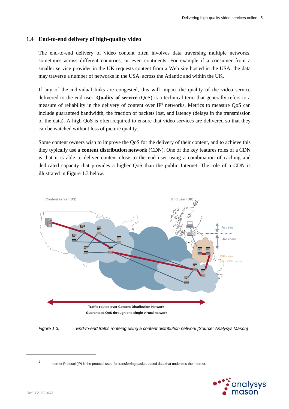### **1.4 End-to-end delivery of high-quality video**

The end-to-end delivery of video content often involves data traversing multiple networks, sometimes across different countries, or even continents. For example if a consumer from a smaller service provider in the UK requests content from a Web site hosted in the USA, the data may traverse a number of networks in the USA, across the Atlantic and within the UK.

If any of the individual links are congested, this will impact the quality of the video service delivered to the end user. **Quality of service** (QoS) is a technical term that generally refers to a measure of reliability in the delivery of content over IP<sup>9</sup> networks. Metrics to measure QoS can include guaranteed bandwidth, the fraction of packets lost, and latency (delays in the transmission of the data). A high QoS is often required to ensure that video services are delivered so that they can be watched without loss of picture quality.

Some content owners wish to improve the QoS for the delivery of their content, and to achieve this they typically use a **content distribution network** (CDN). One of the key features roles of a CDN is that it is able to deliver content close to the end user using a combination of caching and dedicated capacity that provides a higher QoS than the public Internet. The role of a CDN is illustrated in Figure 1.3 below.



*Figure 1.3: End-to-end traffic routeing using a content distribution network [Source: Analysys Mason]* 

<sup>9</sup> Internet Protocol (IP) is the protocol used for transferring packet-based data that underpins the Internet.

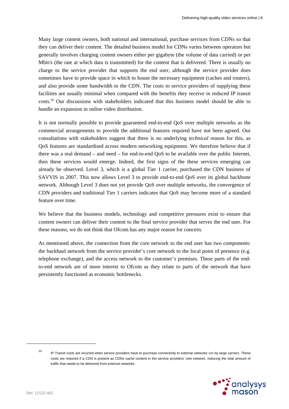Many large content owners, both national and international, purchase services from CDNs so that they can deliver their content. The detailed business model for CDNs varies between operators but generally involves charging content owners either per gigabyte (the volume of data carried) or per Mbit/s (the rate at which data is transmitted) for the content that is delivered. There is usually no charge to the service provider that supports the end user, although the service provider does sometimes have to provide space in which to house the necessary equipment (caches and routers), and also provide some bandwidth to the CDN. The costs to service providers of supplying these facilities are usually minimal when compared with the benefits they receive in reduced IP transit costs.<sup>10</sup> Our discussions with stakeholders indicated that this business model should be able to handle an expansion in online video distribution.

It is not normally possible to provide guaranteed end-to-end QoS over multiple networks as the commercial arrangements to provide the additional features required have not been agreed. Our consultations with stakeholders suggest that there is no underlying *technical* reason for this, as QoS features are standardised across modern networking equipment. We therefore believe that if there was a real demand – and need – for end-to-end QoS to be available over the public Internet, then these services would emerge. Indeed, the first signs of the these services emerging can already be observed. Level 3, which is a global Tier 1 carrier, purchased the CDN business of SAVVIS in 2007. This now allows Level 3 to provide end-to-end QoS over its global backbone network. Although Level 3 does not yet provide QoS over multiple networks, the convergence of CDN providers and traditional Tier 1 carriers indicates that QoS may become more of a standard feature over time.

We believe that the business models, technology and competitive pressures exist to ensure that content owners can deliver their content to the final service provider that serves the end user. For these reasons, we do not think that Ofcom has any major reason for concern.

As mentioned above, the connection from the core network to the end user has two components: the backhaul network from the service provider's core network to the local point of presence (e.g. telephone exchange), and the access network to the customer's premises. These parts of the endto-end network are of more interest to Ofcom as they relate to parts of the network that have persistently functioned as economic bottlenecks.

<sup>&</sup>lt;sup>10</sup> IP Transit costs are incurred when service providers have to purchase connectivity to external networks run by large carriers. These costs are reduced if a CDN is present as CDNs cache content in the service providers' own network, reducing the total amount of traffic that needs to be delivered from external networks.

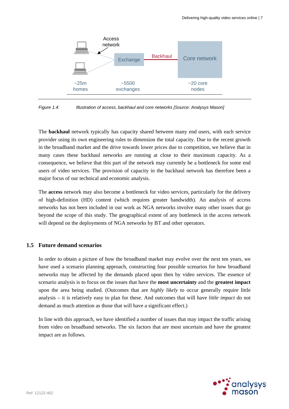

*Figure 1.4: Illustration of access, backhaul and core networks [Source: Analysys Mason]* 

The **backhaul** network typically has capacity shared between many end users, with each service provider using its own engineering rules to dimension the total capacity. Due to the recent growth in the broadband market and the drive towards lower prices due to competition, we believe that in many cases these backhaul networks are running at close to their maximum capacity. As a consequence, we believe that this part of the network may currently be a bottleneck for some end users of video services. The provision of capacity in the backhaul network has therefore been a major focus of our technical and economic analysis.

The **access** network may also become a bottleneck for video services, particularly for the delivery of high-definition (HD) content (which requires greater bandwidth). An analysis of access networks has not been included in our work as NGA networks involve many other issues that go beyond the scope of this study. The geographical extent of any bottleneck in the access network will depend on the deployments of NGA networks by BT and other operators.

#### **1.5 Future demand scenarios**

In order to obtain a picture of how the broadband market may evolve over the next ten years, we have used a scenario planning approach, constructing four possible scenarios for how broadband networks may be affected by the demands placed upon then by video services. The essence of scenario analysis is to focus on the issues that have the **most uncertainty** and the **greatest impact**  upon the area being studied. (Outcomes that are *highly likely* to occur generally require little analysis – it is relatively easy to plan for these. And outcomes that will have *little impact* do not demand as much attention as those that will have a significant effect.)

In line with this approach, we have identified a number of issues that may impact the traffic arising from video on broadband networks. The six factors that are most uncertain and have the greatest impact are as follows.

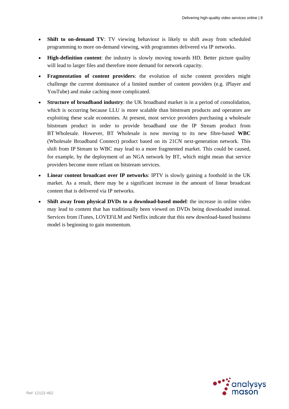- **Shift to on-demand TV:** TV viewing behaviour is likely to shift away from scheduled programming to more on-demand viewing, with programmes delivered via IP networks.
- **High-definition content**: the industry is slowly moving towards HD. Better picture quality will lead to larger files and therefore more demand for network capacity.
- **Fragmentation of content providers**: the evolution of niche content providers might challenge the current dominance of a limited number of content providers (e.g. iPlayer and YouTube) and make caching more complicated.
- **Structure of broadband industry**: the UK broadband market is in a period of consolidation, which is occurring because LLU is more scalable than bitstream products and operators are exploiting these scale economies. At present, most service providers purchasing a wholesale bitstream product in order to provide broadband use the IP Stream product from BT Wholesale. However, BT Wholesale is now moving to its new fibre-based **WBC**  (Wholesale Broadband Connect) product based on its 21CN next-generation network. This shift from IP Stream to WBC may lead to a more fragmented market. This could be caused, for example, by the deployment of an NGA network by BT, which might mean that service providers become more reliant on bitstream services.
- **Linear content broadcast over IP networks**: IPTV is slowly gaining a foothold in the UK market. As a result, there may be a significant increase in the amount of linear broadcast content that is delivered via IP networks.
- **Shift away from physical DVDs to a download-based model**: the increase in online video may lead to content that has traditionally been viewed on DVDs being downloaded instead. Services from iTunes, LOVEFiLM and Netflix indicate that this new download-based business model is beginning to gain momentum.

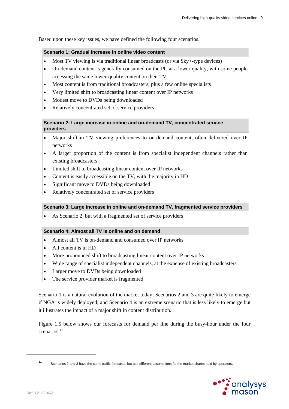Based upon these key issues, we have defined the following four scenarios.

#### **Scenario 1: Gradual increase in online video content**

- Most TV viewing is via traditional linear broadcasts (or via Sky+-type devices)
- On-demand content is generally consumed on the PC at a lower quality, with some people accessing the same lower-quality content on their TV
- Most content is from traditional broadcasters, plus a few online specialists
- Very limited shift to broadcasting linear content over IP networks
- Modest move to DVDs being downloaded
- Relatively concentrated set of service providers

#### **Scenario 2: Large increase in online and on-demand TV, concentrated service providers**

- Major shift in TV viewing preferences to on-demand content, often delivered over IP networks
- A larger proportion of the content is from specialist independent channels rather than existing broadcasters
- Limited shift to broadcasting linear content over IP networks
- Content is easily accessible on the TV, with the majority in HD
- Significant move to DVDs being downloaded
- Relatively concentrated set of service providers

#### **Scenario 3: Large increase in online and on-demand TV, fragmented service providers**

As Scenario 2, but with a fragmented set of service providers

#### **Scenario 4: Almost all TV is online and on demand**

- Almost all TV is on-demand and consumed over IP networks
- All content is in HD
- More pronounced shift to broadcasting linear content over IP networks
- Wide range of specialist independent channels, at the expense of existing broadcasters
- Larger move to DVDs being downloaded
- The service provider market is fragmented

Scenario 1 is a natural evolution of the market today; Scenarios 2 and 3 are quite likely to emerge if NGA is widely deployed; and Scenario 4 is an extreme scenario that is less likely to emerge but it illustrates the impact of a major shift in content distribution.

Figure 1.5 below shows our forecasts for demand per line during the busy-hour under the four scenarios.<sup>11</sup>

<sup>11</sup> Scenarios 2 and 3 have the same traffic forecasts, but use different assumptions for the market shares held by operators.

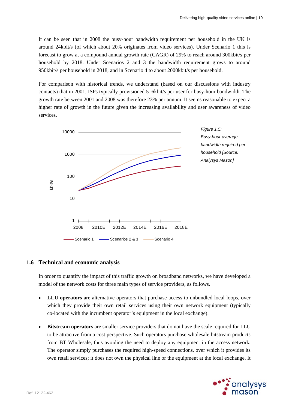It can be seen that in 2008 the busy-hour bandwidth requirement per household in the UK is around 24kbit/s (of which about 20% originates from video services). Under Scenario 1 this is forecast to grow at a compound annual growth rate (CAGR) of 29% to reach around 300kbit/s per household by 2018. Under Scenarios 2 and 3 the bandwidth requirement grows to around 950kbit/s per household in 2018, and in Scenario 4 to about 2000kbit/s per household.

For comparison with historical trends, we understand (based on our discussions with industry contacts) that in 2001, ISPs typically provisioned 5–6kbit/s per user for busy-hour bandwidth. The growth rate between 2001 and 2008 was therefore 23% per annum. It seems reasonable to expect a higher rate of growth in the future given the increasing availability and user awareness of video services.





### **1.6 Technical and economic analysis**

In order to quantify the impact of this traffic growth on broadband networks, we have developed a model of the network costs for three main types of service providers, as follows.

- **LLU operators** are alternative operators that purchase access to unbundled local loops, over which they provide their own retail services using their own network equipment (typically co-located with the incumbent operator's equipment in the local exchange).
- **Bitstream operators** are smaller service providers that do not have the scale required for LLU to be attractive from a cost perspective. Such operators purchase wholesale bitstream products from BT Wholesale, thus avoiding the need to deploy any equipment in the access network. The operator simply purchases the required high-speed connections, over which it provides its own retail services; it does not own the physical line or the equipment at the local exchange. It

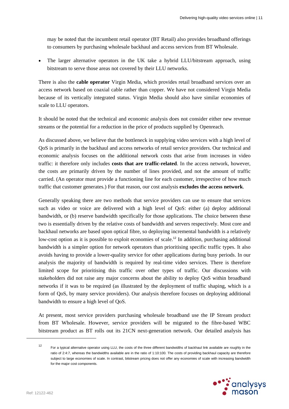may be noted that the incumbent retail operator (BT Retail) also provides broadband offerings to consumers by purchasing wholesale backhaul and access services from BT Wholesale.

 The larger alternative operators in the UK take a hybrid LLU/bitstream approach, using bitstream to serve those areas not covered by their LLU networks.

There is also the **cable operator** Virgin Media, which provides retail broadband services over an access network based on coaxial cable rather than copper. We have not considered Virgin Media because of its vertically integrated status. Virgin Media should also have similar economies of scale to LLU operators.

It should be noted that the technical and economic analysis does not consider either new revenue streams or the potential for a reduction in the price of products supplied by Openreach.

As discussed above, we believe that the bottleneck in supplying video services with a high level of QoS is primarily in the backhaul and access networks of retail service providers. Our technical and economic analysis focuses on the additional network costs that arise from increases in video traffic: it therefore only includes **costs that are traffic-related**. In the access network, however, the costs are primarily driven by the number of lines provided, and not the amount of traffic carried. (An operator must provide a functioning line for each customer, irrespective of how much traffic that customer generates.) For that reason, our cost analysis **excludes the access network**.

Generally speaking there are two methods that service providers can use to ensure that services such as video or voice are delivered with a high level of QoS: either (a) deploy additional bandwidth, or (b) reserve bandwidth specifically for those applications. The choice between these two is essentially driven by the relative costs of bandwidth and servers respectively. Most core and backhaul networks are based upon optical fibre, so deploying incremental bandwidth is a relatively low-cost option as it is possible to exploit economies of scale.<sup>12</sup> In addition, purchasing additional bandwidth is a simpler option for network operators than prioritising specific traffic types. It also avoids having to provide a lower-quality service for other applications during busy periods. In our analysis the majority of bandwidth is required by real-time video services. There is therefore limited scope for prioritising this traffic over other types of traffic. Our discussions with stakeholders did not raise any major concerns about the ability to deploy QoS within broadband networks if it was to be required (as illustrated by the deployment of traffic shaping, which is a form of QoS, by many service providers). Our analysis therefore focuses on deploying additional bandwidth to ensure a high level of QoS.

At present, most service providers purchasing wholesale broadband use the IP Stream product from BT Wholesale. However, service providers will be migrated to the fibre-based WBC bitstream product as BT rolls out its 21CN next-generation network. Our detailed analysis has

<sup>12</sup> For a typical alternative operator using LLU, the costs of the three different bandwidths of backhaul link available are roughly in the ratio of 2:4:7, whereas the bandwidths available are in the ratio of 1:10:100. The costs of providing backhaul capacity are therefore subject to large economies of scale. In contrast, bitstream pricing does not offer any economies of scale with increasing bandwidth for the major cost components.

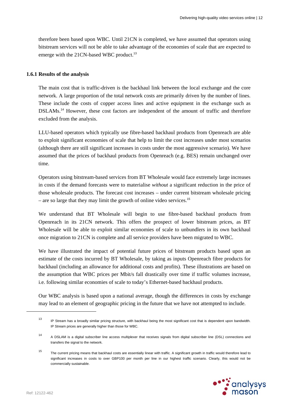therefore been based upon WBC. Until 21CN is completed, we have assumed that operators using bitstream services will not be able to take advantage of the economies of scale that are expected to emerge with the 21CN-based WBC product.<sup>13</sup>

#### **1.6.1 Results of the analysis**

The main cost that is traffic-driven is the backhaul link between the local exchange and the core network. A large proportion of the total network costs are primarily driven by the number of lines. These include the costs of copper access lines and active equipment in the exchange such as DSLAMs.<sup>14</sup> However, these cost factors are independent of the amount of traffic and therefore excluded from the analysis.

LLU-based operators which typically use fibre-based backhaul products from Openreach are able to exploit significant economies of scale that help to limit the cost increases under most scenarios (although there are still significant increases in costs under the most aggressive scenario). We have assumed that the prices of backhaul products from Openreach (e.g. BES) remain unchanged over time.

Operators using bitstream-based services from BT Wholesale would face extremely large increases in costs if the demand forecasts were to materialise *without* a significant reduction in the price of those wholesale products. The forecast cost increases – under current bitstream wholesale pricing – are so large that they may limit the growth of online video services.<sup>15</sup>

We understand that BT Wholesale will begin to use fibre-based backhaul products from Openreach in its 21CN network. This offers the prospect of lower bitstream prices, as BT Wholesale will be able to exploit similar economies of scale to unbundlers in its own backhaul once migration to 21CN is complete and all service providers have been migrated to WBC.

We have illustrated the impact of potential future prices of bitstream products based upon an estimate of the costs incurred by BT Wholesale, by taking as inputs Openreach fibre products for backhaul (including an allowance for additional costs and profits). These illustrations are based on the assumption that WBC prices per Mbit/s fall drastically over time if traffic volumes increase, i.e. following similar economies of scale to today's Ethernet-based backhaul products.

Our WBC analysis is based upon a national average, though the differences in costs by exchange may lead to an element of geographic pricing in the future that we have not attempted to include.

<sup>15</sup> The current pricing means that backhaul costs are essentially linear with traffic. A significant growth in traffic would therefore lead to significant increases in costs to over GBP100 per month per line in our highest traffic scenario. Clearly, this would not be commercially sustainable.



<sup>13</sup> IP Stream has a broadly similar pricing structure, with backhaul being the most significant cost that is dependent upon bandwidth. IP Stream prices are generally higher than those for WBC.

<sup>14</sup> A DSLAM is a digital subscriber line access multiplexer that receives signals from digital subscriber line (DSL) connections and transfers the signal to the network.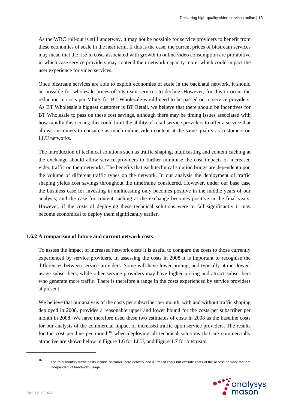As the WBC roll-out is still underway, it may not be possible for service providers to benefit from these economies of scale in the near term. If this is the case, the current prices of bitstream services may mean that the rise in costs associated with growth in online video consumption are prohibitive in which case service providers may contend their network capacity more, which could impact the user experience for video services.

Once bitstream services are able to exploit economies of scale in the backhaul network, it should be possible for wholesale prices of bitstream services to decline. However, for this to occur the reduction in costs per Mbit/s for BT Wholesale would need to be passed on to service providers. As BT Wholesale's biggest customer is BT Retail, we believe that there should be incentives for BT Wholesale to pass on these cost savings, although there may be timing issues associated with how rapidly this occurs; this could limit the ability of retail service providers to offer a service that allows customers to consume as much online video content at the same quality as customers on LLU networks.

The introduction of technical solutions such as traffic shaping, multicasting and content caching at the exchange should allow service providers to further minimise the cost impacts of increased video traffic on their networks. The benefits that each technical solution brings are dependent upon the volume of different traffic types on the network. In our analysis the deployment of traffic shaping yields cost savings throughout the timeframe considered. However, under our base case the business case for investing in multicasting only becomes positive in the middle years of our analysis; and the case for content caching at the exchange becomes positive in the final years. However, if the costs of deploying these technical solutions were to fall significantly it may become economical to deploy them significantly earlier.

#### **1.6.2 A comparison of future and current network costs**

To assess the impact of increased network costs it is useful to compare the costs to those currently experienced by service providers. In assessing the costs in 2008 it is important to recognise the differences between service providers. Some will have lower pricing, and typically attract lowerusage subscribers, while other service providers may have higher pricing and attract subscribers who generate more traffic. There is therefore a range in the costs experienced by service providers at present.

We believe that our analysis of the costs per subscriber per month, with and without traffic shaping deployed in 2008, provides a reasonable upper and lower bound for the costs per subscriber per month in 2008. We have therefore used these two estimates of costs in 2008 as the baseline costs for our analysis of the commercial impact of increased traffic upon service providers. The results for the cost per line per month<sup>16</sup> when deploying all technical solutions that are commercially attractive are shown below in Figure 1.6 for LLU, and Figure 1.7 for bitstream.

<sup>&</sup>lt;sup>16</sup> The total monthly traffic costs include backhaul, core network and IP transit costs but exclude costs of the access network that are independent of bandwidth usage.

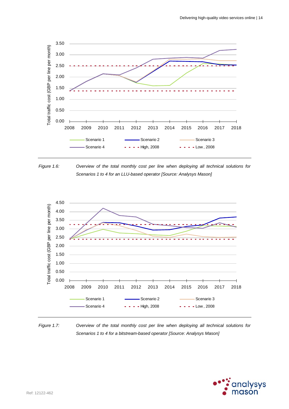





*Figure 1.7: Overview of the total monthly cost per line when deploying all technical solutions for Scenarios 1 to 4 for a bitstream-based operator [Source: Analysys Mason]* 

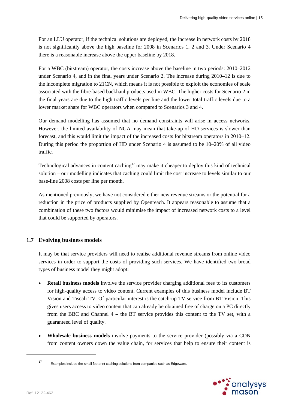For an LLU operator, if the technical solutions are deployed, the increase in network costs by 2018 is not significantly above the high baseline for 2008 in Scenarios 1, 2 and 3. Under Scenario 4 there is a reasonable increase above the upper baseline by 2018.

For a WBC (bitstream) operator, the costs increase above the baseline in two periods: 2010–2012 under Scenario 4, and in the final years under Scenario 2. The increase during 2010–12 is due to the incomplete migration to 21CN, which means it is not possible to exploit the economies of scale associated with the fibre-based backhaul products used in WBC. The higher costs for Scenario 2 in the final years are due to the high traffic levels per line and the lower total traffic levels due to a lower market share for WBC operators when compared to Scenarios 3 and 4.

Our demand modelling has assumed that no demand constraints will arise in access networks. However, the limited availability of NGA may mean that take-up of HD services is slower than forecast, and this would limit the impact of the increased costs for bitstream operators in 2010–12. During this period the proportion of HD under Scenario 4 is assumed to be 10–20% of all video traffic.

Technological advances in content caching<sup>17</sup> may make it cheaper to deploy this kind of technical solution – our modelling indicates that caching could limit the cost increase to levels similar to our base-line 2008 costs per line per month.

As mentioned previously, we have not considered either new revenue streams or the potential for a reduction in the price of products supplied by Openreach. It appears reasonable to assume that a combination of these two factors would minimise the impact of increased network costs to a level that could be supported by operators.

## **1.7 Evolving business models**

It may be that service providers will need to realise additional revenue streams from online video services in order to support the costs of providing such services. We have identified two broad types of business model they might adopt:

- **Retail business models** involve the service provider charging additional fees to its customers for high-quality access to video content. Current examples of this business model include BT Vision and Tiscali TV. Of particular interest is the catch-up TV service from BT Vision. This gives users access to video content that can already be obtained free of charge on a PC directly from the BBC and Channel 4 – the BT service provides this content to the TV set, with a guaranteed level of quality.
- **Wholesale business models** involve payments to the service provider (possibly via a CDN from content owners down the value chain, for services that help to ensure their content is

17 Examples include the small footprint caching solutions from companies such as Edgeware.

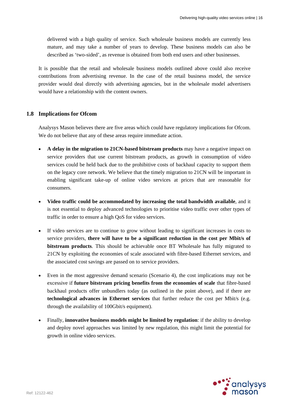delivered with a high quality of service. Such wholesale business models are currently less mature, and may take a number of years to develop. These business models can also be described as 'two-sided', as revenue is obtained from both end users and other businesses.

It is possible that the retail and wholesale business models outlined above could also receive contributions from advertising revenue. In the case of the retail business model, the service provider would deal directly with advertising agencies, but in the wholesale model advertisers would have a relationship with the content owners.

#### **1.8 Implications for Ofcom**

Analysys Mason believes there are five areas which could have regulatory implications for Ofcom. We do not believe that any of these areas require immediate action.

- **A delay in the migration to 21CN-based bitstream products** may have a negative impact on service providers that use current bitstream products, as growth in consumption of video services could be held back due to the prohibitive costs of backhaul capacity to support them on the legacy core network. We believe that the timely migration to 21CN will be important in enabling significant take-up of online video services at prices that are reasonable for consumers.
- **Video traffic could be accommodated by increasing the total bandwidth available**, and it is not essential to deploy advanced technologies to prioritise video traffic over other types of traffic in order to ensure a high QoS for video services.
- If video services are to continue to grow without leading to significant increases in costs to service providers, **there will have to be a significant reduction in the cost per Mbit/s of bitstream products**. This should be achievable once BT Wholesale has fully migrated to 21CN by exploiting the economies of scale associated with fibre-based Ethernet services, and the associated cost savings are passed on to service providers.
- Even in the most aggressive demand scenario (Scenario 4), the cost implications may not be excessive if **future bitstream pricing benefits from the economies of scale** that fibre-based backhaul products offer unbundlers today (as outlined in the point above), and if there are **technological advances in Ethernet services** that further reduce the cost per Mbit/s (e.g. through the availability of 100Gbit/s equipment).
- Finally, **innovative business models might be limited by regulation**: if the ability to develop and deploy novel approaches was limited by new regulation, this might limit the potential for growth in online video services.

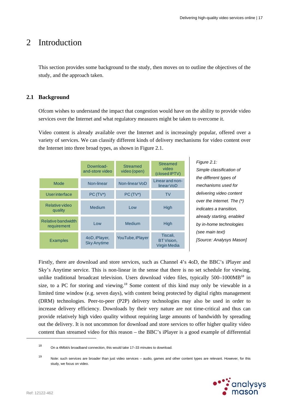## 2 Introduction

This section provides some background to the study, then moves on to outline the objectives of the study, and the approach taken.

## **2.1 Background**

Ofcom wishes to understand the impact that congestion would have on the ability to provide video services over the Internet and what regulatory measures might be taken to overcome it.

Video content is already available over the Internet and is increasingly popular, offered over a variety of services. We can classify different kinds of delivery mechanisms for video content over the Internet into three broad types, as shown in Figure 2.1.

|                                   | Download-<br>and-store video        | <b>Streamed</b><br>video (open) | <b>Streamed</b><br>video<br>(closed IPTV)     |
|-----------------------------------|-------------------------------------|---------------------------------|-----------------------------------------------|
| Mode                              | Non-linear                          | Non-linear VoD                  | Linear and non-<br>linear VoD                 |
| <b>Userinterface</b>              | $PC(TV*)$                           | $PC(TV*)$                       | <b>TV</b>                                     |
| Relative video<br>quality         | Medium                              | Low                             | High                                          |
| Relative bandwidth<br>requirement | Low                                 | Medium                          | High                                          |
| <b>Examples</b>                   | 4oD, iPlayer,<br><b>Sky Anytime</b> | YouTube, iPlayer                | Tiscali,<br>BT Vision,<br><b>Virgin Media</b> |

*Figure 2.1: Simple classification of the different types of mechanisms used for delivering video content over the Internet. The (\*) indicates a transition, already starting, enabled by in-home technologies (see main text) [Source: Analysys Mason]* 

Firstly, there are download and store services, such as Channel 4's 4oD, the BBC's iPlayer and Sky's Anytime service. This is non-linear in the sense that there is no set schedule for viewing, unlike traditional broadcast television. Users download video files, typically  $500-1000MB^{18}$  in size, to a PC for storing and viewing.<sup>19</sup> Some content of this kind may only be viewable in a limited time window (e.g. seven days), with content being protected by digital rights management (DRM) technologies. Peer-to-peer (P2P) delivery technologies may also be used in order to increase delivery efficiency. Downloads by their very nature are not time-critical and thus can provide relatively high video quality without requiring large amounts of bandwidth by spreading out the delivery. It is not uncommon for download and store services to offer higher quality video content than streamed video for this reason – the BBC's iPlayer is a good example of differential

<sup>19</sup> Note: such services are broader than just video services – audio, games and other content types are relevant. However, for this study, we focus on video.



<sup>18</sup> On a 4Mbit/s broadband connection, this would take 17–33 minutes to download.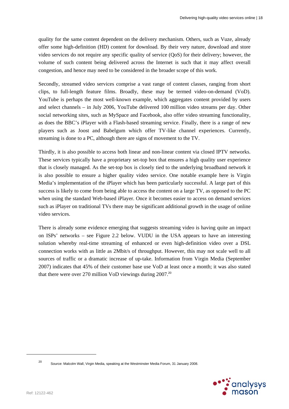quality for the same content dependent on the delivery mechanism. Others, such as Vuze, already offer some high-definition (HD) content for download. By their very nature, download and store video services do not require any specific quality of service (QoS) for their delivery; however, the volume of such content being delivered across the Internet is such that it may affect overall congestion, and hence may need to be considered in the broader scope of this work.

Secondly, streamed video services comprise a vast range of content classes, ranging from short clips, to full-length feature films. Broadly, these may be termed video-on-demand (VoD). YouTube is perhaps the most well-known example, which aggregates content provided by users and select channels – in July 2006, YouTube delivered 100 million video streams per day. Other social networking sites, such as MySpace and Facebook, also offer video streaming functionality, as does the BBC's iPlayer with a Flash-based streaming service. Finally, there is a range of new players such as Joost and Babelgum which offer TV-like channel experiences. Currently, streaming is done to a PC, although there are signs of movement to the TV.

Thirdly, it is also possible to access both linear and non-linear content via closed IPTV networks. These services typically have a proprietary set-top box that ensures a high quality user experience that is closely managed. As the set-top box is closely tied to the underlying broadband network it is also possible to ensure a higher quality video service. One notable example here is Virgin Media's implementation of the iPlayer which has been particularly successful. A large part of this success is likely to come from being able to access the content on a large TV, as opposed to the PC when using the standard Web-based iPlayer. Once it becomes easier to access on demand services such as iPlayer on traditional TVs there may be significant additional growth in the usage of online video services.

There is already some evidence emerging that suggests streaming video is having quite an impact on ISPs' networks – see Figure 2.2 below. VUDU in the USA appears to have an interesting solution whereby real-time streaming of enhanced or even high-definition video over a DSL connection works with as little as 2Mbit/s of throughput. However, this may not scale well to all sources of traffic or a dramatic increase of up-take. Information from Virgin Media (September 2007) indicates that 45% of their customer base use VoD at least once a month; it was also stated that there were over 270 million VoD viewings during 2007.<sup>20</sup>

<sup>20</sup> Source: Malcolm Wall, Virgin Media, speaking at the Westminster Media Forum, 31 January 2008.

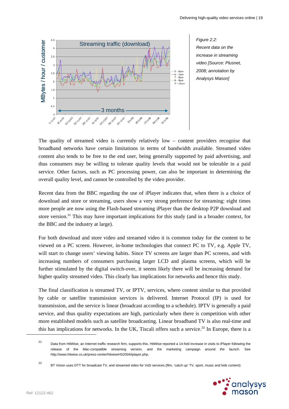

*Recent data on the increase in streaming video [Source: Plusnet, 2008; annotation by Analysys Mason]* 

The quality of streamed video is currently relatively low – content providers recognise that broadband networks have certain limitations in terms of bandwidth available. Streamed video content also tends to be free to the end user, being generally supported by paid advertising, and thus consumers may be willing to tolerate quality levels that would not be tolerable in a paid service. Other factors, such as PC processing power, can also be important in determining the overall quality level, and cannot be controlled by the video provider.

Recent data from the BBC regarding the use of iPlayer indicates that, when there is a choice of download and store or streaming, users show a very strong preference for streaming: eight times more people are now using the Flash-based streaming iPlayer than the desktop P2P download and store version.<sup>21</sup> This may have important implications for this study (and in a broader context, for the BBC and the industry at large).

For both download and store video and streamed video it is common today for the content to be viewed on a PC screen. However, in-home technologies that connect PC to TV, e.g. Apple TV, will start to change users' viewing habits. Since TV screens are larger than PC screens, and with increasing numbers of consumers purchasing larger LCD and plasma screens, which will be further stimulated by the digital switch-over, it seems likely there will be increasing demand for higher quality streamed video. This clearly has implications for networks and hence this study.

The final classification is streamed TV, or IPTV, services, where content similar to that provided by cable or satellite transmission services is delivered. Internet Protocol (IP) is used for transmission, and the service is linear (broadcast according to a schedule). IPTV is generally a paid service, and thus quality expectations are high, particularly when there is competition with other more established models such as satellite broadcasting. Linear broadband TV is also real-time and this has implications for networks. In the UK, Tiscali offers such a service.<sup>22</sup> In Europe, there is a

<sup>22</sup> BT Vision uses DTT for broadcast TV, and streamed video for VoD services (film, 'catch up' TV, sport, music and kids content)



<sup>21</sup> Data from HitWise, an Internet traffic research firm, supports this. HitWise reported a 14-fold increase in visits to iPlayer following the release of the Mac-compatible streaming version, and the marketing campaign around the launch. See http://www.hitwise.co.uk/press-center/hitwiseHS2004/iplayer.php.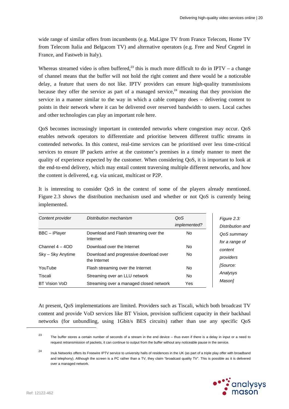wide range of similar offers from incumbents (e.g. MaLigne TV from France Telecom, Home TV from Telecom Italia and Belgacom TV) and alternative operators (e.g. Free and Neuf Cegetel in France, and Fastweb in Italy).

Whereas streamed video is often buffered,<sup>23</sup> this is much more difficult to do in IPTV – a change of channel means that the buffer will not hold the right content and there would be a noticeable delay, a feature that users do not like. IPTV providers can ensure high-quality transmissions because they offer the service as part of a managed service,<sup>24</sup> meaning that they provision the service in a manner similar to the way in which a cable company does – delivering content to points in their network where it can be delivered over reserved bandwidth to users. Local caches and other technologies can play an important role here.

QoS becomes increasingly important in contended networks where congestion may occur. QoS enables network operators to differentiate and prioritise between different traffic streams in contended networks. In this context, real-time services can be prioritised over less time-critical services to ensure IP packets arrive at the customer's premises in a timely manner to meet the quality of experience expected by the customer. When considering QoS, it is important to look at the end-to-end delivery, which may entail content traversing multiple different networks, and how the content is delivered, e.g. via unicast, multicast or P2P.

It is interesting to consider QoS in the context of some of the players already mentioned. Figure 2.3 shows the distribution mechanism used and whether or not QoS is currently being implemented.

| Content provider     | Distribution mechanism                                 | QoS<br><i>implemented?</i> |
|----------------------|--------------------------------------------------------|----------------------------|
| BBC - iPlayer        | Download and Flash streaming over the<br>Internet      | No.                        |
| Channel $4 - 4OD$    | Download over the Internet                             | No.                        |
| Sky – Sky Anytime    | Download and progressive download over<br>the Internet | No.                        |
| YouTube              | Flash streaming over the Internet                      | <b>No</b>                  |
| Tiscali              | Streaming over an LLU network                          | <b>No</b>                  |
| <b>BT Vision VoD</b> | Streaming over a managed closed network                | Yes                        |

At present, QoS implementations are limited. Providers such as Tiscali, which both broadcast TV content and provide VoD services like BT Vision, provision sufficient capacity in their backhaul networks (for unbundling, using 1Gbit/s BES circuits) rather than use any specific QoS

<sup>&</sup>lt;sup>24</sup> Inuk Networks offers its Freewire IPTV service to university halls of residences in the UK (as part of a triple play offer with broadband and telephony). Although the screen is a PC rather than a TV, they claim "broadcast quality TV". This is possible as it is delivered over a managed network.



<sup>&</sup>lt;sup>23</sup> The buffer stores a certain number of seconds of a stream in the end device – thus even if there is a delay in input or a need to request retransmission of packets, it can continue to output from the buffer without any noticeable pause in the service.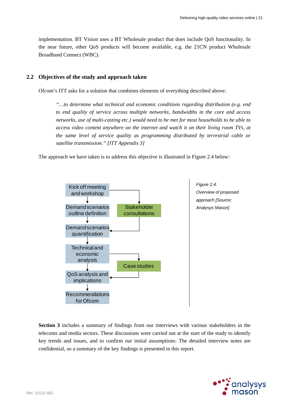implementation. BT Vision uses a BT Wholesale product that does include QoS functionality. In the near future, other QoS products will become available, e.g. the 21CN product Wholesale Broadband Connect (WBC).

## **2.2 Objectives of the study and approach taken**

Ofcom's ITT asks for a solution that combines elements of everything described above:

*"…to determine what technical and economic conditions regarding distribution (e.g. end to end quality of service across multiple networks, bandwidths in the core and access networks, use of multi-casting etc.) would need to be met for most households to be able to access video content anywhere on the internet and watch it on their living room TVs, at the same level of service quality as programming distributed by terrestrial cable or satellite transmission." [ITT Appendix 3]* 

The approach we have taken is to address this objective is illustrated in Figure 2.4 below:



**Section 3** includes a summary of findings from our interviews with various stakeholders in the telecoms and media sectors. These discussions were carried out at the start of the study to identify key trends and issues, and to confirm our initial assumptions. The detailed interview notes are confidential, so a summary of the key findings is presented in this report.

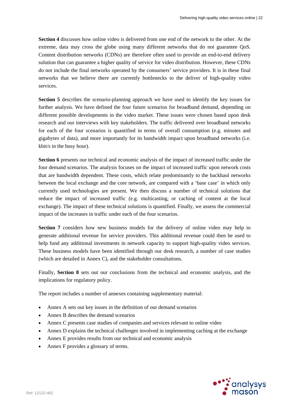**Section 4** discusses how online video is delivered from one end of the network to the other. At the extreme, data may cross the globe using many different networks that do not guarantee QoS. Content distribution networks (CDNs) are therefore often used to provide an end-to-end delivery solution that can guarantee a higher quality of service for video distribution. However, these CDNs do not include the final networks operated by the consumers' service providers. It is in these final networks that we believe there are currently bottlenecks to the deliver of high-quality video services.

**Section 5** describes the scenario-planning approach we have used to identify the key issues for further analysis. We have defined the four future scenarios for broadband demand, depending on different possible developments in the video market. These issues were chosen based upon desk research and our interviews with key stakeholders. The traffic delivered over broadband networks for each of the four scenarios is quantified in terms of overall consumption (e.g. minutes and gigabytes of data), and more importantly for its bandwidth impact upon broadband networks (i.e. kbit/s in the busy hour).

**Section 6** presents our technical and economic analysis of the impact of increased traffic under the four demand scenarios. The analysis focuses on the impact of increased traffic upon network costs that are bandwidth dependent. These costs, which relate predominantly to the backhaul networks between the local exchange and the core network, are compared with a 'base case' in which only currently used technologies are present. We then discuss a number of technical solutions that reduce the impact of increased traffic (e.g. multicasting, or caching of content at the local exchange). The impact of these technical solutions is quantified. Finally, we assess the commercial impact of the increases in traffic under each of the four scenarios.

**Section 7** considers how new business models for the delivery of online video may help to generate additional revenue for service providers. This additional revenue could then be used to help fund any additional investments in network capacity to support high-quality video services. These business models have been identified through our desk research, a number of case studies (which are detailed in Annex C), and the stakeholder consultations.

Finally, **Section 8** sets out our conclusions from the technical and economic analysis, and the implications for regulatory policy.

The report includes a number of annexes containing supplementary material:

- Annex A sets out key issues in the definition of our demand scenarios
- Annex B describes the demand scenarios
- Annex C presents case studies of companies and services relevant to online video
- Annex D explains the technical challenges involved in implementing caching at the exchange
- Annex E provides results from our technical and economic analysis
- Annex F provides a glossary of terms.

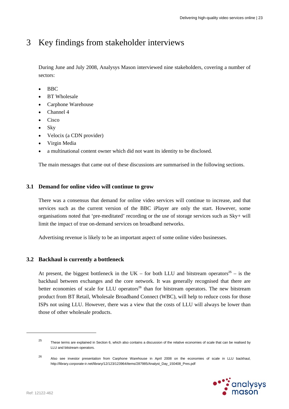## 3 Key findings from stakeholder interviews

During June and July 2008, Analysys Mason interviewed nine stakeholders, covering a number of sectors:

- BBC
- BT Wholesale
- Carphone Warehouse
- Channel 4
- Cisco
- Sky
- Velocix (a CDN provider)
- Virgin Media
- a multinational content owner which did not want its identity to be disclosed.

The main messages that came out of these discussions are summarised in the following sections.

#### **3.1 Demand for online video will continue to grow**

There was a consensus that demand for online video services will continue to increase, and that services such as the current version of the BBC iPlayer are only the start. However, some organisations noted that 'pre-meditated' recording or the use of storage services such as Sky+ will limit the impact of true on-demand services on broadband networks.

Advertising revenue is likely to be an important aspect of some online video businesses.

## **3.2 Backhaul is currently a bottleneck**

At present, the biggest bottleneck in the UK – for both LLU and bitstream operators<sup>25</sup> – is the backhaul between exchanges and the core network. It was generally recognised that there are better economies of scale for LLU operators<sup>26</sup> than for bitstream operators. The new bitstream product from BT Retail, Wholesale Broadband Connect (WBC), will help to reduce costs for those ISPs not using LLU. However, there was a view that the costs of LLU will always be lower than those of other wholesale products.

<sup>&</sup>lt;sup>26</sup> Also see investor presentation from Carphone Warehouse in April 2008 on the economies of scale in LLU backhaul, http://library.corporate-ir.net/library/12/123/123964/items/287985/Analyst\_Day\_150408\_Pres.pdf



<sup>25</sup> These terms are explained in Section 6, which also contains a discussion of the relative economies of scale that can be realised by LLU and bitstream operators.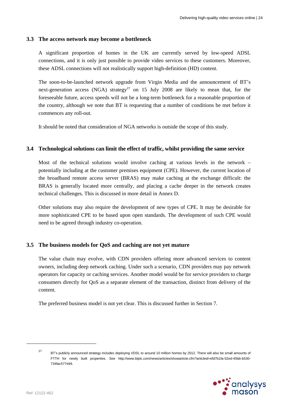#### **3.3 The access network may become a bottleneck**

A significant proportion of homes in the UK are currently served by low-speed ADSL connections, and it is only just possible to provide video services to these customers. Moreover, these ADSL connections will not realistically support high-definition (HD) content.

The soon-to-be-launched network upgrade from Virgin Media and the announcement of BT's next-generation access (NGA) strategy<sup>27</sup> on 15 July 2008 are likely to mean that, for the foreseeable future, access speeds will not be a long-term bottleneck for a reasonable proportion of the country, although we note that BT is requesting that a number of conditions be met before it commences any roll-out.

It should be noted that consideration of NGA networks is outside the scope of this study.

### **3.4 Technological solutions can limit the effect of traffic, whilst providing the same service**

Most of the technical solutions would involve caching at various levels in the network – potentially including at the customer premises equipment (CPE). However, the current location of the broadband remote access server (BRAS) may make caching at the exchange difficult: the BRAS is generally located more centrally, and placing a cache deeper in the network creates technical challenges. This is discussed in more detail in Annex D.

Other solutions may also require the development of new types of CPE. It may be desirable for more sophisticated CPE to be based upon open standards. The development of such CPE would need to be agreed through industry co-operation.

## **3.5 The business models for QoS and caching are not yet mature**

The value chain may evolve, with CDN providers offering more advanced services to content owners, including deep network caching. Under such a scenario, CDN providers may pay network operators for capacity or caching services. Another model would be for service providers to charge consumers directly for QoS as a separate element of the transaction, distinct from delivery of the content.

The preferred business model is not yet clear. This is discussed further in Section 7.

<sup>&</sup>lt;sup>27</sup> BT's publicly announced strategy includes deploying VDSL to around 10 million homes by 2012. There will also be small amounts of FTTH for newly built properties. See http://www.btplc.com/news/articles/showarticle.cfm?articleid=efd7b1fa-52ed-45bb-b530- 734fac577e94.

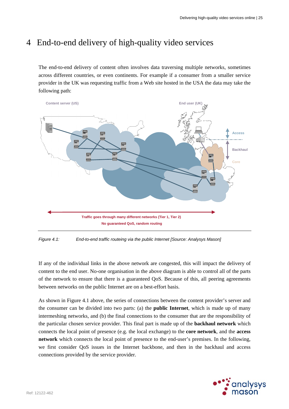## 4 End-to-end delivery of high-quality video services

The end-to-end delivery of content often involves data traversing multiple networks, sometimes across different countries, or even continents. For example if a consumer from a smaller service provider in the UK was requesting traffic from a Web site hosted in the USA the data may take the following path:



*Figure 4.1: End-to-end traffic routeing via the public Internet [Source: Analysys Mason]* 

If any of the individual links in the above network are congested, this will impact the delivery of content to the end user. No-one organisation in the above diagram is able to control all of the parts of the network to ensure that there is a guaranteed QoS. Because of this, all peering agreements between networks on the public Internet are on a best-effort basis.

As shown in Figure 4.1 above, the series of connections between the content provider's server and the consumer can be divided into two parts: (a) the **public Internet**, which is made up of many intermeshing networks, and (b) the final connections to the consumer that are the responsibility of the particular chosen service provider. This final part is made up of the **backhaul network** which connects the local point of presence (e.g. the local exchange) to the **core network**, and the **access network** which connects the local point of presence to the end-user's premises. In the following, we first consider QoS issues in the Internet backbone, and then in the backhaul and access connections provided by the service provider.

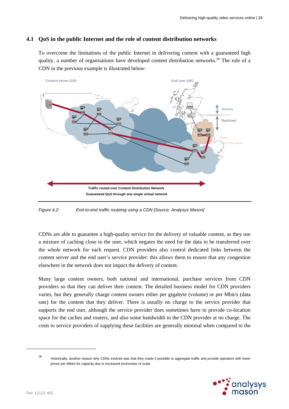## **4.1 QoS in the public Internet and the role of content distribution networks**

To overcome the limitations of the public Internet in delivering content with a guaranteed high quality, a number of organisations have developed content distribution networks.<sup>28</sup> The role of a CDN in the previous example is illustrated below:



*Figure 4.2: End-to-end traffic routeing using a CDN [Source: Analysys Mason]* 

CDNs are able to guarantee a high-quality service for the delivery of valuable content, as they use a mixture of caching close to the user, which negates the need for the data to be transferred over the whole network for each request. CDN providers also control dedicated links between the content server and the end user's service provider: this allows them to ensure that any congestion elsewhere in the network does not impact the delivery of content.

Many large content owners, both national and international, purchase services from CDN providers so that they can deliver their content. The detailed business model for CDN providers varies, but they generally charge content owners either per gigabyte (volume) or per Mbit/s (data rate) for the content that they deliver. There is usually no charge to the service provider that supports the end user, although the service provider does sometimes have to provide co-location space for the caches and routers, and also some bandwidth to the CDN provider at no charge. The costs to service providers of supplying these facilities are generally minimal when compared to the

<sup>&</sup>lt;sup>28</sup> Historically, another reason why CDNs evolved was that they made it possible to aggregate traffic and provide operators with lower prices per Mbit/s for capacity due to increased economies of scale.

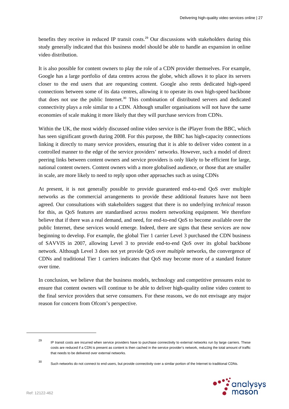benefits they receive in reduced IP transit costs.<sup>29</sup> Our discussions with stakeholders during this study generally indicated that this business model should be able to handle an expansion in online video distribution.

It is also possible for content owners to play the role of a CDN provider themselves. For example, Google has a large portfolio of data centres across the globe, which allows it to place its servers closer to the end users that are requesting content. Google also rents dedicated high-speed connections between some of its data centres, allowing it to operate its own high-speed backbone that does not use the public Internet.<sup>30</sup> This combination of distributed servers and dedicated connectivity plays a role similar to a CDN. Although smaller organisations will not have the same economies of scale making it more likely that they will purchase services from CDNs.

Within the UK, the most widely discussed online video service is the iPlayer from the BBC, which has seen significant growth during 2008. For this purpose, the BBC has high-capacity connections linking it directly to many service providers, ensuring that it is able to deliver video content in a controlled manner to the edge of the service providers' networks. However, such a model of direct peering links between content owners and service providers is only likely to be efficient for large, national content owners. Content owners with a more globalised audience, or those that are smaller in scale, are more likely to need to reply upon other approaches such as using CDNs

At present, it is not generally possible to provide guaranteed end-to-end QoS over multiple networks as the commercial arrangements to provide these additional features have not been agreed. Our consultations with stakeholders suggest that there is no underlying *technical* reason for this, as QoS features are standardised across modern networking equipment. We therefore believe that if there was a real demand, and need, for end-to-end QoS to become available over the public Internet, these services would emerge. Indeed, there are signs that these services are now beginning to develop. For example, the global Tier 1 carrier Level 3 purchased the CDN business of SAVVIS in 2007, allowing Level 3 to provide end-to-end QoS over its global backbone network. Although Level 3 does not yet provide QoS over *multiple* networks, the convergence of CDNs and traditional Tier 1 carriers indicates that QoS may become more of a standard feature over time.

In conclusion, we believe that the business models, technology and competitive pressures exist to ensure that content owners will continue to be able to deliver high-quality online video content to the final service providers that serve consumers. For these reasons, we do not envisage any major reason for concern from Ofcom's perspective.

<sup>30</sup> Such networks do not connect to end users, but provide connectivity over a similar portion of the Internet to traditional CDNs.



<sup>&</sup>lt;sup>29</sup> IP transit costs are incurred when service providers have to purchase connectivity to external networks run by large carriers. These costs are reduced if a CDN is present as content is then cached in the service provider's network, reducing the total amount of traffic that needs to be delivered over external networks.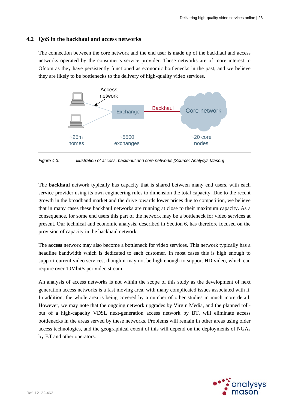### **4.2 QoS in the backhaul and access networks**

The connection between the core network and the end user is made up of the backhaul and access networks operated by the consumer's service provider. These networks are of more interest to Ofcom as they have persistently functioned as economic bottlenecks in the past, and we believe they are likely to be bottlenecks to the delivery of high-quality video services.



*Figure 4.3: Illustration of access, backhaul and core networks [Source: Analysys Mason]* 

The **backhaul** network typically has capacity that is shared between many end users, with each service provider using its own engineering rules to dimension the total capacity. Due to the recent growth in the broadband market and the drive towards lower prices due to competition, we believe that in many cases these backhaul networks are running at close to their maximum capacity. As a consequence, for some end users this part of the network may be a bottleneck for video services at present. Our technical and economic analysis, described in Section 6, has therefore focused on the provision of capacity in the backhaul network.

The **access** network may also become a bottleneck for video services. This network typically has a headline bandwidth which is dedicated to each customer. In most cases this is high enough to support current video services, though it may not be high enough to support HD video, which can require over 10Mbit/s per video stream.

An analysis of access networks is not within the scope of this study as the development of next generation access networks is a fast moving area, with many complicated issues associated with it. In addition, the whole area is being covered by a number of other studies in much more detail. However, we may note that the ongoing network upgrades by Virgin Media, and the planned rollout of a high-capacity VDSL next-generation access network by BT, will eliminate access bottlenecks in the areas served by these networks. Problems will remain in other areas using older access technologies, and the geographical extent of this will depend on the deployments of NGAs by BT and other operators.

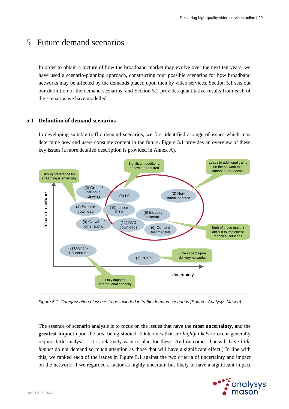## 5 Future demand scenarios

In order to obtain a picture of how the broadband market may evolve over the next ten years, we have used a scenario-planning approach, constructing four possible scenarios for how broadband networks may be affected by the demands placed upon then by video services. Section 5.1 sets out our definition of the demand scenarios, and Section 5.2 provides quantitative results from each of the scenarios we have modelled.

## **5.1 Definition of demand scenarios**

In developing suitable traffic demand scenarios, we first identified a range of issues which may determine how end users consume content in the future. Figure 5.1 provides an overview of these key issues (a more detailed description is provided in Annex A).



*Figure 5.1: Categorisation of issues to be included in traffic demand scenarios [Source: Analysys Mason]* 

The essence of scenario analysis is to focus on the issues that have the **most uncertainty**, and the **greatest impact** upon the area being studied. (Outcomes that are *highly likely* to occur generally require little analysis – it is relatively easy to plan for these. And outcomes that will have *little impact* do not demand so much attention as those that will have a significant effect.) In line with this, we ranked each of the issues in Figure 5.1 against the two criteria of uncertainty and impact on the network: if we regarded a factor as highly uncertain but likely to have a significant impact

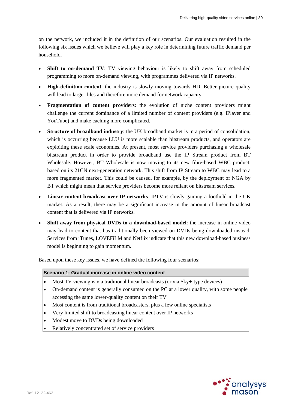on the network, we included it in the definition of our scenarios. Our evaluation resulted in the following six issues which we believe will play a key role in determining future traffic demand per household.

- **Shift to on-demand TV**: TV viewing behaviour is likely to shift away from scheduled programming to more on-demand viewing, with programmes delivered via IP networks.
- **High-definition content**: the industry is slowly moving towards HD. Better picture quality will lead to larger files and therefore more demand for network capacity.
- **Fragmentation of content providers**: the evolution of niche content providers might challenge the current dominance of a limited number of content providers (e.g. iPlayer and YouTube) and make caching more complicated.
- **Structure of broadband industry**: the UK broadband market is in a period of consolidation, which is occurring because LLU is more scalable than bitstream products, and operators are exploiting these scale economies. At present, most service providers purchasing a wholesale bitstream product in order to provide broadband use the IP Stream product from BT Wholesale. However, BT Wholesale is now moving to its new fibre-based WBC product, based on its 21CN next-generation network. This shift from IP Stream to WBC may lead to a more fragmented market. This could be caused, for example, by the deployment of NGA by BT which might mean that service providers become more reliant on bitstream services.
- **Linear content broadcast over IP networks**: IPTV is slowly gaining a foothold in the UK market. As a result, there may be a significant increase in the amount of linear broadcast content that is delivered via IP networks.
- **Shift away from physical DVDs to a download-based model**: the increase in online video may lead to content that has traditionally been viewed on DVDs being downloaded instead. Services from iTunes, LOVEFiLM and Netflix indicate that this new download-based business model is beginning to gain momentum.

Based upon these key issues, we have defined the following four scenarios:

#### **Scenario 1: Gradual increase in online video content**

- Most TV viewing is via traditional linear broadcasts (or via Sky+-type devices)
- On-demand content is generally consumed on the PC at a lower quality, with some people accessing the same lower-quality content on their TV
- Most content is from traditional broadcasters, plus a few online specialists
- Very limited shift to broadcasting linear content over IP networks
- Modest move to DVDs being downloaded
- Relatively concentrated set of service providers

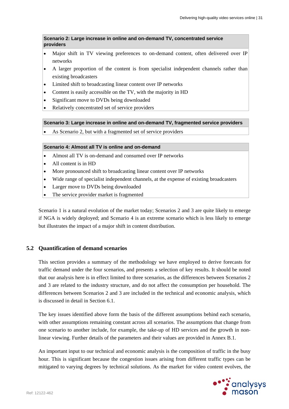**Scenario 2: Large increase in online and on-demand TV, concentrated service providers** 

- Major shift in TV viewing preferences to on-demand content, often delivered over IP networks
- A larger proportion of the content is from specialist independent channels rather than existing broadcasters
- Limited shift to broadcasting linear content over IP networks
- Content is easily accessible on the TV, with the majority in HD
- Significant move to DVDs being downloaded
- Relatively concentrated set of service providers

#### **Scenario 3: Large increase in online and on-demand TV, fragmented service providers**

As Scenario 2, but with a fragmented set of service providers

## **Scenario 4: Almost all TV is online and on-demand**

- Almost all TV is on-demand and consumed over IP networks
- All content is in HD
- More pronounced shift to broadcasting linear content over IP networks
- Wide range of specialist independent channels, at the expense of existing broadcasters
- Larger move to DVDs being downloaded
- The service provider market is fragmented

Scenario 1 is a natural evolution of the market today; Scenarios 2 and 3 are quite likely to emerge if NGA is widely deployed; and Scenario 4 is an extreme scenario which is less likely to emerge but illustrates the impact of a major shift in content distribution.

#### **5.2 Quantification of demand scenarios**

This section provides a summary of the methodology we have employed to derive forecasts for traffic demand under the four scenarios, and presents a selection of key results. It should be noted that our analysis here is in effect limited to three scenarios, as the differences between Scenarios 2 and 3 are related to the industry structure, and do not affect the consumption per household. The differences between Scenarios 2 and 3 are included in the technical and economic analysis, which is discussed in detail in Section 6.1.

The key issues identified above form the basis of the different assumptions behind each scenario, with other assumptions remaining constant across all scenarios. The assumptions that change from one scenario to another include, for example, the take-up of HD services and the growth in nonlinear viewing. Further details of the parameters and their values are provided in Annex B.1.

An important input to our technical and economic analysis is the composition of traffic in the busy hour. This is significant because the congestion issues arising from different traffic types can be mitigated to varying degrees by technical solutions. As the market for video content evolves, the

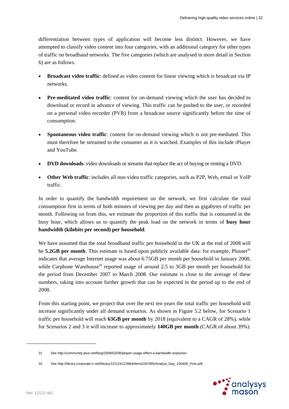differentiation between types of application will become less distinct. However, we have attempted to classify video content into four categories, with an additional category for other types of traffic on broadband networks. The five categories (which are analysed in more detail in Section 6) are as follows.

- **Broadcast video traffic**: defined as video content for linear viewing which is broadcast via IP networks.
- **Pre-meditated video traffic**: content for on-demand viewing which the user has decided to download or record in advance of viewing. This traffic can be pushed to the user, or recorded on a personal video recorder (PVR) from a broadcast source significantly before the time of consumption.
- **Spontaneous video traffic**: content for on-demand viewing which is not pre-mediated. This must therefore be streamed to the consumer as it is watched. Examples of this include iPlayer and YouTube.
- **DVD downloads**: video downloads or streams that replace the act of buying or renting a DVD.
- **Other Web traffic**: includes all non-video traffic categories, such as P2P, Web, email or VoIP traffic.

In order to quantify the bandwidth requirement on the network, we first calculate the total consumption first in terms of both minutes of viewing per day and then as gigabytes of traffic per month. Following on from this, we estimate the proportion of this traffic that is consumed in the busy hour, which allows us to quantify the peak load on the network in terms of **busy hour bandwidth (kilobits per second) per household**.

We have assumed that the total broadband traffic per household in the UK at the end of 2008 will be **5.2GB per month**. This estimate is based upon publicly available data: for example, Plusnet<sup>31</sup> indicates that average Internet usage was about 6.75GB per month per household in January 2008, while Carphone Warehouse<sup>32</sup> reported usage of around 2.5 to 3GB per month per household for the period from December 2007 to March 2008. Our estimate is close to the average of these numbers, taking into account further growth that can be expected in the period up to the end of 2008.

From this starting point, we project that over the next ten years the total traffic per household will increase significantly under all demand scenarios. As shown in Figure 5.2 below, for Scenario 1 traffic per household will reach **63GB per month** by 2018 (equivalent to a CAGR of 28%), while for Scenarios 2 and 3 it will increase to approximately **140GB per month** (CAGR of about 39%).

<sup>32</sup> See http://library.corporate-ir.net/library/12/123/123964/items/287985/Analyst\_Day\_150408\_Pres.pdf



<sup>31</sup> See http://community.plus.net/blog/2008/02/08/iplayer-usage-effect-a-bandwidth-explosion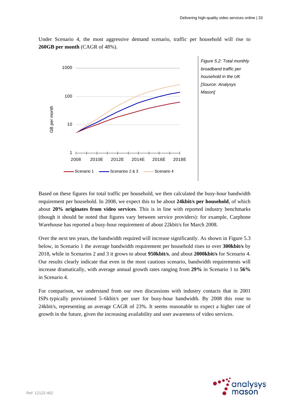

Under Scenario 4, the most aggressive demand scenario, traffic per household will rise to **260GB per month** (CAGR of 48%).

> *Figure 5.2: Total monthly broadband traffic per household in the UK [Source: Analysys Mason]*

Based on these figures for total traffic per household, we then calculated the busy-hour bandwidth requirement per household. In 2008, we expect this to be about **24kbit/s per household**, of which about **20% originates from video services**. This is in line with reported industry benchmarks (though it should be noted that figures vary between service providers): for example, Carphone Warehouse has reported a busy-hour requirement of about 22kbit/s for March 2008.

Over the next ten years, the bandwidth required will increase significantly. As shown in Figure 5.3 below, in Scenario 1 the average bandwidth requirement per household rises to over **300kbit/s** by 2018, while in Scenarios 2 and 3 it grows to about **950kbit/s**, and about **2000kbit/s** for Scenario 4. Our results clearly indicate that even in the most cautious scenario, bandwidth requirements will increase dramatically, with average annual growth rates ranging from **29%** in Scenario 1 to **56%**  in Scenario 4.

For comparison, we understand from our own discussions with industry contacts that in 2001 ISPs typically provisioned 5–6kbit/s per user for busy-hour bandwidth. By 2008 this rose to 24kbit/s, representing an average CAGR of 23%. It seems reasonable to expect a higher rate of growth in the future, given the increasing availability and user awareness of video services.

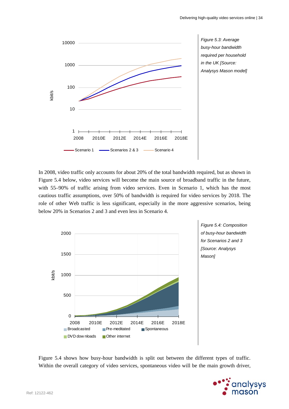

*Figure 5.3: Average busy-hour bandwidth required per household in the UK [Source: Analysys Mason model]* 

In 2008, video traffic only accounts for about 20% of the total bandwidth required, but as shown in Figure 5.4 below, video services will become the main source of broadband traffic in the future, with 55–90% of traffic arising from video services. Even in Scenario 1, which has the most cautious traffic assumptions, over 50% of bandwidth is required for video services by 2018. The role of other Web traffic is less significant, especially in the more aggressive scenarios, being below 20% in Scenarios 2 and 3 and even less in Scenario 4.



Figure 5.4 shows how busy-hour bandwidth is split out between the different types of traffic. Within the overall category of video services, spontaneous video will be the main growth driver,

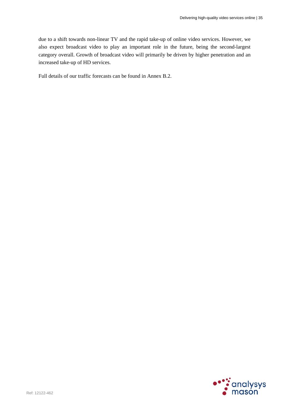due to a shift towards non-linear TV and the rapid take-up of online video services. However, we also expect broadcast video to play an important role in the future, being the second-largest category overall. Growth of broadcast video will primarily be driven by higher penetration and an increased take-up of HD services.

Full details of our traffic forecasts can be found in Annex B.2.

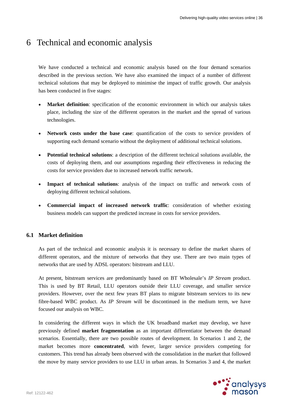# 6 Technical and economic analysis

We have conducted a technical and economic analysis based on the four demand scenarios described in the previous section. We have also examined the impact of a number of different technical solutions that may be deployed to minimise the impact of traffic growth. Our analysis has been conducted in five stages:

- **Market definition**: specification of the economic environment in which our analysis takes place, including the size of the different operators in the market and the spread of various technologies.
- **Network costs under the base case**: quantification of the costs to service providers of supporting each demand scenario without the deployment of additional technical solutions.
- **Potential technical solutions**: a description of the different technical solutions available, the costs of deploying them, and our assumptions regarding their effectiveness in reducing the costs for service providers due to increased network traffic network.
- **Impact of technical solutions**: analysis of the impact on traffic and network costs of deploying different technical solutions.
- **Commercial impact of increased network traffic**: consideration of whether existing business models can support the predicted increase in costs for service providers.

# **6.1 Market definition**

As part of the technical and economic analysis it is necessary to define the market shares of different operators, and the mixture of networks that they use. There are two main types of networks that are used by ADSL operators: bitstream and LLU.

At present, bitstream services are predominantly based on BT Wholesale's *IP Stream* product. This is used by BT Retail, LLU operators outside their LLU coverage, and smaller service providers. However, over the next few years BT plans to migrate bitstream services to its new fibre-based WBC product. As *IP Stream* will be discontinued in the medium term, we have focused our analysis on WBC.

In considering the different ways in which the UK broadband market may develop, we have previously defined **market fragmentation** as an important differentiator between the demand scenarios. Essentially, there are two possible routes of development. In Scenarios 1 and 2, the market becomes more **concentrated**, with fewer, larger service providers competing for customers. This trend has already been observed with the consolidation in the market that followed the move by many service providers to use LLU in urban areas. In Scenarios 3 and 4, the market

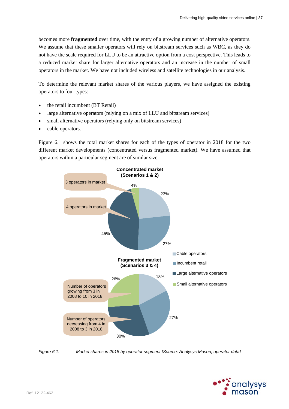becomes more **fragmented** over time, with the entry of a growing number of alternative operators. We assume that these smaller operators will rely on bitstream services such as WBC, as they do not have the scale required for LLU to be an attractive option from a cost perspective. This leads to a reduced market share for larger alternative operators and an increase in the number of small operators in the market. We have not included wireless and satellite technologies in our analysis.

To determine the relevant market shares of the various players, we have assigned the existing operators to four types:

- the retail incumbent (BT Retail)
- large alternative operators (relying on a mix of LLU and bitstream services)
- small alternative operators (relying only on bitstream services)
- cable operators.

Figure 6.1 shows the total market shares for each of the types of operator in 2018 for the two different market developments (concentrated versus fragmented market). We have assumed that operators within a particular segment are of similar size.



*Figure 6.1: Market shares in 2018 by operator segment [Source: Analysys Mason, operator data]* 

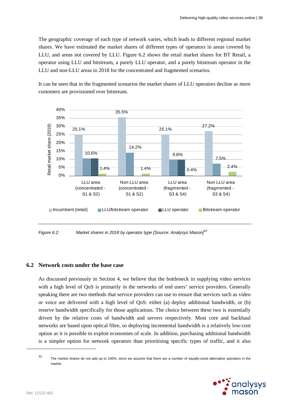The geographic coverage of each type of network varies, which leads to different regional market shares. We have estimated the market shares of different types of operators in areas covered by LLU, and areas not covered by LLU. Figure 6.2 shows the retail market shares for BT Retail, a operator using LLU and bitstream, a purely LLU operator, and a purely bitstream operator in the LLU and non-LLU areas in 2018 for the concentrated and fragmented scenarios.

It can be seen that in the fragmented scenarios the market shares of LLU operators decline as more customers are provisioned over bitstream.



*Figure 6.2: Market shares in 2018 by operator type [Source: Analysys Mason]<sup>33</sup>*

# **6.2 Network costs under the base case**

As discussed previously in Section 4, we believe that the bottleneck in supplying video services with a high level of QoS is primarily in the networks of end users' service providers. Generally speaking there are two methods that service providers can use to ensure that services such as video or voice are delivered with a high level of QoS: either (a) deploy additional bandwidth, or (b) reserve bandwidth specifically for those applications. The choice between these two is essentially driven by the relative costs of bandwidth and servers respectively. Most core and backhaul networks are based upon optical fibre, so deploying incremental bandwidth is a relatively low-cost option as it is possible to exploit economies of scale. In addition, purchasing additional bandwidth is a simpler option for network operators than prioritising specific types of traffic, and it also

<sup>33</sup> The market shares do not add up to 100%, since we assume that there are a number of equally-sized alternative operators in the market.

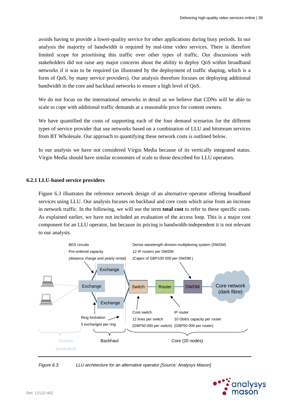avoids having to provide a lower-quality service for other applications during busy periods. In our analysis the majority of bandwidth is required by real-time video services. There is therefore limited scope for prioritising this traffic over other types of traffic. Our discussions with stakeholders did not raise any major concerns about the ability to deploy QoS within broadband networks if it was to be required (as illustrated by the deployment of traffic shaping, which is a form of QoS, by many service providers). Our analysis therefore focuses on deploying additional bandwidth in the core and backhaul networks to ensure a high level of QoS.

We do not focus on the international networks in detail as we believe that CDNs will be able to scale to cope with additional traffic demands at a reasonable price for content owners.

We have quantified the costs of supporting each of the four demand scenarios for the different types of service provider that use networks based on a combination of LLU and bitstream services from BT Wholesale. Our approach to quantifying these network costs is outlined below.

In our analysis we have not considered Virgin Media because of its vertically integrated status. Virgin Media should have similar economies of scale to those described for LLU operators.

### **6.2.1 LLU-based service providers**

Figure 6.3 illustrates the reference network design of an alternative operator offering broadband services using LLU. Our analysis focuses on backhaul and core costs which arise from an increase in network traffic. In the following, we will use the term **total cost** to refer to these specific costs. As explained earlier, we have not included an evaluation of the access loop. This is a major cost component for an LLU operator, but because its pricing is bandwidth-independent it is not relevant to our analysis.



*Figure 6.3: LLU architecture for an alternative operator [Source: Analysys Mason]* 

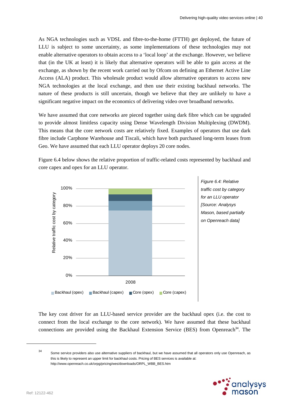As NGA technologies such as VDSL and fibre-to-the-home (FTTH) get deployed, the future of LLU is subject to some uncertainty, as some implementations of these technologies may not enable alternative operators to obtain access to a 'local loop' at the exchange. However, we believe that (in the UK at least) it is likely that alternative operators will be able to gain access at the exchange, as shown by the recent work carried out by Ofcom on defining an Ethernet Active Line Access (ALA) product. This wholesale product would allow alternative operators to access new NGA technologies at the local exchange, and then use their existing backhaul networks. The nature of these products is still uncertain, though we believe that they are unlikely to have a significant negative impact on the economics of delivering video over broadband networks.

We have assumed that core networks are pieced together using dark fibre which can be upgraded to provide almost limitless capacity using Dense Wavelength Division Multiplexing (DWDM). This means that the core network costs are relatively fixed. Examples of operators that use dark fibre include Carphone Warehouse and Tiscali, which have both purchased long-term leases from Geo. We have assumed that each LLU operator deploys 20 core nodes.

Figure 6.4 below shows the relative proportion of traffic-related costs represented by backhaul and core capex and opex for an LLU operator.



*Figure 6.4: Relative traffic cost by category for an LLU operator [Source: Analysys Mason, based partially on Openreach data]* 

The key cost driver for an LLU-based service provider are the backhaul opex (i.e. the cost to connect from the local exchange to the core network). We have assumed that these backhaul connections are provided using the Backhaul Extension Service (BES) from Openreach<sup>34</sup>. The

<sup>&</sup>lt;sup>34</sup> Some service providers also use alternative suppliers of backhaul, but we have assumed that all operators only use Openreach, as this is likely to represent an upper limit for backhaul costs. Pricing of BES services is available at: http://www.openreach.co.uk/orpg/pricing/wes/downloads/ORPL\_WBB\_BES.htm

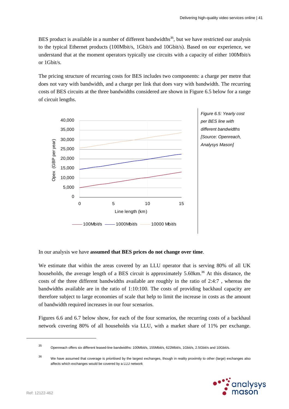BES product is available in a number of different bandwidths<sup>35</sup>, but we have restricted our analysis to the typical Ethernet products (100Mbit/s, 1Gbit/s and 10Gbit/s). Based on our experience, we understand that at the moment operators typically use circuits with a capacity of either 100Mbit/s or 1Gbit/s.

The pricing structure of recurring costs for BES includes two components: a charge per metre that does not vary with bandwidth, and a charge per link that does vary with bandwidth. The recurring costs of BES circuits at the three bandwidths considered are shown in Figure 6.5 below for a range of circuit lengths.



In our analysis we have **assumed that BES prices do not change over time**.

We estimate that within the areas covered by an LLU operator that is serving 80% of all UK households, the average length of a BES circuit is approximately 5.60km.<sup>36</sup> At this distance, the costs of the three different bandwidths available are roughly in the ratio of 2:4:7 , whereas the bandwidths available are in the ratio of 1:10:100. The costs of providing backhaul capacity are therefore subject to large economies of scale that help to limit the increase in costs as the amount of bandwidth required increases in our four scenarios.

Figures 6.6 and 6.7 below show, for each of the four scenarios, the recurring costs of a backhaul network covering 80% of all households via LLU, with a market share of 11% per exchange.

<sup>&</sup>lt;sup>36</sup> We have assumed that coverage is prioritised by the largest exchanges, though in reality proximity to other (large) exchanges also affects which exchanges would be covered by a LLU network



<sup>35</sup> Openreach offers six different leased-line bandwidths: 100Mbit/s, 155Mbit/s, 622Mbit/s, 1Gbit/s, 2.5Gbit/s and 10Gbit/s.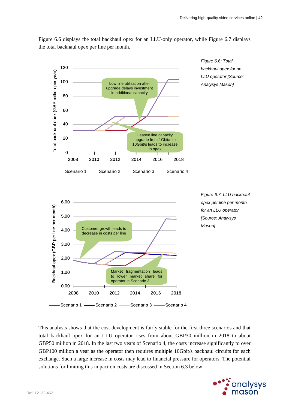Figure 6.6 displays the total backhaul opex for an LLU-only operator, while Figure 6.7 displays the total backhaul opex per line per month.



This analysis shows that the cost development is fairly stable for the first three scenarios and that total backhaul opex for an LLU operator rises from about GBP30 million in 2018 to about GBP50 million in 2018. In the last two years of Scenario 4, the costs increase significantly to over GBP100 million a year as the operator then requires multiple 10Gbit/s backhaul circuits for each exchange. Such a large increase in costs may lead to financial pressure for operators. The potential solutions for limiting this impact on costs are discussed in Section 6.3 below.

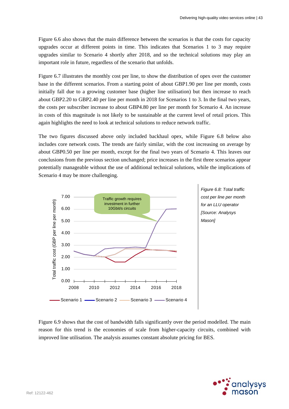Figure 6.6 also shows that the main difference between the scenarios is that the costs for capacity upgrades occur at different points in time. This indicates that Scenarios 1 to 3 may require upgrades similar to Scenario 4 shortly after 2018, and so the technical solutions may play an important role in future, regardless of the scenario that unfolds.

Figure 6.7 illustrates the monthly cost per line, to show the distribution of opex over the customer base in the different scenarios. From a starting point of about GBP1.90 per line per month, costs initially fall due to a growing customer base (higher line utilisation) but then increase to reach about GBP2.20 to GBP2.40 per line per month in 2018 for Scenarios 1 to 3. In the final two years, the costs per subscriber increase to about GBP4.80 per line per month for Scenario 4. An increase in costs of this magnitude is not likely to be sustainable at the current level of retail prices. This again highlights the need to look at technical solutions to reduce network traffic.

The two figures discussed above only included backhaul opex, while Figure 6.8 below also includes core network costs. The trends are fairly similar, with the cost increasing on average by about GBP0.50 per line per month, except for the final two years of Scenario 4. This leaves our conclusions from the previous section unchanged; price increases in the first three scenarios appear potentially manageable without the use of additional technical solutions, while the implications of Scenario 4 may be more challenging.





Figure 6.9 shows that the cost of bandwidth falls significantly over the period modelled. The main reason for this trend is the economies of scale from higher-capacity circuits, combined with improved line utilisation. The analysis assumes constant absolute pricing for BES.

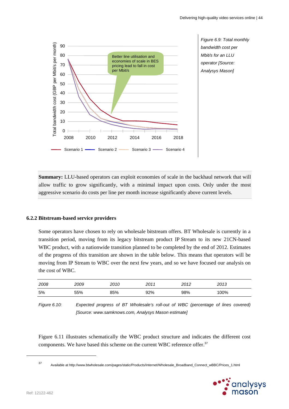

**Summary:** LLU-based operators can exploit economies of scale in the backhaul network that will allow traffic to grow significantly, with a minimal impact upon costs. Only under the most aggressive scenario do costs per line per month increase significantly above current levels.

#### **6.2.2 Bitstream-based service providers**

Some operators have chosen to rely on wholesale bitstream offers. BT Wholesale is currently in a transition period, moving from its legacy bitstream product IP Stream to its new 21CN-based WBC product, with a nationwide transition planned to be completed by the end of 2012. Estimates of the progress of this transition are shown in the table below. This means that operators will be moving from IP Stream to WBC over the next few years, and so we have focused our analysis on the cost of WBC.

| 2008 | 2009 | 2010 | 2011 | 2012 | 2013 |
|------|------|------|------|------|------|
| 5%   | 55%  | 85%  | 92%  | 98%  | 100% |

*Figure 6.10: Expected progress of BT Wholesale's roll-out of WBC (percentage of lines covered) [Source: www.samknows.com, Analysys Mason estimate]* 

Figure 6.11 illustrates schematically the WBC product structure and indicates the different cost components. We have based this scheme on the current WBC reference offer.<sup>37</sup>

<sup>37</sup> Available at http://www.btwholesale.com/pages/static/Products/Internet/Wholesale\_Broadband\_Connect\_wBBC/Prices\_1.html

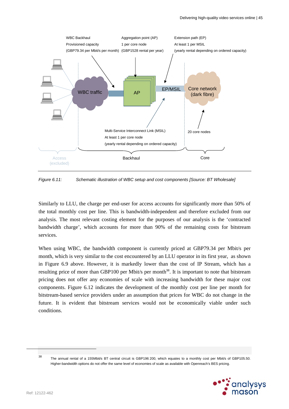

*Figure 6.11: Schematic illustration of WBC setup and cost components [Source: BT Wholesale]* 

Similarly to LLU, the charge per end-user for access accounts for significantly more than 50% of the total monthly cost per line. This is bandwidth-independent and therefore excluded from our analysis. The most relevant costing element for the purposes of our analysis is the 'contracted bandwidth charge', which accounts for more than 90% of the remaining costs for bitstream services.

When using WBC, the bandwidth component is currently priced at GBP79.34 per Mbit/s per month, which is very similar to the cost encountered by an LLU operator in its first year, as shown in Figure 6.9 above. However, it is markedly lower than the cost of IP Stream, which has a resulting price of more than GBP100 per Mbit/s per month<sup>38</sup>. It is important to note that bitstream pricing does not offer any economies of scale with increasing bandwidth for these major cost components. Figure 6.12 indicates the development of the monthly cost per line per month for bitstream-based service providers under an assumption that prices for WBC do not change in the future. It is evident that bitstream services would not be economically viable under such conditions.

<sup>38</sup> The annual rental of a 155Mbit/s BT central circuit is GBP196 200, which equates to a monthly cost per Mbit/s of GBP105.50. Higher-bandwidth options do not offer the same level of economies of scale as available with Openreach's BES pricing.

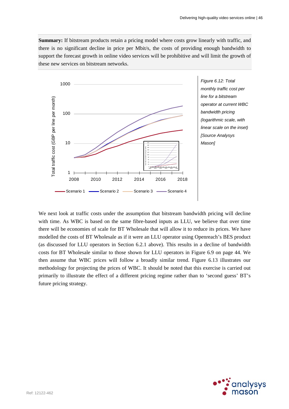**Summary:** If bitstream products retain a pricing model where costs grow linearly with traffic, and there is no significant decline in price per Mbit/s, the costs of providing enough bandwidth to support the forecast growth in online video services will be prohibitive and will limit the growth of these new services on bitstream networks.



We next look at traffic costs under the assumption that bitstream bandwidth pricing will decline with time. As WBC is based on the same fibre-based inputs as LLU, we believe that over time there will be economies of scale for BT Wholesale that will allow it to reduce its prices. We have modelled the costs of BT Wholesale as if it were an LLU operator using Openreach's BES product (as discussed for LLU operators in Section 6.2.1 above). This results in a decline of bandwidth costs for BT Wholesale similar to those shown for LLU operators in Figure 6.9 on page 44. We then assume that WBC prices will follow a broadly similar trend. Figure 6.13 illustrates our methodology for projecting the prices of WBC. It should be noted that this exercise is carried out primarily to illustrate the effect of a different pricing regime rather than to 'second guess' BT's future pricing strategy.

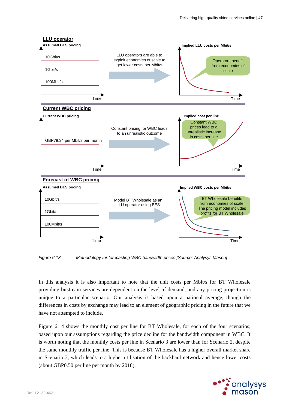

*Figure 6.13: Methodology for forecasting WBC bandwidth prices [Source: Analysys Mason]* 

In this analysis it is also important to note that the unit costs per Mbit/s for BT Wholesale providing bitstream services are dependent on the level of demand, and any pricing projection is unique to a particular scenario. Our analysis is based upon a national average, though the differences in costs by exchange may lead to an element of geographic pricing in the future that we have not attempted to include.

Figure 6.14 shows the monthly cost per line for BT Wholesale, for each of the four scenarios, based upon our assumptions regarding the price decline for the bandwidth component in WBC. It is worth noting that the monthly costs per line in Scenario 3 are lower than for Scenario 2, despite the same monthly traffic per line. This is because BT Wholesale has a higher overall market share in Scenario 3, which leads to a higher utilisation of the backhaul network and hence lower costs (about GBP0.50 per line per month by 2018).

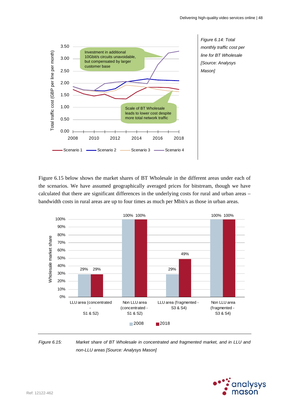

*Figure 6.14: Total monthly traffic cost per line for BT Wholesale [Source: Analysys Mason]* 

Figure 6.15 below shows the market shares of BT Wholesale in the different areas under each of the scenarios. We have assumed geographically averaged prices for bitstream, though we have calculated that there are significant differences in the underlying costs for rural and urban areas – bandwidth costs in rural areas are up to four times as much per Mbit/s as those in urban areas.



*Figure 6.15: Market share of BT Wholesale in concentrated and fragmented market, and in LLU and non-LLU areas [Source: Analysys Mason]* 

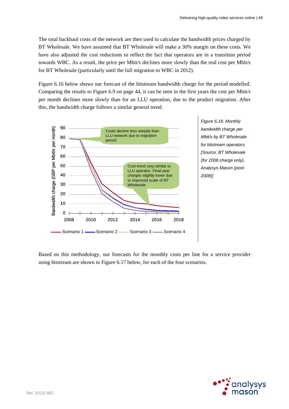The total backhaul costs of the network are then used to calculate the bandwidth prices charged by BT Wholesale. We have assumed that BT Wholesale will make a 30% margin on these costs. We have also adjusted the cost reductions to reflect the fact that operators are in a transition period towards WBC. As a result, the price per Mbit/s declines more slowly than the real cost per Mbit/s for BT Wholesale (particularly until the full migration to WBC in 2012).

Figure 6.16 below shows our forecast of the bitstream bandwidth charge for the period modelled. Comparing the results to Figure 6.9 on page 44, it can be seen in the first years the cost per Mbit/s per month declines more slowly than for an LLU operation, due to the product migration. After this, the bandwidth charge follows a similar general trend.



*Figure 6.16: Monthly bandwidth charge per Mbit/s by BT Wholesale for bitstream operators [Source: BT Wholesale (for 2008 charge only), Analysys Mason (post-2008)]* 

Based on this methodology, our forecasts for the monthly costs per line for a service provider using bitstream are shown in Figure 6.17 below, for each of the four scenarios.

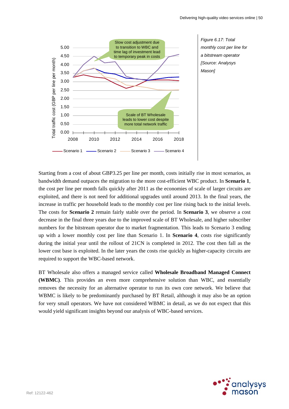

*Figure 6.17: Total monthly cost per line for a bitstream operator [Source: Analysys* 

Starting from a cost of about GBP3.25 per line per month, costs initially rise in most scenarios, as bandwidth demand outpaces the migration to the more cost-efficient WBC product. In **Scenario 1**, the cost per line per month falls quickly after 2011 as the economies of scale of larger circuits are exploited, and there is not need for additional upgrades until around 2013. In the final years, the increase in traffic per household leads to the monthly cost per line rising back to the initial levels. The costs for **Scenario 2** remain fairly stable over the period. In **Scenario 3**, we observe a cost decrease in the final three years due to the improved scale of BT Wholesale, and higher subscriber numbers for the bitstream operator due to market fragmentation. This leads to Scenario 3 ending up with a lower monthly cost per line than Scenario 1. In **Scenario 4**, costs rise significantly during the initial year until the rollout of 21CN is completed in 2012. The cost then fall as the lower cost base is exploited. In the later years the costs rise quickly as higher-capacity circuits are required to support the WBC-based network.

BT Wholesale also offers a managed service called **Wholesale Broadband Managed Connect (WBMC)**. This provides an even more comprehensive solution than WBC, and essentially removes the necessity for an alternative operator to run its own core network. We believe that WBMC is likely to be predominantly purchased by BT Retail, although it may also be an option for very small operators. We have not considered WBMC in detail, as we do not expect that this would yield significant insights beyond our analysis of WBC-based services.

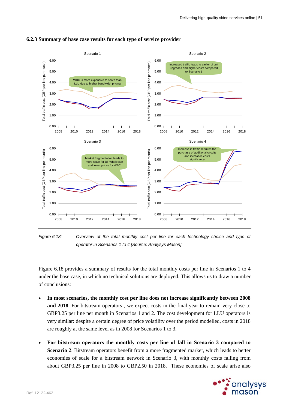

#### **6.2.3 Summary of base case results for each type of service provider**



Figure 6.18 provides a summary of results for the total monthly costs per line in Scenarios 1 to 4 under the base case, in which no technical solutions are deployed. This allows us to draw a number of conclusions:

- **In most scenarios, the monthly cost per line does not increase significantly between 2008 and 2018**. For bitstream operators , we expect costs in the final year to remain very close to GBP3.25 per line per month in Scenarios 1 and 2. The cost development for LLU operators is very similar: despite a certain degree of price volatility over the period modelled, costs in 2018 are roughly at the same level as in 2008 for Scenarios 1 to 3.
- **For bitstream operators the monthly costs per line of fall in Scenario 3 compared to Scenario 2**. Bitstream operators benefit from a more fragmented market, which leads to better economies of scale for a bitstream network in Scenario 3, with monthly costs falling from about GBP3.25 per line in 2008 to GBP2.50 in 2018. These economies of scale arise also

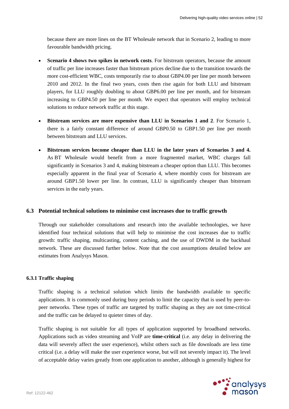because there are more lines on the BT Wholesale network that in Scenario 2, leading to more favourable bandwidth pricing.

- **Scenario 4 shows two spikes in network costs**. For bitstream operators, because the amount of traffic per line increases faster than bitstream prices decline due to the transition towards the more cost-efficient WBC, costs temporarily rise to about GBP4.00 per line per month between 2010 and 2012. In the final two years, costs then rise again for both LLU and bitstream players, for LLU roughly doubling to about GBP6.00 per line per month, and for bitstream increasing to GBP4.50 per line per month. We expect that operators will employ technical solutions to reduce network traffic at this stage.
- **Bitstream services are more expensive than LLU in Scenarios 1 and 2**. For Scenario 1, there is a fairly constant difference of around GBP0.50 to GBP1.50 per line per month between bitstream and LLU services.
- **Bitstream services become cheaper than LLU in the later years of Scenarios 3 and 4.** As BT Wholesale would benefit from a more fragmented market, WBC charges fall significantly in Scenarios 3 and 4, making bitstream a cheaper option than LLU. This becomes especially apparent in the final year of Scenario 4, where monthly costs for bitstream are around GBP1.50 lower per line. In contrast, LLU is significantly cheaper than bitstream services in the early years.

## **6.3 Potential technical solutions to minimise cost increases due to traffic growth**

Through our stakeholder consultations and research into the available technologies, we have identified four technical solutions that will help to minimise the cost increases due to traffic growth: traffic shaping, multicasting, content caching, and the use of DWDM in the backhaul network. These are discussed further below. Note that the cost assumptions detailed below are estimates from Analysys Mason.

## **6.3.1 Traffic shaping**

Traffic shaping is a technical solution which limits the bandwidth available to specific applications. It is commonly used during busy periods to limit the capacity that is used by peer-topeer networks. These types of traffic are targeted by traffic shaping as they are not time-critical and the traffic can be delayed to quieter times of day.

Traffic shaping is not suitable for all types of application supported by broadband networks. Applications such as video streaming and VoIP are **time-critical** (i.e. any delay in delivering the data will severely affect the user experience), whilst others such as file downloads are less time critical (i.e. a delay will make the user experience worse, but will not severely impact it). The level of acceptable delay varies greatly from one application to another, although is generally highest for

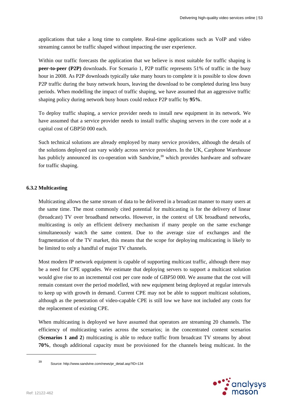applications that take a long time to complete. Real-time applications such as VoIP and video streaming cannot be traffic shaped without impacting the user experience.

Within our traffic forecasts the application that we believe is most suitable for traffic shaping is **peer-to-peer (P2P)** downloads. For Scenario 1, P2P traffic represents 51% of traffic in the busy hour in 2008. As P2P downloads typically take many hours to complete it is possible to slow down P2P traffic during the busy network hours, leaving the download to be completed during less busy periods. When modelling the impact of traffic shaping, we have assumed that an aggressive traffic shaping policy during network busy hours could reduce P2P traffic by **95%**.

To deploy traffic shaping, a service provider needs to install new equipment in its network. We have assumed that a service provider needs to install traffic shaping servers in the core node at a capital cost of GBP50 000 each.

Such technical solutions are already employed by many service providers, although the details of the solutions deployed can vary widely across service providers. In the UK, Carphone Warehouse has publicly announced its co-operation with Sandvine,<sup>39</sup> which provides hardware and software for traffic shaping.

## **6.3.2 Multicasting**

Multicasting allows the same stream of data to be delivered in a broadcast manner to many users at the same time. The most commonly cited potential for multicasting is for the delivery of linear (broadcast) TV over broadband networks. However, in the context of UK broadband networks, multicasting is only an efficient delivery mechanism if many people on the same exchange simultaneously watch the same content. Due to the average size of exchanges and the fragmentation of the TV market, this means that the scope for deploying multicasting is likely to be limited to only a handful of major TV channels.

Most modern IP network equipment is capable of supporting multicast traffic, although there may be a need for CPE upgrades. We estimate that deploying servers to support a multicast solution would give rise to an incremental cost per core node of GBP50 000. We assume that the cost will remain constant over the period modelled, with new equipment being deployed at regular intervals to keep up with growth in demand. Current CPE may not be able to support multicast solutions, although as the penetration of video-capable CPE is still low we have not included any costs for the replacement of existing CPE.

When multicasting is deployed we have assumed that operators are streaming 20 channels. The efficiency of multicasting varies across the scenarios; in the concentrated content scenarios (**Scenarios 1 and 2**) multicasting is able to reduce traffic from broadcast TV streams by about **70%**, though additional capacity must be provisioned for the channels being multicast. In the



<sup>39</sup> Source: http://www.sandvine.com/news/pr\_detail.asp?ID=134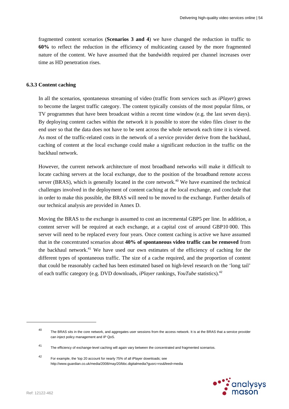fragmented content scenarios (**Scenarios 3 and 4**) we have changed the reduction in traffic to **60%** to reflect the reduction in the efficiency of multicasting caused by the more fragmented nature of the content. We have assumed that the bandwidth required per channel increases over time as HD penetration rises.

#### **6.3.3 Content caching**

In all the scenarios, spontaneous streaming of video (traffic from services such as *iPlayer*) grows to become the largest traffic category. The content typically consists of the most popular films, or TV programmes that have been broadcast within a recent time window (e.g. the last seven days). By deploying content caches within the network it is possible to store the video files closer to the end user so that the data does not have to be sent across the whole network each time it is viewed. As most of the traffic-related costs in the network of a service provider derive from the backhaul, caching of content at the local exchange could make a significant reduction in the traffic on the backhaul network.

However, the current network architecture of most broadband networks will make it difficult to locate caching servers at the local exchange, due to the position of the broadband remote access server (BRAS), which is generally located in the core network.<sup>40</sup> We have examined the technical challenges involved in the deployment of content caching at the local exchange, and conclude that in order to make this possible, the BRAS will need to be moved to the exchange. Further details of our technical analysis are provided in Annex D.

Moving the BRAS to the exchange is assumed to cost an incremental GBP5 per line. In addition, a content server will be required at each exchange, at a capital cost of around GBP10 000. This server will need to be replaced every four years. Once content caching is active we have assumed that in the concentrated scenarios about **40% of spontaneous video traffic can be removed** from the backhaul network.<sup>41</sup> We have used our own estimates of the efficiency of caching for the different types of spontaneous traffic. The size of a cache required, and the proportion of content that could be reasonably cached has been estimated based on high-level research on the 'long tail' of each traffic category (e.g. DVD downloads, *iPlayer* rankings, *YouTube* statistics).<sup>42</sup>



<sup>40</sup> The BRAS sits in the core network, and aggregates user sessions from the access network. It is at the BRAS that a service provider can inject policy management and IP QoS.

<sup>41</sup> The efficiency of exchange-level caching will again vary between the concentrated and fragmented scenarios.

<sup>42</sup> For example, the 'top 20 account for nearly 75% of all iPlayer downloads; see http://www.guardian.co.uk/media/2008/may/20/bbc.digitalmedia?gusrc=rss&feed=media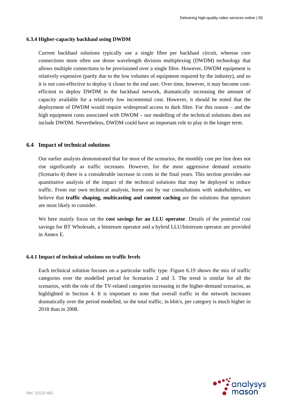#### **6.3.4 Higher-capacity backhaul using DWDM**

Current backhaul solutions typically use a single fibre per backhaul circuit, whereas core connections more often use dense wavelength division multiplexing (DWDM) technology that allows multiple connections to be provisioned over a single fibre. However, DWDM equipment is relatively expensive (partly due to the low volumes of equipment required by the industry), and so it is not cost-effective to deploy it closer to the end user. Over time, however, it may become costefficient to deploy DWDM in the backhaul network, dramatically increasing the amount of capacity available for a relatively low incremental cost. However, it should be noted that the deployment of DWDM would require widespread access to dark fibre. For this reason – and the high equipment costs associated with DWDM – our modelling of the technical solutions does not include DWDM. Nevertheless, DWDM could have an important role to play in the longer term.

## **6.4 Impact of technical solutions**

Our earlier analysis demonstrated that for most of the scenarios, the monthly cost per line does not rise significantly as traffic increases. However, for the most aggressive demand scenario (Scenario 4) there is a considerable increase in costs in the final years. This section provides our quantitative analysis of the impact of the technical solutions that may be deployed to reduce traffic. From our own technical analysis, borne out by our consultations with stakeholders, we believe that **traffic shaping, multicasting and content caching** are the solutions that operators are most likely to consider.

We here mainly focus on the **cost savings for an LLU operator**. Details of the potential cost savings for BT Wholesale, a bitstream operator and a hybrid LLU/bitstream operator are provided in Annex E.

#### **6.4.1 Impact of technical solutions on traffic levels**

Each technical solution focuses on a particular traffic type. Figure 6.19 shows the mix of traffic categories over the modelled period for Scenarios 2 and 3. The trend is similar for all the scenarios, with the role of the TV-related categories increasing in the higher-demand scenarios, as highlighted in Section 4. It is important to note that overall traffic in the network increases dramatically over the period modelled, so the total traffic, in kbit/s, per category is much higher in 2018 than in 2008.

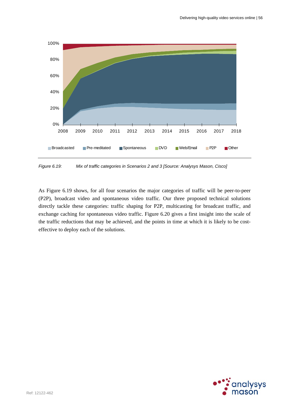

*Figure 6.19: Mix of traffic categories in Scenarios 2 and 3 [Source: Analysys Mason, Cisco]* 

As Figure 6.19 shows, for all four scenarios the major categories of traffic will be peer-to-peer (P2P), broadcast video and spontaneous video traffic. Our three proposed technical solutions directly tackle these categories: traffic shaping for P2P, multicasting for broadcast traffic, and exchange caching for spontaneous video traffic. Figure 6.20 gives a first insight into the scale of the traffic reductions that may be achieved, and the points in time at which it is likely to be costeffective to deploy each of the solutions.

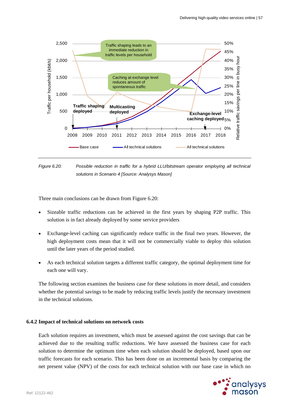

*Figure 6.20: Possible reduction in traffic for a hybrid LLU/bitstream operator employing all technical solutions in Scenario 4 [Source: Analysys Mason]* 

Three main conclusions can be drawn from Figure 6.20:

- Sizeable traffic reductions can be achieved in the first years by shaping P2P traffic. This solution is in fact already deployed by some service providers
- Exchange-level caching can significantly reduce traffic in the final two years. However, the high deployment costs mean that it will not be commercially viable to deploy this solution until the later years of the period studied.
- As each technical solution targets a different traffic category, the optimal deployment time for each one will vary.

The following section examines the business case for these solutions in more detail, and considers whether the potential savings to be made by reducing traffic levels justify the necessary investment in the technical solutions.

#### **6.4.2 Impact of technical solutions on network costs**

Each solution requires an investment, which must be assessed against the cost savings that can be achieved due to the resulting traffic reductions. We have assessed the business case for each solution to determine the optimum time when each solution should be deployed, based upon our traffic forecasts for each scenario. This has been done on an incremental basis by comparing the net present value (NPV) of the costs for each technical solution with our base case in which no

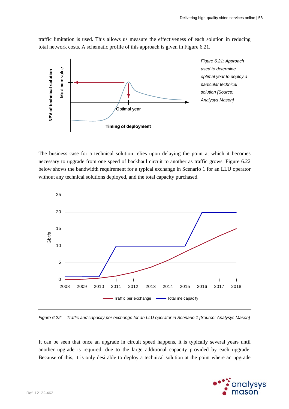traffic limitation is used. This allows us measure the effectiveness of each solution in reducing total network costs. A schematic profile of this approach is given in Figure 6.21.



*Figure 6.21: Approach used to determine optimal year to deploy a particular technical solution [Source: Analysys Mason]* 

The business case for a technical solution relies upon delaying the point at which it becomes necessary to upgrade from one speed of backhaul circuit to another as traffic grows. Figure 6.22 below shows the bandwidth requirement for a typical exchange in Scenario 1 for an LLU operator without any technical solutions deployed, and the total capacity purchased.



*Figure 6.22: Traffic and capacity per exchange for an LLU operator in Scenario 1 [Source: Analysys Mason]* 

It can be seen that once an upgrade in circuit speed happens, it is typically several years until another upgrade is required, due to the large additional capacity provided by each upgrade. Because of this, it is only desirable to deploy a technical solution at the point where an upgrade

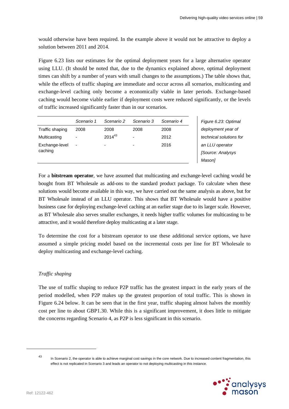would otherwise have been required. In the example above it would not be attractive to deploy a solution between 2011 and 2014.

Figure 6.23 lists our estimates for the optimal deployment years for a large alternative operator using LLU. (It should be noted that, due to the dynamics explained above, optimal deployment times can shift by a number of years with small changes to the assumptions.) The table shows that, while the effects of traffic shaping are immediate and occur across all scenarios, multicasting and exchange-level caching only become a economically viable in later periods. Exchange-based caching would become viable earlier if deployment costs were reduced significantly, or the levels of traffic increased significantly faster than in our scenarios.

|                           | Scenario 1               | Scenario 2  | Scenario 3 | Scenario 4 |
|---------------------------|--------------------------|-------------|------------|------------|
| Traffic shaping           | 2008                     | 2008        | 2008       | 2008       |
| Multicasting              | $\overline{\phantom{0}}$ | $2014^{43}$ | -          | 2012       |
| Exchange-level<br>caching | ٠                        | -           | -          | 2016       |

*Figure 6.23: Optimal deployment year of technical solutions for an LLU operator [Source: Analysys Mason]* 

For a **bitstream operator**, we have assumed that multicasting and exchange-level caching would be bought from BT Wholesale as add-ons to the standard product package. To calculate when these solutions would become available in this way, we have carried out the same analysis as above, but for BT Wholesale instead of an LLU operator. This shows that BT Wholesale would have a positive business case for deploying exchange-level caching at an earlier stage due to its larger scale. However, as BT Wholesale also serves smaller exchanges, it needs higher traffic volumes for multicasting to be attractive, and it would therefore deploy multicasting at a later stage.

To determine the cost for a bitstream operator to use these additional service options, we have assumed a simple pricing model based on the incremental costs per line for BT Wholesale to deploy multicasting and exchange-level caching.

## *Traffic shaping*

The use of traffic shaping to reduce P2P traffic has the greatest impact in the early years of the period modelled, when P2P makes up the greatest proportion of total traffic. This is shown in Figure 6.24 below. It can be seen that in the first year, traffic shaping almost halves the monthly cost per line to about GBP1.30. While this is a significant improvement, it does little to mitigate the concerns regarding Scenario 4, as P2P is less significant in this scenario.

<sup>43</sup> In Scenario 2, the operator is able to achieve marginal cost savings in the core network. Due to increased content fragmentation, this effect is not replicated in Scenario 3 and leads an operator to not deploying multicasting in this instance.

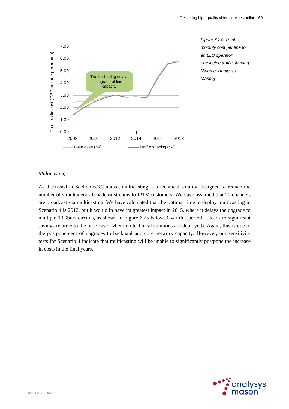

*Figure 6.24: Total monthly cost per line for an LLU operator employing traffic shaping [Source: Analysys Mason]* 

## *Multicasting*

As discussed in Section 6.3.2 above, multicasting is a technical solution designed to reduce the number of simultaneous broadcast streams to IPTV customers. We have assumed that 20 channels are broadcast via multicasting. We have calculated that the optimal time to deploy multicasting in Scenario 4 is 2012, but it would in have its greatest impact in 2015, where it delays the upgrade to multiple 10Gbit/s circuits, as shown in Figure 6.25 below. Over this period, it leads to significant savings relative to the base case (where no technical solutions are deployed). Again, this is due to the postponement of upgrades to backhaul and core network capacity. However, our sensitivity tests for Scenario 4 indicate that multicasting will be unable to significantly postpone the increase in costs in the final years.

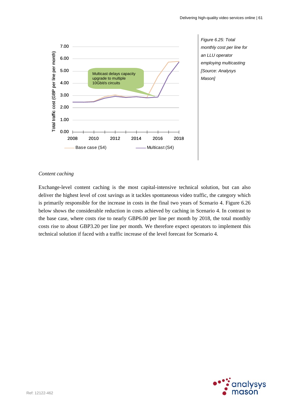

*Figure 6.25: Total monthly cost per line for an LLU operator employing multicasting [Source: Analysys Mason]* 

### *Content caching*

Exchange-level content caching is the most capital-intensive technical solution, but can also deliver the highest level of cost savings as it tackles spontaneous video traffic, the category which is primarily responsible for the increase in costs in the final two years of Scenario 4. Figure 6.26 below shows the considerable reduction in costs achieved by caching in Scenario 4. In contrast to the base case, where costs rise to nearly GBP6.00 per line per month by 2018, the total monthly costs rise to about GBP3.20 per line per month. We therefore expect operators to implement this technical solution if faced with a traffic increase of the level forecast for Scenario 4.

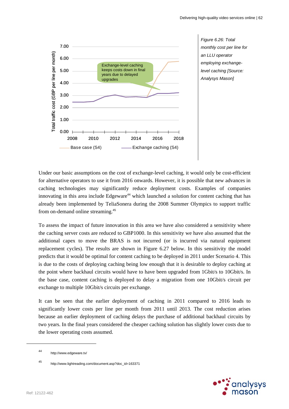

*Figure 6.26: Total monthly cost per line for an LLU operator employing exchangelevel caching [Source: Analysys Mason]* 

Under our basic assumptions on the cost of exchange-level caching, it would only be cost-efficient for alternative operators to use it from 2016 onwards. However, it is possible that new advances in caching technologies may significantly reduce deployment costs. Examples of companies innovating in this area include Edgeware<sup>44</sup> which launched a solution for content caching that has already been implemented by TeliaSonera during the 2008 Summer Olympics to support traffic from on-demand online streaming.<sup>45</sup>

To assess the impact of future innovation in this area we have also considered a sensitivity where the caching server costs are reduced to GBP1000. In this sensitivity we have also assumed that the additional capex to move the BRAS is not incurred (or is incurred via natural equipment replacement cycles). The results are shown in Figure 6.27 below. In this sensitivity the model predicts that it would be optimal for content caching to be deployed in 2011 under Scenario 4. This is due to the costs of deploying caching being low enough that it is desirable to deploy caching at the point where backhaul circuits would have to have been upgraded from 1Gbit/s to 10Gbit/s. In the base case, content caching is deployed to delay a migration from one 10Gbit/s circuit per exchange to multiple 10Gbit/s circuits per exchange.

It can be seen that the earlier deployment of caching in 2011 compared to 2016 leads to significantly lower costs per line per month from 2011 until 2013. The cost reduction arises because an earlier deployment of caching delays the purchase of additional backhaul circuits by two years. In the final years considered the cheaper caching solution has slightly lower costs due to the lower operating costs assumed.



<sup>44</sup> http://www.edgeware.tv/

<sup>45</sup> http://www.lightreading.com/document.asp?doc\_id=163371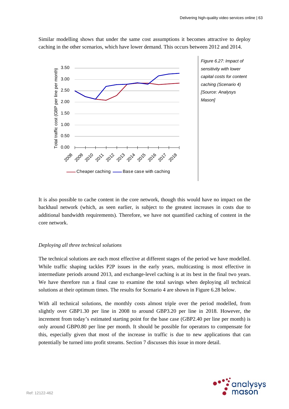Similar modelling shows that under the same cost assumptions it becomes attractive to deploy caching in the other scenarios, which have lower demand. This occurs between 2012 and 2014.



*Figure 6.27: Impact of sensitivity with lower capital costs for content caching (Scenario 4) [Source: Analysys Mason]* 

It is also possible to cache content in the core network, though this would have no impact on the backhaul network (which, as seen earlier, is subject to the greatest increases in costs due to additional bandwidth requirements). Therefore, we have not quantified caching of content in the core network.

#### *Deploying all three technical solutions*

The technical solutions are each most effective at different stages of the period we have modelled. While traffic shaping tackles P2P issues in the early years, multicasting is most effective in intermediate periods around 2013, and exchange-level caching is at its best in the final two years. We have therefore run a final case to examine the total savings when deploying all technical solutions at their optimum times. The results for Scenario 4 are shown in Figure 6.28 below.

With all technical solutions, the monthly costs almost triple over the period modelled, from slightly over GBP1.30 per line in 2008 to around GBP3.20 per line in 2018. However, the increment from today's estimated starting point for the base case (GBP2.40 per line per month) is only around GBP0.80 per line per month. It should be possible for operators to compensate for this, especially given that most of the increase in traffic is due to new applications that can potentially be turned into profit streams. Section 7 discusses this issue in more detail.

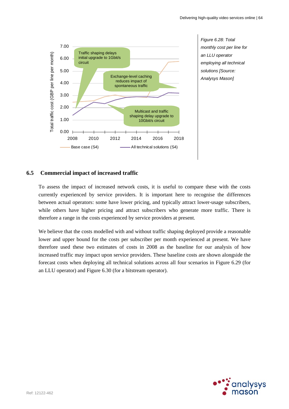

*Figure 6.28: Total monthly cost per line for an LLU operator employing all technical solutions [Source: Analysys Mason]* 

# **6.5 Commercial impact of increased traffic**

To assess the impact of increased network costs, it is useful to compare these with the costs currently experienced by service providers. It is important here to recognise the differences between actual operators: some have lower pricing, and typically attract lower-usage subscribers, while others have higher pricing and attract subscribers who generate more traffic. There is therefore a range in the costs experienced by service providers at present.

We believe that the costs modelled with and without traffic shaping deployed provide a reasonable lower and upper bound for the costs per subscriber per month experienced at present. We have therefore used these two estimates of costs in 2008 as the baseline for our analysis of how increased traffic may impact upon service providers. These baseline costs are shown alongside the forecast costs when deploying all technical solutions across all four scenarios in Figure 6.29 (for an LLU operator) and Figure 6.30 (for a bitstream operator).

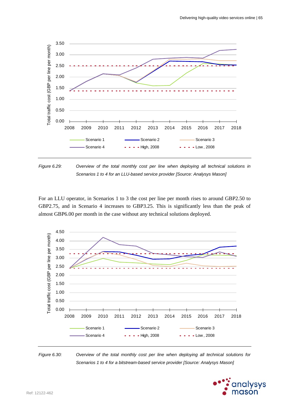

*Figure 6.29: Overview of the total monthly cost per line when deploying all technical solutions in Scenarios 1 to 4 for an LLU-based service provider [Source: Analysys Mason]* 

For an LLU operator, in Scenarios 1 to 3 the cost per line per month rises to around GBP2.50 to GBP2.75, and in Scenario 4 increases to GBP3.25. This is significantly less than the peak of almost GBP6.00 per month in the case without any technical solutions deployed.



*Figure 6.30: Overview of the total monthly cost per line when deploying all technical solutions for Scenarios 1 to 4 for a bitstream-based service provider [Source: Analysys Mason]* 

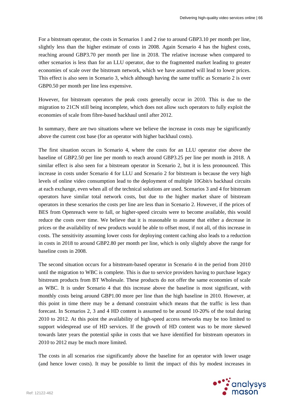For a bitstream operator, the costs in Scenarios 1 and 2 rise to around GBP3.10 per month per line, slightly less than the higher estimate of costs in 2008. Again Scenario 4 has the highest costs, reaching around GBP3.70 per month per line in 2018. The relative increase when compared to other scenarios is less than for an LLU operator, due to the fragmented market leading to greater economies of scale over the bitstream network, which we have assumed will lead to lower prices. This effect is also seen in Scenario 3, which although having the same traffic as Scenario 2 is over GBP0.50 per month per line less expensive.

However, for bitstream operators the peak costs generally occur in 2010. This is due to the migration to 21CN still being incomplete, which does not allow such operators to fully exploit the economies of scale from fibre-based backhaul until after 2012.

In summary, there are two situations where we believe the increase in costs may be significantly above the current cost base (for an operator with higher backhaul costs).

The first situation occurs in Scenario 4, where the costs for an LLU operator rise above the baseline of GBP2.50 per line per month to reach around GBP3.25 per line per month in 2018. A similar effect is also seen for a bitstream operator in Scenario 2, but it is less pronounced. This increase in costs under Scenario 4 for LLU and Scenario 2 for bitstream is because the very high levels of online video consumption lead to the deployment of multiple 10Gbit/s backhaul circuits at each exchange, even when all of the technical solutions are used. Scenarios 3 and 4 for bitstream operators have similar total network costs, but due to the higher market share of bitstream operators in these scenarios the costs per line are less than in Scenario 2. However, if the prices of BES from Openreach were to fall, or higher-speed circuits were to become available, this would reduce the costs over time. We believe that it is reasonable to assume that either a decrease in prices or the availability of new products would be able to offset most, if not all, of this increase in costs. The sensitivity assuming lower costs for deploying content caching also leads to a reduction in costs in 2018 to around GBP2.80 per month per line, which is only slightly above the range for baseline costs in 2008.

The second situation occurs for a bitstream-based operator in Scenario 4 in the period from 2010 until the migration to WBC is complete. This is due to service providers having to purchase legacy bitstream products from BT Wholesale. These products do not offer the same economies of scale as WBC. It is under Scenario 4 that this increase above the baseline is most significant, with monthly costs being around GBP1.00 more per line than the high baseline in 2010. However, at this point in time there may be a demand constraint which means that the traffic is less than forecast. In Scenarios 2, 3 and 4 HD content is assumed to be around 10-20% of the total during 2010 to 2012. At this point the availability of high-speed access networks may be too limited to support widespread use of HD services. If the growth of HD content was to be more skewed towards later years the potential spike in costs that we have identified for bitstream operators in 2010 to 2012 may be much more limited.

The costs in all scenarios rise significantly above the baseline for an operator with lower usage (and hence lower costs). It may be possible to limit the impact of this by modest increases in

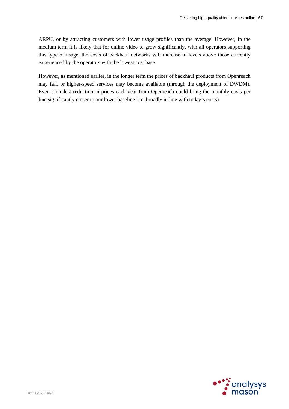ARPU, or by attracting customers with lower usage profiles than the average. However, in the medium term it is likely that for online video to grow significantly, with all operators supporting this type of usage, the costs of backhaul networks will increase to levels above those currently experienced by the operators with the lowest cost base.

However, as mentioned earlier, in the longer term the prices of backhaul products from Openreach may fall, or higher-speed services may become available (through the deployment of DWDM). Even a modest reduction in prices each year from Openreach could bring the monthly costs per line significantly closer to our lower baseline (i.e. broadly in line with today's costs).

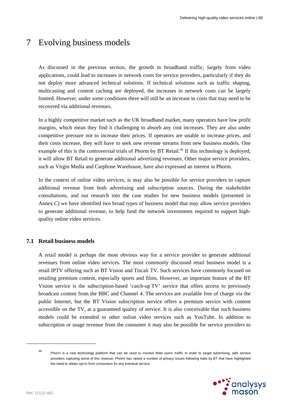# 7 Evolving business models

As discussed in the previous section, the growth in broadband traffic, largely from video applications, could lead to increases in network costs for service providers, particularly if they do not deploy more advanced technical solutions. If technical solutions such as traffic shaping, multicasting and content caching are deployed, the increases in network costs can be largely limited. However, under some conditions there will still be an increase in costs that may need to be recovered via additional revenues.

In a highly competitive market such as the UK broadband market, many operators have low profit margins, which mean they find it challenging to absorb any cost increases. They are also under competitive pressure not to increase their prices. If operators are unable to increase prices, and their costs increase, they will have to seek new revenue streams from new business models. One example of this is the controversial trials of Phorm by BT Retail.<sup>46</sup> If this technology is deployed, it will allow BT Retail to generate additional advertising revenues. Other major service providers, such as Virgin Media and Carphone Warehouse, have also expressed an interest in Phorm.

In the context of online video services, is may also be possible for service providers to capture additional revenue from both advertising and subscription sources. During the stakeholder consultations, and our research into the case studies for new business models (presented in Annex C) we have identified two broad types of business model that may allow service providers to generate additional revenue, to help fund the network investments required to support highquality online video services.

### **7.1 Retail business models**

A retail model is perhaps the most obvious way for a service provider to generate additional revenues from online video services. The most commonly discussed retail business model is a retail IPTV offering such as BT Vision and Tiscali TV. Such services have commonly focused on retailing premium content, especially sports and films. However, an important feature of the BT Vision service is the subscription-based 'catch-up TV' service that offers access to previously broadcast content from the BBC and Channel 4. The services are available free of charge via the public Internet, but the BT Vision subscription service offers a premium service with content accessible on the TV, at a guaranteed quality of service. It is also conceivable that such business models could be extended to other online video services such as YouTube. In addition to subscription or usage revenue from the consumer it may also be possible for service providers to

<sup>46</sup> Phorm is a new technology platform that can be used to monitor Web users' traffic in order to target advertising, with service providers capturing some of this revenue. Phorm has raised a number of privacy issues following trails by BT that have highlighted the need to obtain opt-in from consumers for any eventual service.

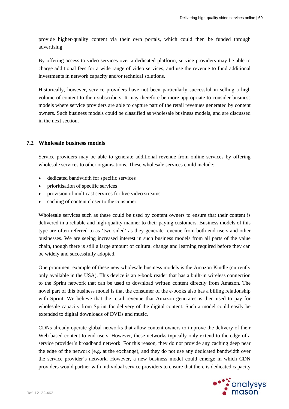provide higher-quality content via their own portals, which could then be funded through advertising.

By offering access to video services over a dedicated platform, service providers may be able to charge additional fees for a wide range of video services, and use the revenue to fund additional investments in network capacity and/or technical solutions.

Historically, however, service providers have not been particularly successful in selling a high volume of content to their subscribers. It may therefore be more appropriate to consider business models where service providers are able to capture part of the retail revenues generated by content owners. Such business models could be classified as wholesale business models, and are discussed in the next section.

#### **7.2 Wholesale business models**

Service providers may be able to generate additional revenue from online services by offering wholesale services to other organisations. These wholesale services could include:

- dedicated bandwidth for specific services
- prioritisation of specific services
- provision of multicast services for live video streams
- caching of content closer to the consumer.

Wholesale services such as these could be used by content owners to ensure that their content is delivered in a reliable and high-quality manner to their paying customers. Business models of this type are often referred to as 'two sided' as they generate revenue from both end users and other businesses. We are seeing increased interest in such business models from all parts of the value chain, though there is still a large amount of cultural change and learning required before they can be widely and successfully adopted.

One prominent example of these new wholesale business models is the Amazon Kindle (currently only available in the USA). This device is an e-book reader that has a built-in wireless connection to the Sprint network that can be used to download written content directly from Amazon. The novel part of this business model is that the consumer of the e-books also has a billing relationship with Sprint. We believe that the retail revenue that Amazon generates is then used to pay for wholesale capacity from Sprint for delivery of the digital content. Such a model could easily be extended to digital downloads of DVDs and music.

CDNs already operate global networks that allow content owners to improve the delivery of their Web-based content to end users. However, these networks typically only extend to the edge of a service provider's broadband network. For this reason, they do not provide any caching deep near the edge of the network (e.g. at the exchange), and they do not use any dedicated bandwidth over the service provider's network. However, a new business model could emerge in which CDN providers would partner with individual service providers to ensure that there is dedicated capacity

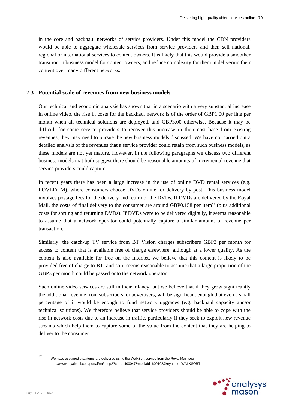in the core and backhaul networks of service providers. Under this model the CDN providers would be able to aggregate wholesale services from service providers and then sell national, regional or international services to content owners. It is likely that this would provide a smoother transition in business model for content owners, and reduce complexity for them in delivering their content over many different networks.

#### **7.3 Potential scale of revenues from new business models**

Our technical and economic analysis has shown that in a scenario with a very substantial increase in online video, the rise in costs for the backhaul network is of the order of GBP1.00 per line per month when all technical solutions are deployed, and GBP3.00 otherwise. Because it may be difficult for some service providers to recover this increase in their cost base from existing revenues, they may need to pursue the new business models discussed. We have not carried out a detailed analysis of the revenues that a service provider could retain from such business models, as these models are not yet mature. However, in the following paragraphs we discuss two different business models that both suggest there should be reasonable amounts of incremental revenue that service providers could capture.

In recent years there has been a large increase in the use of online DVD rental services (e.g. LOVEFiLM), where consumers choose DVDs online for delivery by post. This business model involves postage fees for the delivery and return of the DVDs. If DVDs are delivered by the Royal Mail, the costs of final delivery to the consumer are around GBP0.158 per item $47$  (plus additional costs for sorting and returning DVDs). If DVDs were to be delivered digitally, it seems reasonable to assume that a network operator could potentially capture a similar amount of revenue per transaction.

Similarly, the catch-up TV service from BT Vision charges subscribers GBP3 per month for access to content that is available free of charge elsewhere, although at a lower quality. As the content is also available for free on the Internet, we believe that this content is likely to be provided free of charge to BT, and so it seems reasonable to assume that a large proportion of the GBP3 per month could be passed onto the network operator.

Such online video services are still in their infancy, but we believe that if they grow significantly the additional revenue from subscribers, or advertisers, will be significant enough that even a small percentage of it would be enough to fund network upgrades (e.g. backhaul capacity and/or technical solutions). We therefore believe that service providers should be able to cope with the rise in network costs due to an increase in traffic, particularly if they seek to exploit new revenue streams which help them to capture some of the value from the content that they are helping to deliver to the consumer.

<sup>47</sup> We have assumed that items are delivered using the WalkSort service from the Royal Mail; see http://www.royalmail.com/portal/rm/jump2?catId=400047&mediaId=600102&keyname=WALKSORT

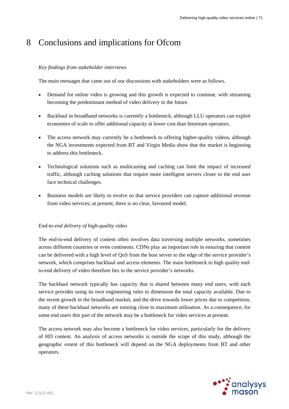# 8 Conclusions and implications for Ofcom

## *Key findings from stakeholder interviews*

The main messages that came out of our discussions with stakeholders were as follows.

- Demand for online video is growing and this growth is expected to continue, with streaming becoming the predominant method of video delivery in the future.
- Backhaul in broadband networks is currently a bottleneck, although LLU operators can exploit economies of scale to offer additional capacity at lower cost than bitstream operators.
- The access network may currently be a bottleneck to offering higher-quality videos, although the NGA investments expected from BT and Virgin Media show that the market is beginning to address this bottleneck.
- Technological solutions such as multicasting and caching can limit the impact of increased traffic, although caching solutions that require more intelligent servers closer to the end user face technical challenges.
- Business models are likely to evolve so that service providers can capture additional revenue from video services; at present, there is no clear, favoured model.

#### *End-to-end delivery of high-quality video*

The end-to-end delivery of content often involves data traversing multiple networks, sometimes across different countries or even continents. CDNs play an important role in ensuring that content can be delivered with a high level of QoS from the host server to the edge of the service provider's network, which comprises backhaul and access elements. The main bottleneck to high quality endto-end delivery of video therefore lies in the service provider's networks.

The backhaul network typically has capacity that is shared between many end users, with each service provider using its own engineering rules to dimension the total capacity available. Due to the recent growth in the broadband market, and the drive towards lower prices due to competition, many of these backhaul networks are running close to maximum utilisation. As a consequence, for some end users this part of the network may be a bottleneck for video services at present.

The access network may also become a bottleneck for video services, particularly for the delivery of HD content. An analysis of access networks is outside the scope of this study, although the geographic extent of this bottleneck will depend on the NGA deployments from BT and other operators.

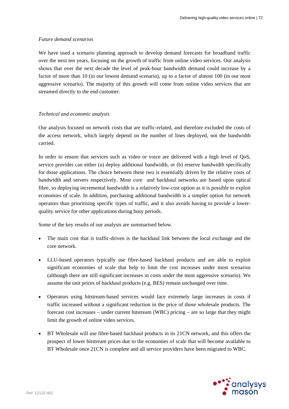#### *Future demand scenarios*

We have used a scenario planning approach to develop demand forecasts for broadband traffic over the next ten years, focusing on the growth of traffic from online video services. Our analysis shows that over the next decade the level of peak-hour bandwidth demand could increase by a factor of more than 10 (in our lowest demand scenario), up to a factor of almost 100 (in our most aggressive scenario). The majority of this growth will come from online video services that are streamed directly to the end customer.

#### *Technical and economic analysis*

Our analysis focused on network costs that are traffic-related, and therefore excluded the costs of the access network, which largely depend on the number of lines deployed, not the bandwidth carried.

In order to ensure that services such as video or voice are delivered with a high level of QoS, service provider can either (a) deploy additional bandwidth, or (b) reserve bandwidth specifically for those applications. The choice between these two is essentially driven by the relative costs of bandwidth and servers respectively. Most core and backhaul networks are based upon optical fibre, so deploying incremental bandwidth is a relatively low-cost option as it is possible to exploit economies of scale. In addition, purchasing additional bandwidth is a simpler option for network operators than prioritising specific types of traffic, and it also avoids having to provide a lowerquality service for other applications during busy periods.

Some of the key results of our analysis are summarised below.

- The main cost that is traffic-driven is the backhaul link between the local exchange and the core network.
- LLU-based operators typically use fibre-based backhaul products and are able to exploit significant economies of scale that help to limit the cost increases under most scenarios (although there are still significant increases in costs under the most aggressive scenario). We assume the unit prices of backhaul products (e.g. BES) remain unchanged over time.
- Operators using bitstream-based services would face extremely large increases in costs if traffic increased without a significant reduction in the price of those wholesale products. The forecast cost increases – under current bitstream (WBC) pricing – are so large that they might limit the growth of online video services.
- BT Wholesale will use fibre-based backhaul products in its 21CN network, and this offers the prospect of lower bitstream prices due to the economies of scale that will become available to BT Wholesale once 21CN is complete and all service providers have been migrated to WBC.

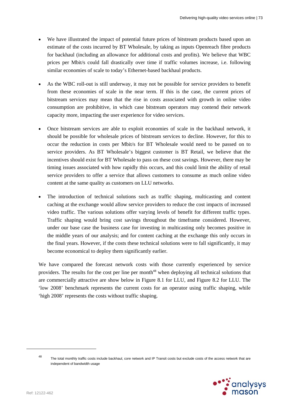- We have illustrated the impact of potential future prices of bitstream products based upon an estimate of the costs incurred by BT Wholesale, by taking as inputs Openreach fibre products for backhaul (including an allowance for additional costs and profits). We believe that WBC prices per Mbit/s could fall drastically over time if traffic volumes increase, i.e. following similar economies of scale to today's Ethernet-based backhaul products.
- As the WBC roll-out is still underway, it may not be possible for service providers to benefit from these economies of scale in the near term. If this is the case, the current prices of bitstream services may mean that the rise in costs associated with growth in online video consumption are prohibitive, in which case bitstream operators may contend their network capacity more, impacting the user experience for video services.
- Once bitstream services are able to exploit economies of scale in the backhaul network, it should be possible for wholesale prices of bitstream services to decline. However, for this to occur the reduction in costs per Mbit/s for BT Wholesale would need to be passed on to service providers. As BT Wholesale's biggest customer is BT Retail, we believe that the incentives should exist for BT Wholesale to pass on these cost savings. However, there may be timing issues associated with how rapidly this occurs, and this could limit the ability of retail service providers to offer a service that allows customers to consume as much online video content at the same quality as customers on LLU networks.
- The introduction of technical solutions such as traffic shaping, multicasting and content caching at the exchange would allow service providers to reduce the cost impacts of increased video traffic. The various solutions offer varying levels of benefit for different traffic types. Traffic shaping would bring cost savings throughout the timeframe considered. However, under our base case the business case for investing in multicasting only becomes positive in the middle years of our analysis; and for content caching at the exchange this only occurs in the final years. However, if the costs these technical solutions were to fall significantly, it may become economical to deploy them significantly earlier.

We have compared the forecast network costs with those currently experienced by service providers. The results for the cost per line per month<sup>48</sup> when deploying all technical solutions that are commercially attractive are show below in Figure 8.1 for LLU, and Figure 8.2 for LLU. The 'low 2008' benchmark represents the current costs for an operator using traffic shaping, while 'high 2008' represents the costs without traffic shaping.

<sup>48</sup> The total monthly traffic costs include backhaul, core network and IP Transit costs but exclude costs of the access network that are independent of bandwidth usage

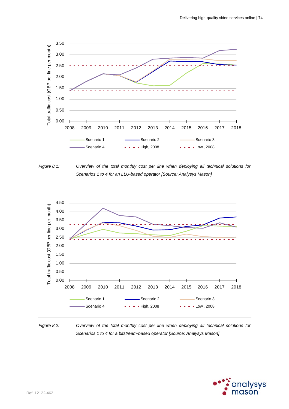

*Figure 8.1: Overview of the total monthly cost per line when deploying all technical solutions for Scenarios 1 to 4 for an LLU-based operator [Source: Analysys Mason]* 



*Figure 8.2: Overview of the total monthly cost per line when deploying all technical solutions for Scenarios 1 to 4 for a bitstream-based operator [Source: Analysys Mason]* 

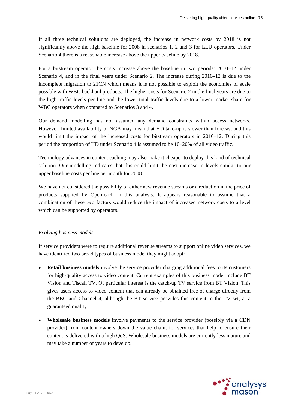If all three technical solutions are deployed, the increase in network costs by 2018 is not significantly above the high baseline for 2008 in scenarios 1, 2 and 3 for LLU operators. Under Scenario 4 there is a reasonable increase above the upper baseline by 2018.

For a bitstream operator the costs increase above the baseline in two periods: 2010–12 under Scenario 4, and in the final years under Scenario 2. The increase during 2010–12 is due to the incomplete migration to 21CN which means it is not possible to exploit the economies of scale possible with WBC backhaul products. The higher costs for Scenario 2 in the final years are due to the high traffic levels per line and the lower total traffic levels due to a lower market share for WBC operators when compared to Scenarios 3 and 4.

Our demand modelling has not assumed any demand constraints within access networks. However, limited availability of NGA may mean that HD take-up is slower than forecast and this would limit the impact of the increased costs for bitstream operators in 2010–12. During this period the proportion of HD under Scenario 4 is assumed to be 10–20% of all video traffic.

Technology advances in content caching may also make it cheaper to deploy this kind of technical solution. Our modelling indicates that this could limit the cost increase to levels similar to our upper baseline costs per line per month for 2008.

We have not considered the possibility of either new revenue streams or a reduction in the price of products supplied by Openreach in this analysis. It appears reasonable to assume that a combination of these two factors would reduce the impact of increased network costs to a level which can be supported by operators.

#### *Evolving business models*

If service providers were to require additional revenue streams to support online video services, we have identified two broad types of business model they might adopt:

- **Retail business models** involve the service provider charging additional fees to its customers for high-quality access to video content. Current examples of this business model include BT Vision and Tiscali TV. Of particular interest is the catch-up TV service from BT Vision. This gives users access to video content that can already be obtained free of charge directly from the BBC and Channel 4, although the BT service provides this content to the TV set, at a guaranteed quality.
- **Wholesale business models** involve payments to the service provider (possibly via a CDN provider) from content owners down the value chain, for services that help to ensure their content is delivered with a high QoS. Wholesale business models are currently less mature and may take a number of years to develop.

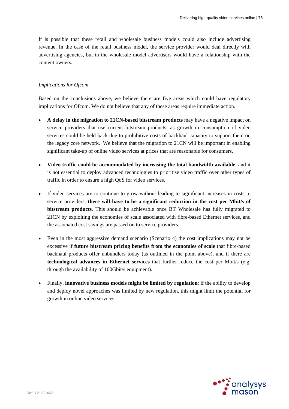It is possible that these retail and wholesale business models could also include advertising revenue. In the case of the retail business model, the service provider would deal directly with advertising agencies, but in the wholesale model advertisers would have a relationship with the content owners.

#### *Implications for Ofcom*

Based on the conclusions above, we believe there are five areas which could have regulatory implications for Ofcom. We do not believe that any of these areas require immediate action.

- **A delay in the migration to 21CN-based bitstream products** may have a negative impact on service providers that use current bitstream products, as growth in consumption of video services could be held back due to prohibitive costs of backhaul capacity to support them on the legacy core network. We believe that the migration to 21CN will be important in enabling significant take-up of online video services at prices that are reasonable for consumers.
- **Video traffic could be accommodated by increasing the total bandwidth available**, and it is not essential to deploy advanced technologies to prioritise video traffic over other types of traffic in order to ensure a high QoS for video services.
- If video services are to continue to grow without leading to significant increases in costs to service providers, **there will have to be a significant reduction in the cost per Mbit/s of bitstream products**. This should be achievable once BT Wholesale has fully migrated to 21CN by exploiting the economies of scale associated with fibre-based Ethernet services, and the associated cost savings are passed on to service providers.
- Even in the most aggressive demand scenario (Scenario 4) the cost implications may not be excessive if **future bitstream pricing benefits from the economies of scale** that fibre-based backhaul products offer unbundlers today (as outlined in the point above), and if there are **technological advances in Ethernet services** that further reduce the cost per Mbit/s (e.g. through the availability of 100Gbit/s equipment).
- Finally, **innovative business models might be limited by regulation**: if the ability to develop and deploy novel approaches was limited by new regulation, this might limit the potential for growth in online video services.

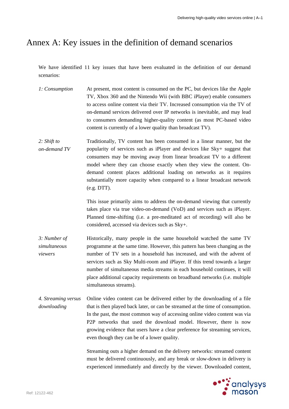# Annex A: Key issues in the definition of demand scenarios

We have identified 11 key issues that have been evaluated in the definition of our demand scenarios:

- *1: Consumption* At present, most content is consumed on the PC, but devices like the Apple TV, Xbox 360 and the Nintendo Wii (with BBC iPlayer) enable consumers to access online content via their TV. Increased consumption via the TV of on-demand services delivered over IP networks is inevitable, and may lead to consumers demanding higher-quality content (as most PC-based video content is currently of a lower quality than broadcast TV).
- *2: Shift to on-demand TV*  Traditionally, TV content has been consumed in a linear manner, but the popularity of services such as iPlayer and devices like Sky+ suggest that consumers may be moving away from linear broadcast TV to a different model where they can choose exactly when they view the content. Ondemand content places additional loading on networks as it requires substantially more capacity when compared to a linear broadcast network (e.g. DTT).

This issue primarily aims to address the on-demand viewing that currently takes place via true video-on-demand (VoD) and services such as iPlayer. Planned time-shifting (i.e. a pre-meditated act of recording) will also be considered, accessed via devices such as Sky+.

- *3: Number of simultaneous viewers*  Historically, many people in the same household watched the same TV programme at the same time. However, this pattern has been changing as the number of TV sets in a household has increased, and with the advent of services such as Sky Multi-room and iPlayer. If this trend towards a larger number of simultaneous media streams in each household continues, it will place additional capacity requirements on broadband networks (i.e. multiple simultaneous streams).
- *4. Streaming versus downloading*  Online video content can be delivered either by the downloading of a file that is then played back later, or can be streamed at the time of consumption. In the past, the most common way of accessing online video content was via P2P networks that used the download model. However, there is now growing evidence that users have a clear preference for streaming services, even though they can be of a lower quality.

Streaming outs a higher demand on the delivery networks: streamed content must be delivered continuously, and any break or slow-down in delivery is experienced immediately and directly by the viewer. Downloaded content,

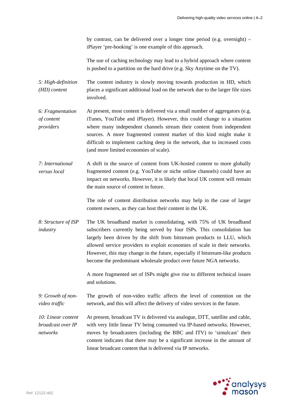by contrast, can be delivered over a longer time period (e.g. overnight) – iPlayer 'pre-booking' is one example of this approach.

The use of caching technology may lead to a hybrid approach where content is pushed to a partition on the hard drive (e.g. Sky Anytime on the TV).

*5: High-definition (HD) content*  The content industry is slowly moving towards production in HD, which places a significant additional load on the network due to the larger file sizes involved.

*6: Fragmentation of content providers*  At present, most content is delivered via a small number of aggregators (e.g. iTunes, YouTube and iPlayer). However, this could change to a situation where many independent channels stream their content from independent sources. A more fragmented content market of this kind might make it difficult to implement caching deep in the network, due to increased costs (and more limited economies of scale).

*7: International versus local*  A shift in the source of content from UK-hosted content to more globally fragmented content (e.g. YouTube or niche online channels) could have an impact on networks. However, it is likely that local UK content will remain the main source of content in future.

> The role of content distribution networks may help in the case of larger content owners, as they can host their content in the UK.

*8: Structure of ISP industry*  The UK broadband market is consolidating, with 75% of UK broadband subscribers currently being served by four ISPs. This consolidation has largely been driven by the shift from bitstream products to LLU, which allowed service providers to exploit economies of scale in their networks. However, this may change in the future, especially if bitstream-like products become the predominant wholesale product over future NGA networks.

> A more fragmented set of ISPs might give rise to different technical issues and solutions.

*9: Growth of nonvideo traffic*  The growth of non-video traffic affects the level of contention on the network, and this will affect the delivery of video services in the future.

*10: Linear content broadcast over IP networks* 

At present, broadcast TV is delivered via analogue, DTT, satellite and cable, with very little linear TV being consumed via IP-based networks. However, moves by broadcasters (including the BBC and ITV) to 'simulcast' their content indicates that there may be a significant increase in the amount of linear broadcast content that is delivered via IP networks.

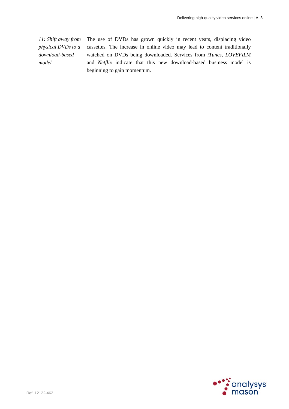*11: Shift away from physical DVDs to a download-based model* 

The use of DVDs has grown quickly in recent years, displacing video cassettes. The increase in online video may lead to content traditionally watched on DVDs being downloaded. Services from *iTunes*, *LOVEFiLM*  and *Netflix* indicate that this new download-based business model is beginning to gain momentum.

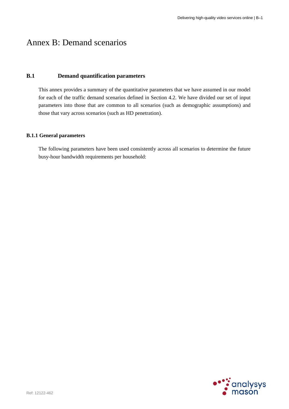# Annex B: Demand scenarios

# **B.1 Demand quantification parameters**

This annex provides a summary of the quantitative parameters that we have assumed in our model for each of the traffic demand scenarios defined in Section 4.2. We have divided our set of input parameters into those that are common to all scenarios (such as demographic assumptions) and those that vary across scenarios (such as HD penetration).

# **B.1.1 General parameters**

The following parameters have been used consistently across all scenarios to determine the future busy-hour bandwidth requirements per household:

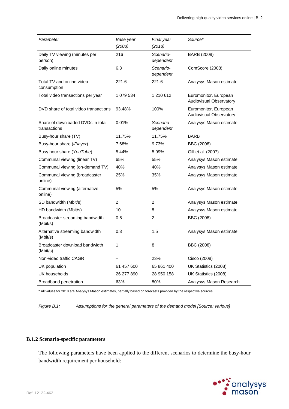| Parameter                                         | Base year      | Final year             | Source*                                                 |
|---------------------------------------------------|----------------|------------------------|---------------------------------------------------------|
|                                                   | (2008)         | (2018)                 |                                                         |
| Daily TV viewing (minutes per<br>person)          | 216            | Scenario-<br>dependent | BARB (2008)                                             |
| Daily online minutes                              | 6.3            | Scenario-<br>dependent | ComScore (2008)                                         |
| Total TV and online video<br>consumption          | 221.6          | 221.6                  | Analysys Mason estimate                                 |
| Total video transactions per year                 | 1 079 534      | 1 210 612              | Euromonitor, European<br><b>Audiovisual Observatory</b> |
| DVD share of total video transactions             | 93.48%         | 100%                   | Euromonitor, European<br><b>Audiovisual Observatory</b> |
| Share of downloaded DVDs in total<br>transactions | 0.01%          | Scenario-<br>dependent | Analysys Mason estimate                                 |
| Busy-hour share (TV)                              | 11.75%         | 11.75%                 | <b>BARB</b>                                             |
| Busy-hour share ( <i>iPlayer</i> )                | 7.68%          | 9.73%                  | BBC (2008)                                              |
| Busy hour share (YouTube)                         | 5.44%          | 5.99%                  | Gill et al. (2007)                                      |
| Communal viewing (linear TV)                      | 65%            | 55%                    | Analysys Mason estimate                                 |
| Communal viewing (on-demand TV)                   | 40%            | 40%                    | Analysys Mason estimate                                 |
| Communal viewing (broadcaster<br>online)          | 25%            | 35%                    | Analysys Mason estimate                                 |
| Communal viewing (alternative<br>online)          | 5%             | 5%                     | Analysys Mason estimate                                 |
| SD bandwidth (Mbit/s)                             | $\overline{2}$ | $\overline{c}$         | Analysys Mason estimate                                 |
| HD bandwidth (Mbit/s)                             | 10             | 8                      | Analysys Mason estimate                                 |
| Broadcaster streaming bandwidth<br>(Mbit/s)       | 0.5            | 2                      | BBC (2008)                                              |
| Alternative streaming bandwidth<br>(Mbit/s)       | 0.3            | 1.5                    | Analysys Mason estimate                                 |
| Broadcaster download bandwidth<br>(Mbit/s)        | 1              | 8                      | BBC (2008)                                              |
| Non-video traffic CAGR                            |                | 23%                    | Cisco (2008)                                            |
| UK population                                     | 61 457 600     | 65 861 400             | UK Statistics (2008)                                    |
| UK households                                     | 26 277 890     | 28 950 158             | UK Statistics (2008)                                    |
| Broadband penetration                             | 63%            | 80%                    | Analysys Mason Research                                 |

\* All values for 2018 are Analysys Mason estimates, partially based on forecasts provided by the respective sources.

*Figure B.1: Assumptions for the general parameters of the demand model [Source: various]* 

#### **B.1.2 Scenario-specific parameters**

The following parameters have been applied to the different scenarios to determine the busy-hour bandwidth requirement per household:

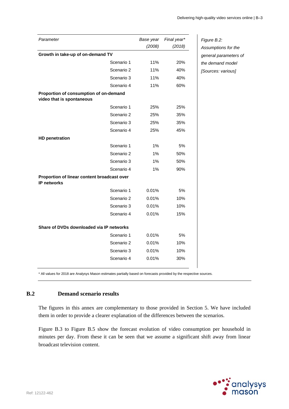| (2008)<br>(2018)<br>Growth in take-up of on-demand TV<br>11%<br>Scenario 1<br>20%<br>Scenario 2<br>11%<br>40%<br>Scenario 3<br>11%<br>40%<br>Scenario 4<br>11%<br>60%<br>Proportion of consumption of on-demand<br>Scenario 1<br>25%<br>25%<br>Scenario 2<br>25%<br>35%<br>Scenario 3<br>25%<br>35%<br>Scenario 4<br>25%<br>45%<br><b>HD penetration</b><br>Scenario 1<br>$1\%$<br>5%<br>Scenario 2<br>1%<br>50%<br>Scenario 3<br>$1\%$<br>50%<br>Scenario 4<br>1%<br>90%<br>Proportion of linear content broadcast over<br><b>IP networks</b><br>Scenario 1<br>5%<br>0.01%<br>10%<br>Scenario 2<br>0.01%<br>Scenario 3<br>0.01%<br>10%<br>Scenario 4<br>0.01%<br>15%<br>Share of DVDs downloaded via IP networks<br>Scenario 1<br>0.01%<br>5%<br>Scenario 2<br>0.01%<br>10%<br>Scenario 3<br>0.01%<br>10%<br>Scenario 4<br>0.01%<br>30% | Parameter                 | Base year | Final year* |
|------------------------------------------------------------------------------------------------------------------------------------------------------------------------------------------------------------------------------------------------------------------------------------------------------------------------------------------------------------------------------------------------------------------------------------------------------------------------------------------------------------------------------------------------------------------------------------------------------------------------------------------------------------------------------------------------------------------------------------------------------------------------------------------------------------------------------------------|---------------------------|-----------|-------------|
|                                                                                                                                                                                                                                                                                                                                                                                                                                                                                                                                                                                                                                                                                                                                                                                                                                          |                           |           |             |
|                                                                                                                                                                                                                                                                                                                                                                                                                                                                                                                                                                                                                                                                                                                                                                                                                                          |                           |           |             |
|                                                                                                                                                                                                                                                                                                                                                                                                                                                                                                                                                                                                                                                                                                                                                                                                                                          |                           |           |             |
|                                                                                                                                                                                                                                                                                                                                                                                                                                                                                                                                                                                                                                                                                                                                                                                                                                          |                           |           |             |
|                                                                                                                                                                                                                                                                                                                                                                                                                                                                                                                                                                                                                                                                                                                                                                                                                                          |                           |           |             |
|                                                                                                                                                                                                                                                                                                                                                                                                                                                                                                                                                                                                                                                                                                                                                                                                                                          |                           |           |             |
|                                                                                                                                                                                                                                                                                                                                                                                                                                                                                                                                                                                                                                                                                                                                                                                                                                          | video that is spontaneous |           |             |
|                                                                                                                                                                                                                                                                                                                                                                                                                                                                                                                                                                                                                                                                                                                                                                                                                                          |                           |           |             |
|                                                                                                                                                                                                                                                                                                                                                                                                                                                                                                                                                                                                                                                                                                                                                                                                                                          |                           |           |             |
|                                                                                                                                                                                                                                                                                                                                                                                                                                                                                                                                                                                                                                                                                                                                                                                                                                          |                           |           |             |
|                                                                                                                                                                                                                                                                                                                                                                                                                                                                                                                                                                                                                                                                                                                                                                                                                                          |                           |           |             |
|                                                                                                                                                                                                                                                                                                                                                                                                                                                                                                                                                                                                                                                                                                                                                                                                                                          |                           |           |             |
|                                                                                                                                                                                                                                                                                                                                                                                                                                                                                                                                                                                                                                                                                                                                                                                                                                          |                           |           |             |
|                                                                                                                                                                                                                                                                                                                                                                                                                                                                                                                                                                                                                                                                                                                                                                                                                                          |                           |           |             |
|                                                                                                                                                                                                                                                                                                                                                                                                                                                                                                                                                                                                                                                                                                                                                                                                                                          |                           |           |             |
|                                                                                                                                                                                                                                                                                                                                                                                                                                                                                                                                                                                                                                                                                                                                                                                                                                          |                           |           |             |
|                                                                                                                                                                                                                                                                                                                                                                                                                                                                                                                                                                                                                                                                                                                                                                                                                                          |                           |           |             |
|                                                                                                                                                                                                                                                                                                                                                                                                                                                                                                                                                                                                                                                                                                                                                                                                                                          |                           |           |             |
|                                                                                                                                                                                                                                                                                                                                                                                                                                                                                                                                                                                                                                                                                                                                                                                                                                          |                           |           |             |
|                                                                                                                                                                                                                                                                                                                                                                                                                                                                                                                                                                                                                                                                                                                                                                                                                                          |                           |           |             |
|                                                                                                                                                                                                                                                                                                                                                                                                                                                                                                                                                                                                                                                                                                                                                                                                                                          |                           |           |             |
|                                                                                                                                                                                                                                                                                                                                                                                                                                                                                                                                                                                                                                                                                                                                                                                                                                          |                           |           |             |
|                                                                                                                                                                                                                                                                                                                                                                                                                                                                                                                                                                                                                                                                                                                                                                                                                                          |                           |           |             |
|                                                                                                                                                                                                                                                                                                                                                                                                                                                                                                                                                                                                                                                                                                                                                                                                                                          |                           |           |             |
|                                                                                                                                                                                                                                                                                                                                                                                                                                                                                                                                                                                                                                                                                                                                                                                                                                          |                           |           |             |
|                                                                                                                                                                                                                                                                                                                                                                                                                                                                                                                                                                                                                                                                                                                                                                                                                                          |                           |           |             |

*Figure B.2: Assumptions for the general parameters of the demand model [Sources: various]* 

\* All values for 2018 are Analysys Mason estimates partially based on forecasts provided by the respective sources.

# **B.2 Demand scenario results**

The figures in this annex are complementary to those provided in Section 5. We have included them in order to provide a clearer explanation of the differences between the scenarios.

Figure B.3 to Figure B.5 show the forecast evolution of video consumption per household in minutes per day. From these it can be seen that we assume a significant shift away from linear broadcast television content.

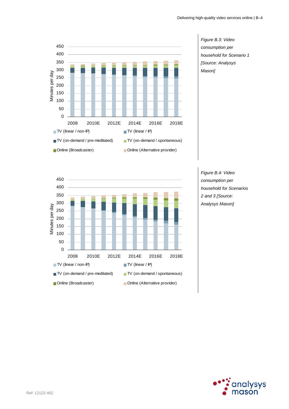

*Figure B.3: Video consumption per household for Scenario 1 [Source: Analysys Mason]* 



*Figure B.4: Video consumption per household for Scenarios 2 and 3 [Source: Analysys Mason]* 

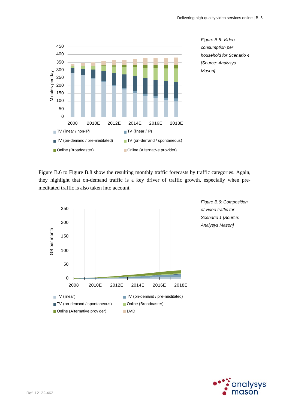

*Figure B.5: Video consumption per household for Scenario 4 [Source: Analysys Mason]* 

Figure B.6 to Figure B.8 show the resulting monthly traffic forecasts by traffic categories. Again, they highlight that on-demand traffic is a key driver of traffic growth, especially when premeditated traffic is also taken into account.



*Figure B.6: Composition of video traffic for Scenario 1 [Source: Analysys Mason]* 

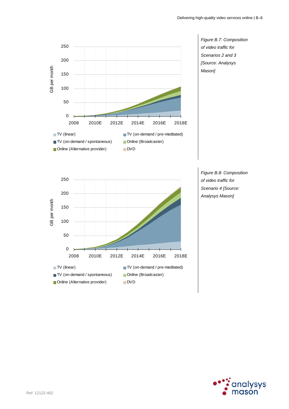

*Figure B.7: Composition of video traffic for Scenarios 2 and 3 [Source: Analysys Mason]* 



*Figure B.8: Composition of video traffic for Scenario 4 [Source: Analysys Mason]* 

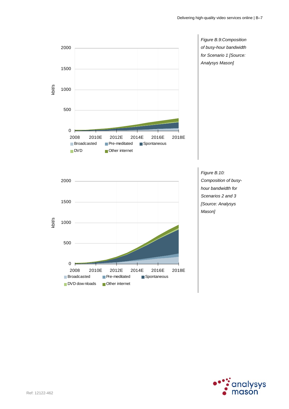

*Figure B.9:Composition of busy-hour bandwidth for Scenario 1 [Source: Analysys Mason]* 

*Composition of busyhour bandwidth for Scenarios 2 and 3 [Source: Analysys* 

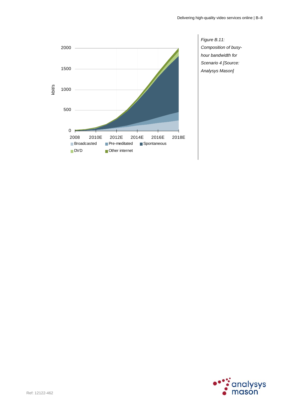

*Figure B.11: Composition of busyhour bandwidth for Scenario 4 [Source: Analysys Mason]* 

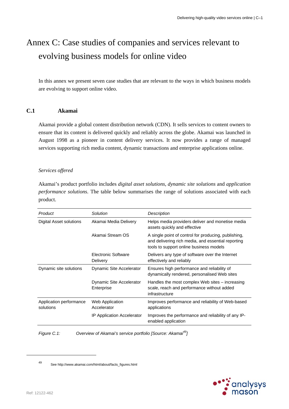# Annex C: Case studies of companies and services relevant to evolving business models for online video

In this annex we present seven case studies that are relevant to the ways in which business models are evolving to support online video.

# **C.1 Akamai**

Akamai provide a global content distribution network (CDN). It sells services to content owners to ensure that its content is delivered quickly and reliably across the globe. Akamai was launched in August 1998 as a pioneer in content delivery services. It now provides a range of managed services supporting rich media content, dynamic transactions and enterprise applications online.

#### *Services offered*

Akamai's product portfolio includes *digital asset solutions*, *dynamic site solutions* and *application performance solutions*. The table below summarises the range of solutions associated with each product.

| Product                              | Solution                               | Description                                                                                                                                           |
|--------------------------------------|----------------------------------------|-------------------------------------------------------------------------------------------------------------------------------------------------------|
| Digital Asset solutions              | Akamai Media Delivery                  | Helps media providers deliver and monetise media<br>assets quickly and effective                                                                      |
|                                      | Akamai Stream OS                       | A single point of control for producing, publishing,<br>and delivering rich media, and essential reporting<br>tools to support online business models |
|                                      | Electronic Software<br>Delivery        | Delivers any type of software over the Internet<br>effectively and reliably                                                                           |
| Dynamic site solutions               | Dynamic Site Accelerator               | Ensures high performance and reliability of<br>dynamically rendered, personalised Web sites                                                           |
|                                      | Dynamic Site Accelerator<br>Enterprise | Handles the most complex Web sites - increasing<br>scale, reach and performance without added<br>infrastructure                                       |
| Application performance<br>solutions | <b>Web Application</b><br>Accelerator  | Improves performance and reliability of Web-based<br>applications                                                                                     |
|                                      | <b>IP Application Accelerator</b>      | Improves the performance and reliability of any IP-<br>enabled application                                                                            |

*Figure C.1: Overview of Akamai's service portfolio [Source: Akamai49]* 



<sup>49</sup> See http://www.akamai.com/html/about/facts\_figures.html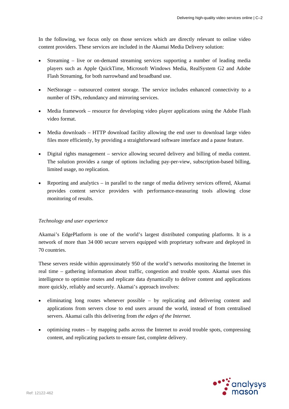In the following, we focus only on those services which are directly relevant to online video content providers. These services are included in the Akamai Media Delivery solution:

- Streaming live or on-demand streaming services supporting a number of leading media players such as Apple QuickTime, Microsoft Windows Media, RealSystem G2 and Adobe Flash Streaming, for both narrowband and broadband use.
- NetStorage outsourced content storage. The service includes enhanced connectivity to a number of ISPs, redundancy and mirroring services.
- Media framework resource for developing video player applications using the Adobe Flash video format.
- Media downloads HTTP download facility allowing the end user to download large video files more efficiently, by providing a straightforward software interface and a pause feature.
- Digital rights management service allowing secured delivery and billing of media content. The solution provides a range of options including pay-per-view, subscription-based billing, limited usage, no replication.
- Reporting and analytics in parallel to the range of media delivery services offered, Akamai provides content service providers with performance-measuring tools allowing close monitoring of results.

#### *Technology and user experience*

Akamai's EdgePlatform is one of the world's largest distributed computing platforms. It is a network of more than 34 000 secure servers equipped with proprietary software and deployed in 70 countries.

These servers reside within approximately 950 of the world's networks monitoring the Internet in real time – gathering information about traffic, congestion and trouble spots. Akamai uses this intelligence to optimise routes and replicate data dynamically to deliver content and applications more quickly, reliably and securely. Akamai's approach involves:

- eliminating long routes whenever possible by replicating and delivering content and applications from servers close to end users around the world, instead of from centralised servers. Akamai calls this delivering from *the edges of the Internet.*
- optimising routes by mapping paths across the Internet to avoid trouble spots, compressing content, and replicating packets to ensure fast, complete delivery.

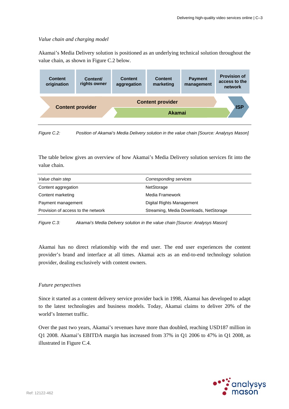## *Value chain and charging model*

Akamai's Media Delivery solution is positioned as an underlying technical solution throughout the value chain, as shown in Figure C.2 below.



*Figure C.2: Position of Akamai's Media Delivery solution in the value chain [Source: Analysys Mason]* 

The table below gives an overview of how Akamai's Media Delivery solution services fit into the value chain.

| Value chain step                   | Corresponding services                 |
|------------------------------------|----------------------------------------|
| Content aggregation                | NetStorage                             |
| Content marketing                  | Media Framework                        |
| Payment management                 | Digital Rights Management              |
| Provision of access to the network | Streaming, Media Downloads, NetStorage |

*Figure C.3: Akamai's Media Delivery solution in the value chain [Source: Analysys Mason]* 

Akamai has no direct relationship with the end user. The end user experiences the content provider's brand and interface at all times. Akamai acts as an end-to-end technology solution provider, dealing exclusively with content owners.

#### *Future perspectives*

Since it started as a content delivery service provider back in 1998, Akamai has developed to adapt to the latest technologies and business models. Today, Akamai claims to deliver 20% of the world's Internet traffic.

Over the past two years, Akamai's revenues have more than doubled, reaching USD187 million in Q1 2008. Akamai's EBITDA margin has increased from 37% in Q1 2006 to 47% in Q1 2008, as illustrated in Figure C.4.

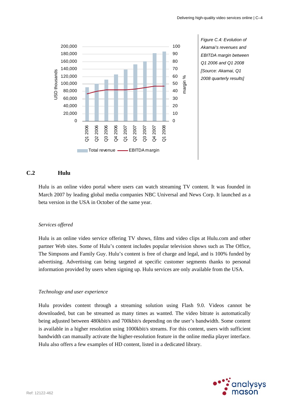

*Figure C.4: Evolution of Akamai's revenues and EBITDA margin between Q1 2006 and Q1 2008 [Source: Akamai, Q1 2008 quarterly results]* 

# **C.2 Hulu**

Hulu is an online video portal where users can watch streaming TV content. It was founded in March 2007 by leading global media companies NBC Universal and News Corp. It launched as a beta version in the USA in October of the same year.

#### *Services offered*

Hulu is an online video service offering TV shows, films and video clips at Hulu.com and other partner Web sites. Some of Hulu's content includes popular television shows such as The Office, The Simpsons and Family Guy. Hulu's content is free of charge and legal, and is 100% funded by advertising. Advertising can being targeted at specific customer segments thanks to personal information provided by users when signing up. Hulu services are only available from the USA.

#### *Technology and user experience*

Hulu provides content through a streaming solution using Flash 9.0. Videos cannot be downloaded, but can be streamed as many times as wanted. The video bitrate is automatically being adjusted between 480kbit/s and 700kbit/s depending on the user's bandwidth. Some content is available in a higher resolution using 1000kbit/s streams. For this content, users with sufficient bandwidth can manually activate the higher-resolution feature in the online media player interface. Hulu also offers a few examples of HD content, listed in a dedicated library.

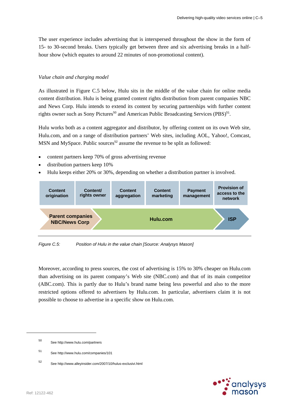The user experience includes advertising that is interspersed throughout the show in the form of 15- to 30-second breaks. Users typically get between three and six advertising breaks in a halfhour show (which equates to around 22 minutes of non-promotional content).

## *Value chain and charging model*

As illustrated in Figure C.5 below, Hulu sits in the middle of the value chain for online media content distribution. Hulu is being granted content rights distribution from parent companies NBC and News Corp. Hulu intends to extend its content by securing partnerships with further content rights owner such as Sony Pictures<sup>50</sup> and American Public Broadcasting Services (PBS)<sup>51</sup>.

Hulu works both as a content aggregator and distributor, by offering content on its own Web site, Hulu.com, and on a range of distribution partners' Web sites, including AOL, Yahoo!, Comcast, MSN and MySpace. Public sources<sup>52</sup> assume the revenue to be split as followed:

- content partners keep 70% of gross advertising revenue
- distribution partners keep 10%
- Hulu keeps either 20% or 30%, depending on whether a distribution partner is involved.



*Figure C.5: Position of Hulu in the value chain [Source: Analysys Mason]* 

Moreover, according to press sources, the cost of advertising is 15% to 30% cheaper on Hulu.com than advertising on its parent company's Web site (NBC.com) and that of its main competitor (ABC.com). This is partly due to Hulu's brand name being less powerful and also to the more restricted options offered to advertisers by Hulu.com. In particular, advertisers claim it is not possible to choose to advertise in a specific show on Hulu.com.

- 50 See http://www.hulu.com/partners
- 51 See http://www.hulu.com/companies/101
- 52 See http://www.alleyinsider.com/2007/10/hulus-exclusivi.html

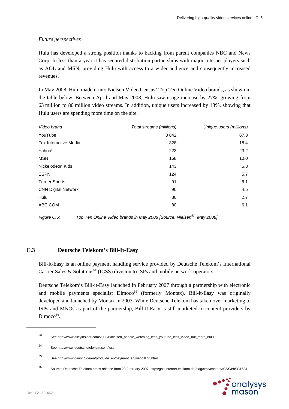# *Future perspectives*

Hulu has developed a strong position thanks to backing from parent companies NBC and News Corp. In less than a year it has secured distribution partnerships with major Internet players such as AOL and MSN, providing Hulu with access to a wider audience and consequently increased revenues.

In May 2008, Hulu made it into Nielsen Video Census' Top Ten Online Video brands, as shown in the table below. Between April and May 2008, Hulu saw usage increase by 27%, growing from 63 million to 80 million video streams. In addition, unique users increased by 13%, showing that Hulu users are spending more time on the site.

| Video brand                | Total streams (millions) | Unique users (millions) |
|----------------------------|--------------------------|-------------------------|
| YouTube                    | 3842                     | 67.8                    |
| Fox Interactive Media      | 328                      | 18.4                    |
| Yahoo!                     | 223                      | 23.2                    |
| <b>MSN</b>                 | 168                      | 10.0                    |
| Nickelodeon Kids           | 143                      | 5.8                     |
| <b>ESPN</b>                | 124                      | 5.7                     |
| <b>Turner Sports</b>       | 91                       | 6.1                     |
| <b>CNN Digital Network</b> | 90                       | 4.5                     |
| Hulu                       | 80                       | 2.7                     |
| ABC.COM                    | 80                       | 6.1                     |

*Figure C.6: Top Ten Online Video brands in May 2008 [Source: Nielsen53, May 2008]* 

# **C.3 Deutsche Telekom's Bill-It-Easy**

Bill-It-Easy is an online payment handling service provided by Deutsche Telekom's International Carrier Sales & Solutions<sup>54</sup> (ICSS) division to ISPs and mobile network operators.

Deutsche Telekom's Bill-it-Easy launched in February 2007 through a partnership with electronic and mobile payments specialist Dimoco<sup>55</sup> (formerly Montax). Bill-it-Easy was originally developed and launched by Montax in 2003. While Deutsche Telekom has taken over marketing to ISPs and MNOs as part of the partnership, Bill-It-Easy is still marketed to content providers by  $Dimoco<sup>56</sup>$ .

<sup>56</sup> Source: Deutsche Telekom press release from 28 February 2007, http://ghs-internet.telekom.de/dtag/cms/content/ICSS/en/331684



<sup>53</sup> See http://www.alleyinsider.com/2008/6/nielsen\_people\_watching\_less\_youtube\_less\_video\_but\_more\_hulu

<sup>54</sup> See http://www.deutschetelekom.com/icss

<sup>55</sup> See http://www.dimoco.de/en/produkte\_en/payment\_en/webbilling.html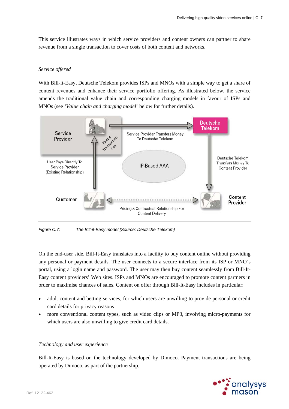This service illustrates ways in which service providers and content owners can partner to share revenue from a single transaction to cover costs of both content and networks.

#### *Service offered*

With Bill-it-Easy, Deutsche Telekom provides ISPs and MNOs with a simple way to get a share of content revenues and enhance their service portfolio offering. As illustrated below, the service amends the traditional value chain and corresponding charging models in favour of ISPs and MNOs (see '*Value chain and charging model*' below for further details).



*Figure C.7: The Bill-it-Easy model [Source: Deutsche Telekom]* 

On the end-user side, Bill-It-Easy translates into a facility to buy content online without providing any personal or payment details. The user connects to a secure interface from its ISP or MNO's portal, using a login name and password. The user may then buy content seamlessly from Bill-It-Easy content providers' Web sites. ISPs and MNOs are encouraged to promote content partners in order to maximise chances of sales. Content on offer through Bill-It-Easy includes in particular:

- adult content and betting services, for which users are unwilling to provide personal or credit card details for privacy reasons
- more conventional content types, such as video clips or MP3, involving micro-payments for which users are also unwilling to give credit card details.

## *Technology and user experience*

Bill-It-Easy is based on the technology developed by Dimoco. Payment transactions are being operated by Dimoco, as part of the partnership.

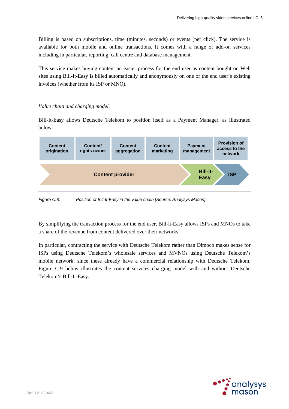Billing is based on subscriptions, time (minutes, seconds) or events (per click). The service is available for both mobile and online transactions. It comes with a range of add-on services including in particular, reporting, call centre and database management.

This service makes buying content an easier process for the end user as content bought on Web sites using Bill-It-Easy is billed automatically and anonymously on one of the end user's existing invoices (whether from its ISP or MNO).

# *Value chain and charging model*

Bill-It-Easy allows Deutsche Telekom to position itself as a Payment Manager, as illustrated below.



*Figure C.8: Position of Bill-It-Easy in the value chain [Source: Analysys Mason]* 

By simplifying the transaction process for the end user, Bill-it-Easy allows ISPs and MNOs to take a share of the revenue from content delivered over their networks.

In particular, contracting the service with Deutsche Telekom rather than Dimoco makes sense for ISPs using Deutsche Telekom's wholesale services and MVNOs using Deutsche Telekom's mobile network, since these already have a commercial relationship with Deutsche Telekom. Figure C.9 below illustrates the content services charging model with and without Deutsche Telekom's Bill-It-Easy.

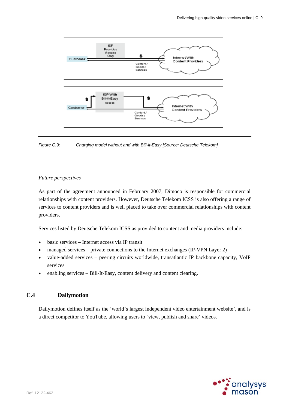

*Figure C.9: Charging model without and with Bill-It-Easy [Source: Deutsche Telekom]* 

#### *Future perspectives*

As part of the agreement announced in February 2007, Dimoco is responsible for commercial relationships with content providers. However, Deutsche Telekom ICSS is also offering a range of services to content providers and is well placed to take over commercial relationships with content providers.

Services listed by Deutsche Telekom ICSS as provided to content and media providers include:

- basic services Internet access via IP transit
- managed services private connections to the Internet exchanges (IP-VPN Layer 2)
- value-added services peering circuits worldwide, transatlantic IP backbone capacity, VoIP services
- enabling services Bill-It-Easy, content delivery and content clearing.

# **C.4 Dailymotion**

Dailymotion defines itself as the 'world's largest independent video entertainment website', and is a direct competitor to YouTube, allowing users to 'view, publish and share' videos.

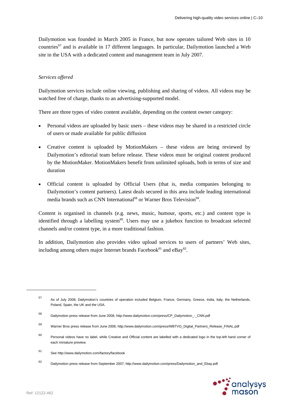Dailymotion was founded in March 2005 in France, but now operates tailored Web sites in 10 countries<sup>57</sup> and is available in 17 different languages. In particular, Dailymotion launched a Web site in the USA with a dedicated content and management team in July 2007.

# *Services offered*

Dailymotion services include online viewing, publishing and sharing of videos. All videos may be watched free of charge, thanks to an advertising-supported model.

There are three types of video content available, depending on the content owner category:

- Personal videos are uploaded by basic users these videos may be shared in a restricted circle of users or made available for public diffusion
- Creative content is uploaded by MotionMakers these videos are being reviewed by Dailymotion's editorial team before release. These videos must be original content produced by the MotionMaker. MotionMakers benefit from unlimited uploads, both in terms of size and duration
- Official content is uploaded by Official Users (that is, media companies belonging to Dailymotion's content partners). Latest deals secured in this area include leading international media brands such as CNN International<sup>58</sup> or Warner Bros Television<sup>59</sup>.

Content is organised in channels (e.g. news, music, humour, sports, etc.) and content type is identified through a labelling system<sup>60</sup>. Users may use a jukebox function to broadcast selected channels and/or content type, in a more traditional fashion.

In addition, Dailymotion also provides video upload services to users of partners' Web sites, including among others major Internet brands Facebook $61$  and eBay $62$ .

<sup>62</sup> Dailymotion press release from September 2007, http://www.dailymotion.com/press/Dailymotion\_and\_Ebay.pdf



<sup>57</sup> As of July 2008, Dailymotion's countries of operation included Belgium, France, Germany, Greece, India, Italy, the Netherlands, Poland, Spain, the UK and the USA.

<sup>58</sup> Dailymotion press release from June 2008, http://www.dailymotion.com/press/CP\_Dailymotion\_-\_CNN.pdf

<sup>59</sup> Warner Bros press release from June 2008, http://www.dailymotion.com/press/WBTVG\_Digital\_Partners\_Release\_FINAL.pdf

<sup>60</sup> Personal videos have no label, while Creative and Official content are labelled with a dedicated logo in the top-left hand corner of each miniature preview.

<sup>61</sup> See http://www.dailymotion.com/factory/facebook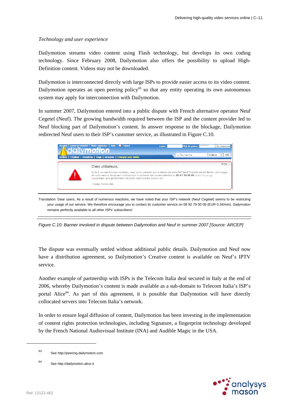#### *Technology and user experience*

Dailymotion streams video content using Flash technology, but develops its own coding technology. Since February 2008, Dailymotion also offers the possibility to upload High-Definition content. Videos may not be downloaded.

Dailymotion is interconnected directly with large ISPs to provide easier access to its video content. Dailymotion operates an open peering policy $63$  so that any entity operating its own autonomous system may apply for interconnection with Dailymotion.

In summer 2007, Dailymotion entered into a public dispute with French alternative operator Neuf Cegetel (Neuf). The growing bandwidth required between the ISP and the content provider led to Neuf blocking part of Dailymotion's content. In answer response to the blockage, Dailymotion redirected Neuf users to their ISP's customer service, as illustrated in Figure C.10.



Translation: Dear users, As a result of numerous reactions, we have noted that your ISP's network (Neuf Cegetel) seems to be restricting your usage of our service. We therefore encourage you to contact its customer service on 08 92 79 00 09 (EUR 0.34/min). *Dailymotion* remains perfectly available to all other ISPs' subscribers!

*Figure C.10: Banner involved in dispute between Dailymotion and Neuf in summer 2007 [Source: ARCEP]* 

The dispute was eventually settled without additional public details. Dailymotion and Neuf now have a distribution agreement, so Dailymotion's Creative content is available on Neuf's IPTV service.

Another example of partnership with ISPs is the Telecom Italia deal secured in Italy at the end of 2006, whereby Dailymotion's content is made available as a sub-domain to Telecom Italia's ISP's portal Alice<sup>64</sup>. As part of this agreement, it is possible that Dailymotion will have directly collocated servers into Telecom Italia's network.

In order to ensure legal diffusion of content, Dailymotion has been investing in the implementation of content rights protection technologies, including Signature, a fingerprint technology developed by the French National Audiovisual Institute (INA) and Audible Magic in the USA.



<sup>63</sup> See http://peering.dailymotion.com

<sup>64</sup> See http://dailymotion.alice.it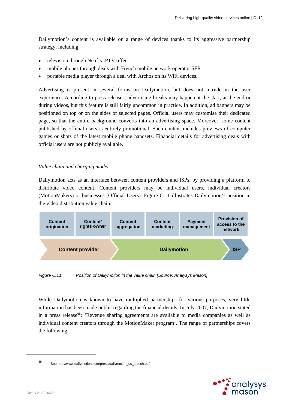Dailymotion's content is available on a range of devices thanks to its aggressive partnership strategy, including:

- television through Neuf's IPTV offer
- mobile phones through deals with French mobile network operator SFR
- portable media player through a deal with Archos on its WiFi devices.

Advertising is present in several forms on Dailymotion, but does not intrude in the user experience. According to press releases, advertising breaks may happen at the start, at the end or during videos, but this feature is still fairly uncommon in practice. In addition, ad banners may be positioned on top or on the sides of selected pages. Official users may customise their dedicated page, so that the entire background converts into an advertising space. Moreover, some content published by official users is entirely promotional. Such content includes previews of computer games or shots of the latest mobile phone handsets. Financial details for advertising deals with official users are not publicly available.

#### *Value chain and charging model*

Dailymotion acts as an interface between content providers and ISPs, by providing a platform to distribute video content. Content providers may be individual users, individual creators (MotionMakers) or businesses (Official Users). Figure C.11 illustrates Dailymotion's position in the video distribution value chain.



*Figure C.11: Position of Dailymotion in the value chain [Source: Analysys Mason]* 

While Dailymotion is known to have multiplied partnerships for various purposes, very little information has been made public regarding the financial details. In July 2007, Dailymotion stated in a press release<sup>65</sup>: 'Revenue sharing agreements are available to media companies as well as individual content creators through the MotionMaker program'. The range of partnerships covers the following:



<sup>65</sup> See http://www.dailymotion.com/press/dailymotion\_us\_launch.pdf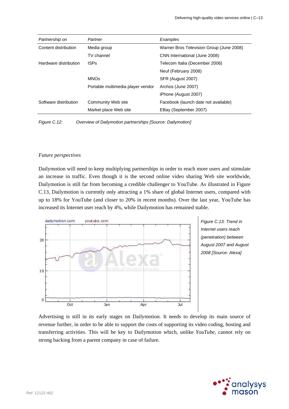| Partnership on        | Partner                           | Examples                                 |
|-----------------------|-----------------------------------|------------------------------------------|
| Content distribution  | Media group                       | Warner Bros Television Group (June 2008) |
|                       | TV channel                        | CNN International (June 2008)            |
| Hardware distribution | <b>ISPs</b>                       | Telecom Italia (December 2006)           |
|                       |                                   | Neuf (February 2008)                     |
|                       | <b>MNOs</b>                       | SFR (August 2007)                        |
|                       | Portable multimedia player vendor | Archos (June 2007)                       |
|                       |                                   | iPhone (August 2007)                     |
| Software distribution | Community Web site                | Facebook (launch date not available)     |
|                       | Market place Web site             | EBay (September 2007)                    |

*Figure C.12: Overview of Dailymotion partnerships [Source: Dailymotion]* 

#### *Future perspectives*

Dailymotion will need to keep multiplying partnerships in order to reach more users and stimulate an increase in traffic. Even though it is the second online video sharing Web site worldwide, Dailymotion is still far from becoming a credible challenger to YouTube. As illustrated in Figure C.13, Dailymotion is currently only attracting a 1% share of global Internet users, compared with up to 18% for YouTube (and closer to 20% in recent months). Over the last year, YouTube has increased its Internet user reach by 4%, while Dailymotion has remained stable.





Advertising is still in its early stages on Dailymotion. It needs to develop its main source of revenue further, in order to be able to support the costs of supporting its video coding, hosting and transferring activities. This will be key to Dailymotion which, unlike *YouTube*, cannot rely on strong backing from a parent company in case of failure.

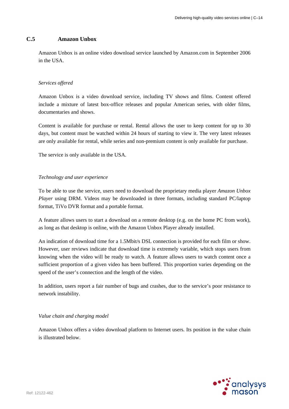## **C.5 Amazon Unbox**

Amazon Unbox is an online video download service launched by Amazon.com in September 2006 in the USA.

#### *Services offered*

Amazon Unbox is a video download service, including TV shows and films. Content offered include a mixture of latest box-office releases and popular American series, with older films, documentaries and shows.

Content is available for purchase or rental. Rental allows the user to keep content for up to 30 days, but content must be watched within 24 hours of starting to view it. The very latest releases are only available for rental, while series and non-premium content is only available for purchase.

The service is only available in the USA.

#### *Technology and user experience*

To be able to use the service, users need to download the proprietary media player *Amazon Unbox Player* using DRM. Videos may be downloaded in three formats, including standard PC/laptop format, TiVo DVR format and a portable format.

A feature allows users to start a download on a remote desktop (e.g. on the home PC from work), as long as that desktop is online, with the Amazon Unbox Player already installed.

An indication of download time for a 1.5Mbit/s DSL connection is provided for each film or show. However, user reviews indicate that download time is extremely variable, which stops users from knowing when the video will be ready to watch. A feature allows users to watch content once a sufficient proportion of a given video has been buffered. This proportion varies depending on the speed of the user's connection and the length of the video.

In addition, users report a fair number of bugs and crashes, due to the service's poor resistance to network instability.

#### *Value chain and charging model*

Amazon Unbox offers a video download platform to Internet users. Its position in the value chain is illustrated below.

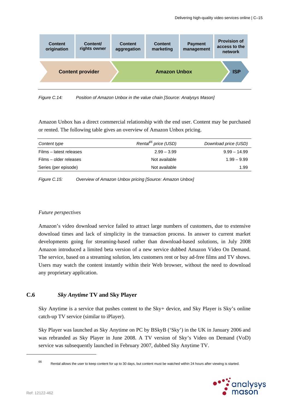

*Figure C.14: Position of Amazon Unbox in the value chain [Source: Analysys Mason]* 

Amazon Unbox has a direct commercial relationship with the end user. Content may be purchased or rented. The following table gives an overview of Amazon Unbox pricing.

| Content type            | Rental <sup>66</sup> price (USD) | Download price (USD) |
|-------------------------|----------------------------------|----------------------|
| Films - latest releases | $2.99 - 3.99$                    | $9.99 - 14.99$       |
| Films – older releases  | Not available                    | $1.99 - 9.99$        |
| Series (per episode)    | Not available                    | 1.99                 |

*Figure C.15: Overview of Amazon Unbox pricing [Source: Amazon Unbox]* 

#### *Future perspectives*

Amazon's video download service failed to attract large numbers of customers, due to extensive download times and lack of simplicity in the transaction process. In answer to current market developments going for streaming-based rather than download-based solutions, in July 2008 Amazon introduced a limited beta version of a new service dubbed Amazon Video On Demand. The service, based on a streaming solution, lets customers rent or buy ad-free films and TV shows. Users may watch the content instantly within their Web browser, without the need to download any proprietary application.

# **C.6** *Sky Anytime* **TV and Sky Player**

Sky Anytime is a service that pushes content to the Sky+ device, and Sky Player is Sky's online catch-up TV service (similar to iPlayer).

Sky Player was launched as Sky Anytime on PC by BSkyB ('Sky') in the UK in January 2006 and was rebranded as Sky Player in June 2008. A TV version of Sky's Video on Demand (VoD) service was subsequently launched in February 2007, dubbed Sky Anytime TV.

<sup>66</sup> Rental allows the user to keep content for up to 30 days, but content must be watched within 24 hours after viewing is started.

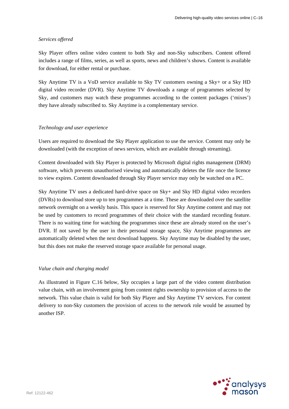#### *Services offered*

Sky Player offers online video content to both Sky and non-Sky subscribers. Content offered includes a range of films, series, as well as sports, news and children's shows. Content is available for download, for either rental or purchase.

Sky Anytime TV is a VoD service available to Sky TV customers owning a Sky+ or a Sky HD digital video recorder (DVR). Sky Anytime TV downloads a range of programmes selected by Sky, and customers may watch these programmes according to the content packages ('mixes') they have already subscribed to. Sky Anytime is a complementary service.

#### *Technology and user experience*

Users are required to download the Sky Player application to use the service. Content may only be downloaded (with the exception of news services, which are available through streaming).

Content downloaded with Sky Player is protected by Microsoft digital rights management (DRM) software, which prevents unauthorised viewing and automatically deletes the file once the licence to view expires. Content downloaded through Sky Player service may only be watched on a PC.

Sky Anytime TV uses a dedicated hard-drive space on Sky+ and Sky HD digital video recorders (DVRs) to download store up to ten programmes at a time. These are downloaded over the satellite network overnight on a weekly basis. This space is reserved for Sky Anytime content and may not be used by customers to record programmes of their choice with the standard recording feature. There is no waiting time for watching the programmes since these are already stored on the user's DVR. If not saved by the user in their personal storage space, Sky Anytime programmes are automatically deleted when the next download happens. Sky Anytime may be disabled by the user, but this does not make the reserved storage space available for personal usage.

#### *Value chain and charging model*

As illustrated in Figure C.16 below, Sky occupies a large part of the video content distribution value chain, with an involvement going from content rights ownership to provision of access to the network. This value chain is valid for both Sky Player and Sky Anytime TV services. For content delivery to non-Sky customers the provision of access to the network role would be assumed by another ISP.

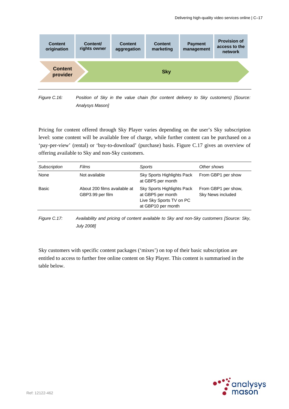

*Figure C.16: Position of Sky in the value chain (for content delivery to Sky customers) [Source: Analysys Mason]* 

Pricing for content offered through Sky Player varies depending on the user's Sky subscription level: some content will be available free of charge, while further content can be purchased on a 'pay-per-view' (rental) or 'buy-to-download' (purchase) basis. Figure C.17 gives an overview of offering available to Sky and non-Sky customers.

| None<br>Not available<br>From GBP1 per show<br>Sky Sports Highlights Pack<br>at GBP5 per month<br>Basic<br>Sky Sports Highlights Pack<br>From GBP1 per show,<br>About 200 films available at |  |
|----------------------------------------------------------------------------------------------------------------------------------------------------------------------------------------------|--|
|                                                                                                                                                                                              |  |
| Sky News included<br>at GBP5 per month<br>GBP3.99 per film<br>Live Sky Sports TV on PC<br>at GBP10 per month                                                                                 |  |

*Figure C.17: Availability and pricing of content available to Sky and non-Sky customers [Source: Sky, July 2008]* 

Sky customers with specific content packages ('mixes') on top of their basic subscription are entitled to access to further free online content on Sky Player. This content is summarised in the table below.

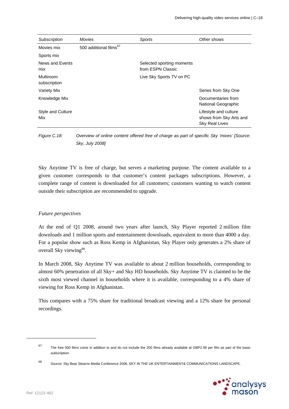| Subscription              | <b>Movies</b>                      | Sports                                         | Other shows                                                               |
|---------------------------|------------------------------------|------------------------------------------------|---------------------------------------------------------------------------|
| Movies mix                | 500 additional films <sup>67</sup> |                                                |                                                                           |
| Sports mix                |                                    |                                                |                                                                           |
| News and Events<br>mix    |                                    | Selected sporting moments<br>from ESPN Classic |                                                                           |
| Multiroom<br>subscription |                                    | Live Sky Sports TV on PC                       |                                                                           |
| Variety Mix               |                                    |                                                | Series from Sky One                                                       |
| Knowledge Mix             |                                    |                                                | Documentaries from<br>National Geographic                                 |
| Style and Culture<br>Mix  |                                    |                                                | Lifestyle and culture<br>shows from Sky Arts and<br><b>Sky Real Lives</b> |

*Figure C.18: Overview of online content offered free of charge as part of specific Sky 'mixes' [Source: Sky, July 2008]* 

Sky Anytime TV is free of charge, but serves a marketing purpose. The content available to a given customer corresponds to that customer's content packages subscriptions. However, a complete range of content is downloaded for all customers; customers wanting to watch content outside their subscription are recommended to upgrade.

# *Future perspectives*

At the end of Q1 2008, around two years after launch, Sky Player reported 2 million film downloads and 1 million sports and entertainment downloads, equivalent to more than 4000 a day. For a popular show such as Ross Kemp in Afghanistan, Sky Player only generates a 2% share of overall Sky viewing<sup>68</sup>.

In March 2008, Sky Anytime TV was available to about 2 million households, corresponding to almost 60% penetration of all Sky+ and Sky HD households. Sky Anytime TV is claimed to be the sixth most viewed channel in households where it is available, corresponding to a 4% share of viewing for Ross Kemp in Afghanistan.

This compares with a 75% share for traditional broadcast viewing and a 12% share for personal recordings.

<sup>68</sup> Source: Sky Bear Stearns Media Conference 2008, SKY IN THE UK ENTERTAINMENT& COMMUNICATIONS LANDSCAPE.



l

<sup>67</sup> The free 500 films come in addition to and do not include the 200 films already available at GBP2.99 per film as part of the basic subscription.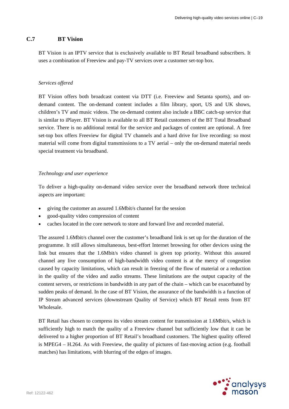# **C.7 BT Vision**

BT Vision is an IPTV service that is exclusively available to BT Retail broadband subscribers. It uses a combination of Freeview and pay-TV services over a customer set-top box.

### *Services offered*

BT Vision offers both broadcast content via DTT (i.e. Freeview and Setanta sports), and ondemand content. The on-demand content includes a film library, sport, US and UK shows, children's TV and music videos. The on-demand content also include a BBC catch-up service that is similar to iPlayer. BT Vision is available to all BT Retail customers of the BT Total Broadband service. There is no additional rental for the service and packages of content are optional. A free set-top box offers Freeview for digital TV channels and a hard drive for live recording: so most material will come from digital transmissions to a TV aerial – only the on-demand material needs special treatment via broadband.

### *Technology and user experience*

To deliver a high-quality on-demand video service over the broadband network three technical aspects are important:

- giving the customer an assured 1.6Mbit/s channel for the session
- good-quality video compression of content
- caches located in the core network to store and forward live and recorded material.

The assured 1.6Mbit/s channel over the customer's broadband link is set up for the duration of the programme. It still allows simultaneous, best-effort Internet browsing for other devices using the link but ensures that the 1.6Mbit/s video channel is given top priority. Without this assured channel any live consumption of high-bandwidth video content is at the mercy of congestion caused by capacity limitations, which can result in freezing of the flow of material or a reduction in the quality of the video and audio streams. These limitations are the output capacity of the content servers, or restrictions in bandwidth in any part of the chain – which can be exacerbated by sudden peaks of demand. In the case of BT Vision, the assurance of the bandwidth is a function of IP Stream advanced services (downstream Quality of Service) which BT Retail rents from BT Wholesale.

BT Retail has chosen to compress its video stream content for transmission at 1.6Mbit/s, which is sufficiently high to match the quality of a Freeview channel but sufficiently low that it can be delivered to a higher proportion of BT Retail's broadband customers. The highest quality offered is MPEG4 – H.264. As with Freeview, the quality of pictures of fast-moving action (e.g. football matches) has limitations, with blurring of the edges of images.

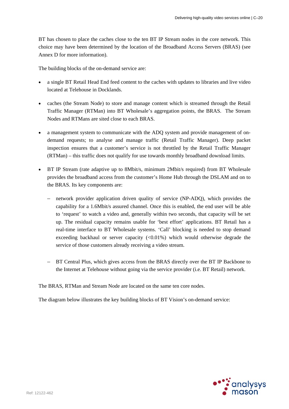BT has chosen to place the caches close to the ten BT IP Stream nodes in the core network. This choice may have been determined by the location of the Broadband Access Servers (BRAS) (see Annex D for more information).

The building blocks of the on-demand service are:

- a single BT Retail Head End feed content to the caches with updates to libraries and live video located at Telehouse in Docklands.
- caches (the Stream Node) to store and manage content which is streamed through the Retail Traffic Manager (RTMan) into BT Wholesale's aggregation points, the BRAS. The Stream Nodes and RTMans are sited close to each BRAS.
- a management system to communicate with the ADQ system and provide management of ondemand requests; to analyse and manage traffic (Retail Traffic Manager). Deep packet inspection ensures that a customer's service is not throttled by the Retail Traffic Manager (RTMan) – this traffic does not qualify for use towards monthly broadband download limits.
- BT IP Stream (rate adaptive up to 8Mbit/s, minimum 2Mbit/s required) from BT Wholesale provides the broadband access from the customer's Home Hub through the DSLAM and on to the BRAS. Its key components are:
	- network provider application driven quality of service (NP-ADQ), which provides the capability for a 1.6Mbit/s assured channel. Once this is enabled, the end user will be able to 'request' to watch a video and, generally within two seconds, that capacity will be set up. The residual capacity remains usable for 'best effort' applications. BT Retail has a real-time interface to BT Wholesale systems. 'Call' blocking is needed to stop demand exceeding backhaul or server capacity  $\langle \langle 0.01\% \rangle$  which would otherwise degrade the service of those customers already receiving a video stream.
	- BT Central Plus, which gives access from the BRAS directly over the BT IP Backbone to the Internet at Telehouse without going via the service provider (i.e. BT Retail) network.

The BRAS, RTMan and Stream Node are located on the same ten core nodes.

The diagram below illustrates the key building blocks of BT Vision's on-demand service:

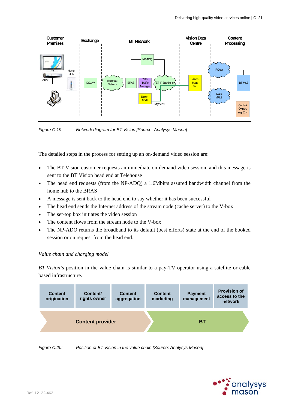

*Figure C.19: Network diagram for BT Vision [Source: Analysys Mason]* 

The detailed steps in the process for setting up an on-demand video session are:

- The BT Vision customer requests an immediate on-demand video session, and this message is sent to the BT Vision head end at Telehouse
- The head end requests (from the NP-ADQ) a 1.6Mbit/s assured bandwidth channel from the home hub to the BRAS
- A message is sent back to the head end to say whether it has been successful
- The head end sends the Internet address of the stream node (cache server) to the V-box
- The set-top box initiates the video session
- The content flows from the stream node to the V-box
- The NP-ADQ returns the broadband to its default (best efforts) state at the end of the booked session or on request from the head end.

#### *Value chain and charging model*

*BT Vision*'s position in the value chain is similar to a pay-TV operator using a satellite or cable based infrastructure.



*Figure C.20: Position of BT Vision in the value chain [Source: Analysys Mason]* 

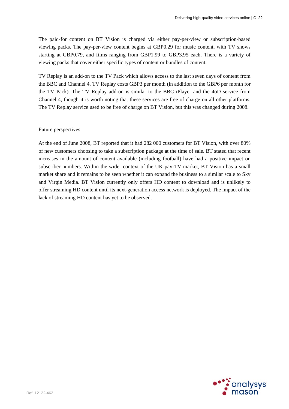The paid-for content on BT Vision is charged via either pay-per-view or subscription-based viewing packs. The pay-per-view content begins at GBP0.29 for music content, with TV shows starting at GBP0.79, and films ranging from GBP1.99 to GBP3.95 each. There is a variety of viewing packs that cover either specific types of content or bundles of content.

TV Replay is an add-on to the TV Pack which allows access to the last seven days of content from the BBC and Channel 4. TV Replay costs GBP3 per month (in addition to the GBP6 per month for the TV Pack). The TV Replay add-on is similar to the BBC iPlayer and the 4oD service from Channel 4, though it is worth noting that these services are free of charge on all other platforms. The TV Replay service used to be free of charge on BT Vision, but this was changed during 2008.

# Future perspectives

At the end of June 2008, BT reported that it had 282 000 customers for BT Vision, with over 80% of new customers choosing to take a subscription package at the time of sale. BT stated that recent increases in the amount of content available (including football) have had a positive impact on subscriber numbers. Within the wider context of the UK pay-TV market, BT Vision has a small market share and it remains to be seen whether it can expand the business to a similar scale to Sky and Virgin Media. BT Vision currently only offers HD content to download and is unlikely to offer streaming HD content until its next-generation access network is deployed. The impact of the lack of streaming HD content has yet to be observed.

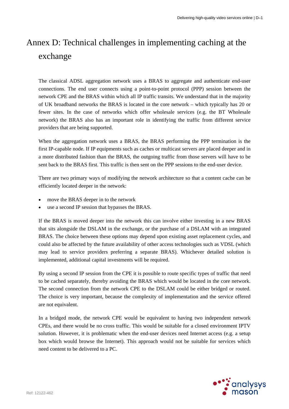# Annex D: Technical challenges in implementing caching at the exchange

The classical ADSL aggregation network uses a BRAS to aggregate and authenticate end-user connections. The end user connects using a point-to-point protocol (PPP) session between the network CPE and the BRAS within which all IP traffic transits. We understand that in the majority of UK broadband networks the BRAS is located in the core network – which typically has 20 or fewer sites. In the case of networks which offer wholesale services (e.g. the BT Wholesale network) the BRAS also has an important role in identifying the traffic from different service providers that are being supported.

When the aggregation network uses a BRAS, the BRAS performing the PPP termination is the first IP-capable node. If IP equipments such as caches or multicast servers are placed deeper and in a more distributed fashion than the BRAS, the outgoing traffic from those servers will have to be sent back to the BRAS first. This traffic is then sent on the PPP sessions to the end-user device.

There are two primary ways of modifying the network architecture so that a content cache can be efficiently located deeper in the network:

- move the BRAS deeper in to the network
- use a second IP session that bypasses the BRAS.

If the BRAS is moved deeper into the network this can involve either investing in a new BRAS that sits alongside the DSLAM in the exchange, or the purchase of a DSLAM with an integrated BRAS. The choice between these options may depend upon existing asset replacement cycles, and could also be affected by the future availability of other access technologies such as VDSL (which may lead to service providers preferring a separate BRAS). Whichever detailed solution is implemented, additional capital investments will be required.

By using a second IP session from the CPE it is possible to route specific types of traffic that need to be cached separately, thereby avoiding the BRAS which would be located in the core network. The second connection from the network CPE to the DSLAM could be either bridged or routed. The choice is very important, because the complexity of implementation and the service offered are not equivalent.

In a bridged mode, the network CPE would be equivalent to having two independent network CPEs, and there would be no cross traffic. This would be suitable for a closed environment IPTV solution. However, it is problematic when the end-user devices need Internet access (e.g. a setup box which would browse the Internet). This approach would not be suitable for services which need content to be delivered to a PC.

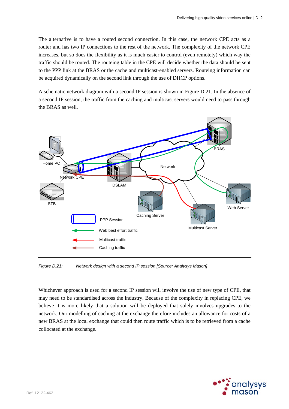The alternative is to have a routed second connection. In this case, the network CPE acts as a router and has two IP connections to the rest of the network. The complexity of the network CPE increases, but so does the flexibility as it is much easier to control (even remotely) which way the traffic should be routed. The routeing table in the CPE will decide whether the data should be sent to the PPP link at the BRAS or the cache and multicast-enabled servers. Routeing information can be acquired dynamically on the second link through the use of DHCP options.

A schematic network diagram with a second IP session is shown in Figure D.21. In the absence of a second IP session, the traffic from the caching and multicast servers would need to pass through the BRAS as well.



*Figure D.21: Network design with a second IP session [Source: Analysys Mason]* 

Whichever approach is used for a second IP session will involve the use of new type of CPE, that may need to be standardised across the industry. Because of the complexity in replacing CPE, we believe it is more likely that a solution will be deployed that solely involves upgrades to the network. Our modelling of caching at the exchange therefore includes an allowance for costs of a new BRAS at the local exchange that could then route traffic which is to be retrieved from a cache collocated at the exchange.

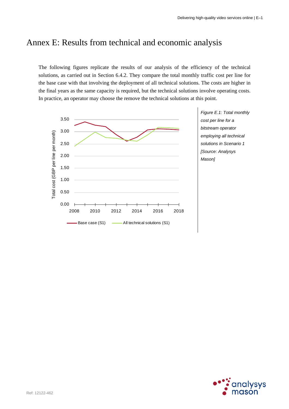# Annex E: Results from technical and economic analysis

The following figures replicate the results of our analysis of the efficiency of the technical solutions, as carried out in Section 6.4.2. They compare the total monthly traffic cost per line for the base case with that involving the deployment of all technical solutions. The costs are higher in the final years as the same capacity is required, but the technical solutions involve operating costs. In practice, an operator may choose the remove the technical solutions at this point.



*Figure E.1: Total monthly cost per line for a bitstream operator employing all technical solutions in Scenario 1 [Source: Analysys Mason]* 

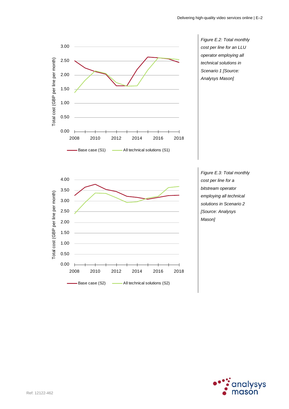

*Figure E.2: Total monthly cost per line for an LLU operator employing all technical solutions in Scenario 1 [Source: Analysys Mason]* 



*Figure E.3: Total monthly cost per line for a bitstream operator employing all technical solutions in Scenario 2 [Source: Analysys Mason]* 

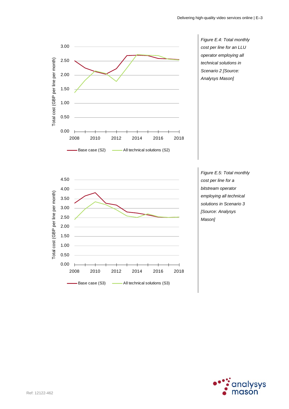

*Figure E.4: Total monthly cost per line for an LLU operator employing all technical solutions in Scenario 2 [Source: Analysys Mason]* 



*Figure E.5: Total monthly cost per line for a bitstream operator employing all technical solutions in Scenario 3 [Source: Analysys Mason]* 

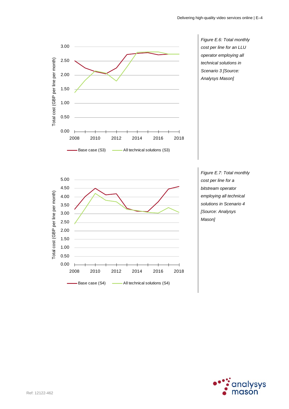

*Figure E.6: Total monthly cost per line for an LLU operator employing all technical solutions in Scenario 3 [Source: Analysys Mason]* 



*Figure E.7: Total monthly cost per line for a bitstream operator employing all technical solutions in Scenario 4 [Source: Analysys Mason]* 

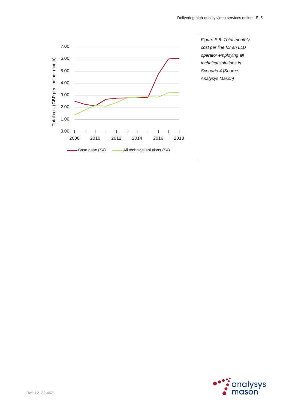

*Figure E.8: Total monthly cost per line for an LLU operator employing all technical solutions in Scenario 4 [Source: Analysys Mason]* 

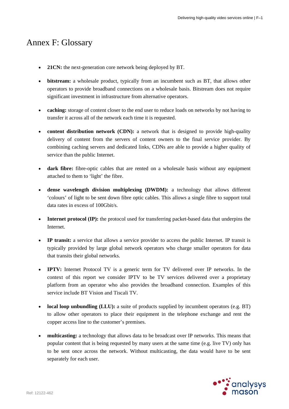# Annex F: Glossary

- **21CN:** the next-generation core network being deployed by BT.
- **bitstream:** a wholesale product, typically from an incumbent such as BT, that allows other operators to provide broadband connections on a wholesale basis. Bitstream does not require significant investment in infrastructure from alternative operators.
- **caching:** storage of content closer to the end user to reduce loads on networks by not having to transfer it across all of the network each time it is requested.
- **content distribution network (CDN):** a network that is designed to provide high-quality delivery of content from the servers of content owners to the final service provider. By combining caching servers and dedicated links, CDNs are able to provide a higher quality of service than the public Internet.
- **dark fibre:** fibre-optic cables that are rented on a wholesale basis without any equipment attached to them to 'light' the fibre.
- **dense wavelength division multiplexing (DWDM):** a technology that allows different 'colours' of light to be sent down fibre optic cables. This allows a single fibre to support total data rates in excess of 100Gbit/s.
- **Internet protocol (IP):** the protocol used for transferring packet-based data that underpins the Internet.
- **IP transit:** a service that allows a service provider to access the public Internet. IP transit is typically provided by large global network operators who charge smaller operators for data that transits their global networks.
- **IPTV:** Internet Protocol TV is a generic term for TV delivered over IP networks. In the context of this report we consider IPTV to be TV services delivered over a proprietary platform from an operator who also provides the broadband connection. Examples of this service include BT Vision and Tiscali TV.
- **local loop unbundling (LLU):** a suite of products supplied by incumbent operators (e.g. BT) to allow other operators to place their equipment in the telephone exchange and rent the copper access line to the customer's premises.
- **multicasting:** a technology that allows data to be broadcast over IP networks. This means that popular content that is being requested by many users at the same time (e.g. live TV) only has to be sent once across the network. Without multicasting, the data would have to be sent separately for each user.